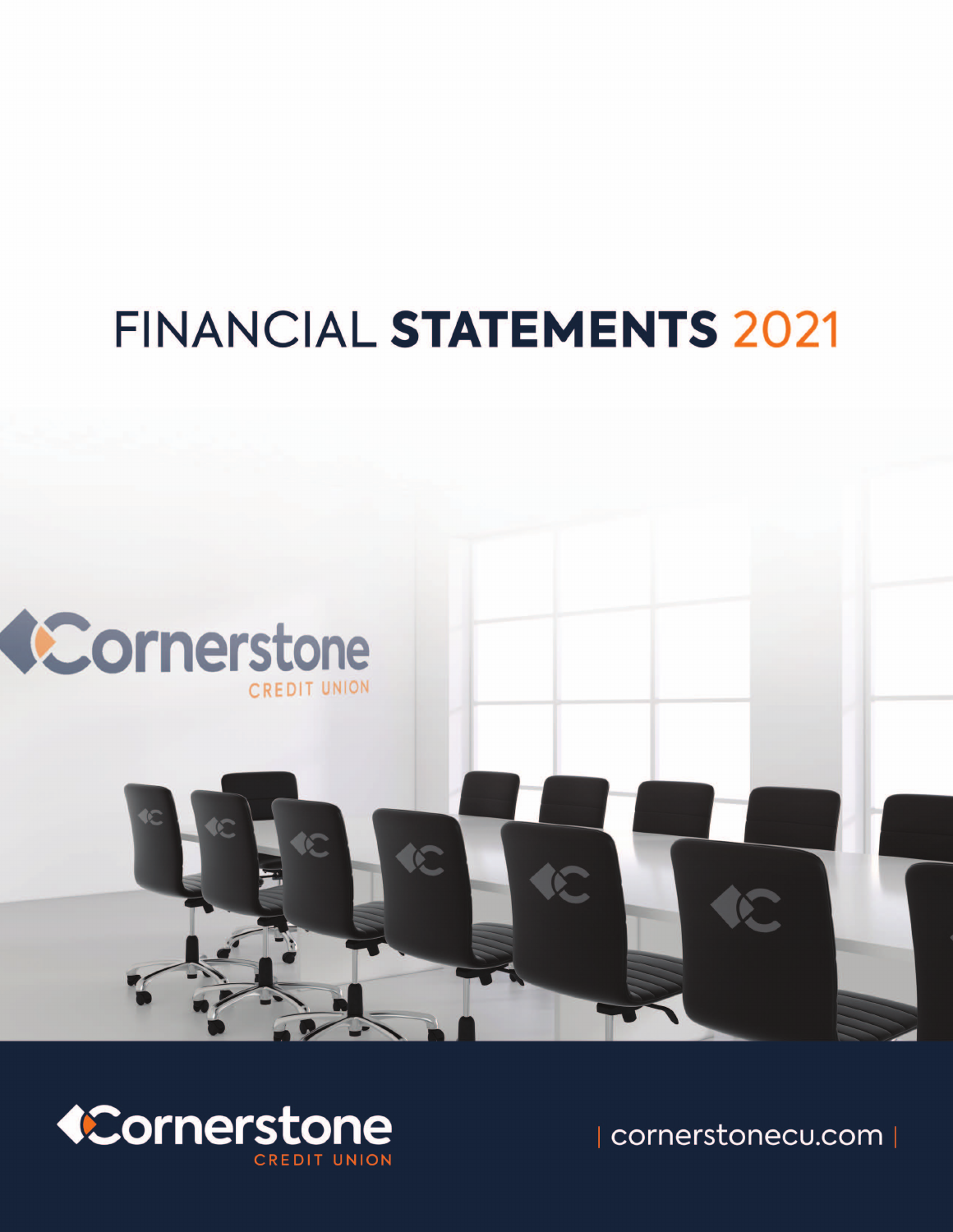# **FINANCIAL STATEMENTS 2021**





| cornerstonecu.com |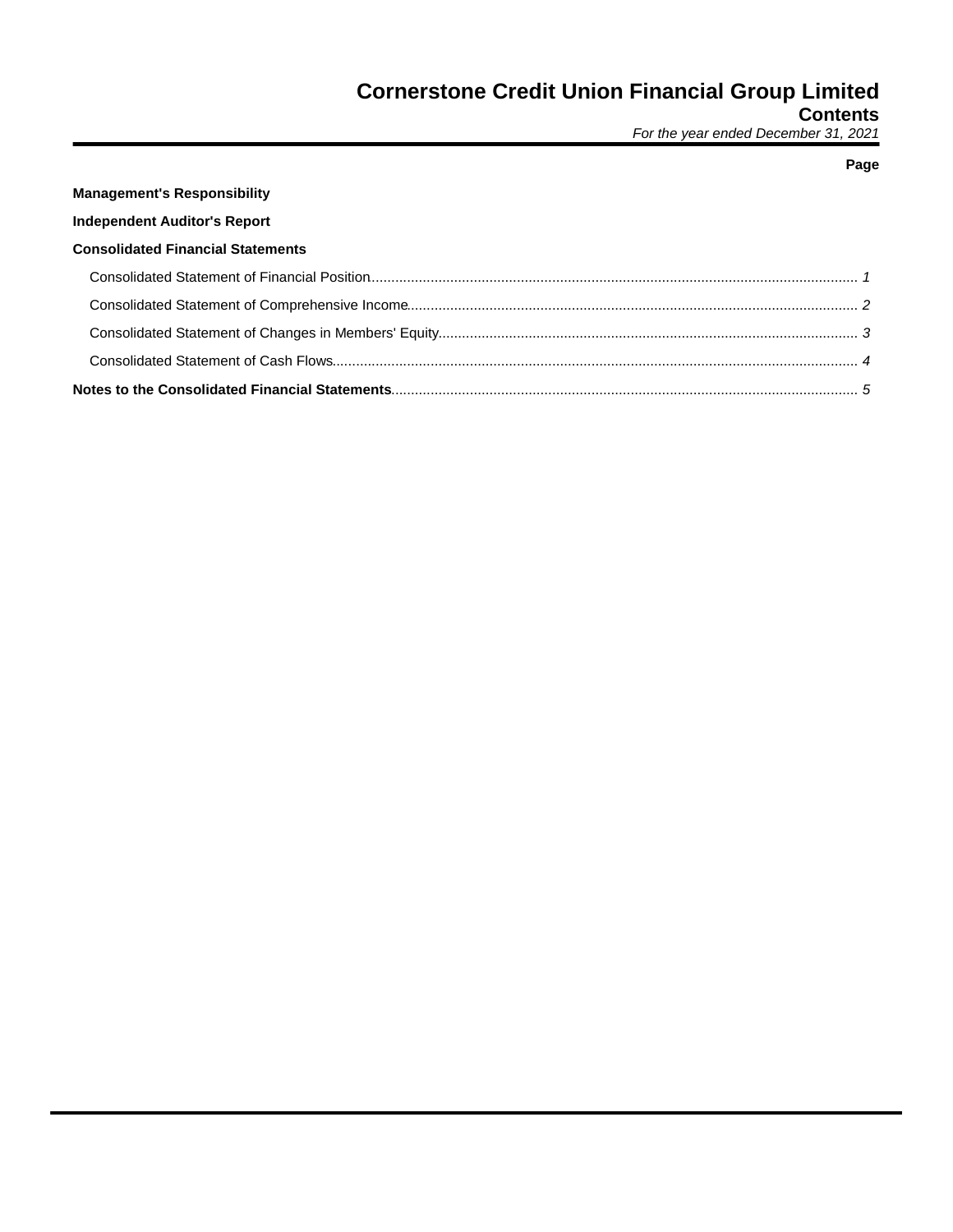## **Contents**

For the year ended December 31, 2021

| <b>Management's Responsibility</b>       |  |
|------------------------------------------|--|
| <b>Independent Auditor's Report</b>      |  |
| <b>Consolidated Financial Statements</b> |  |
|                                          |  |
|                                          |  |
|                                          |  |
|                                          |  |
|                                          |  |

### Page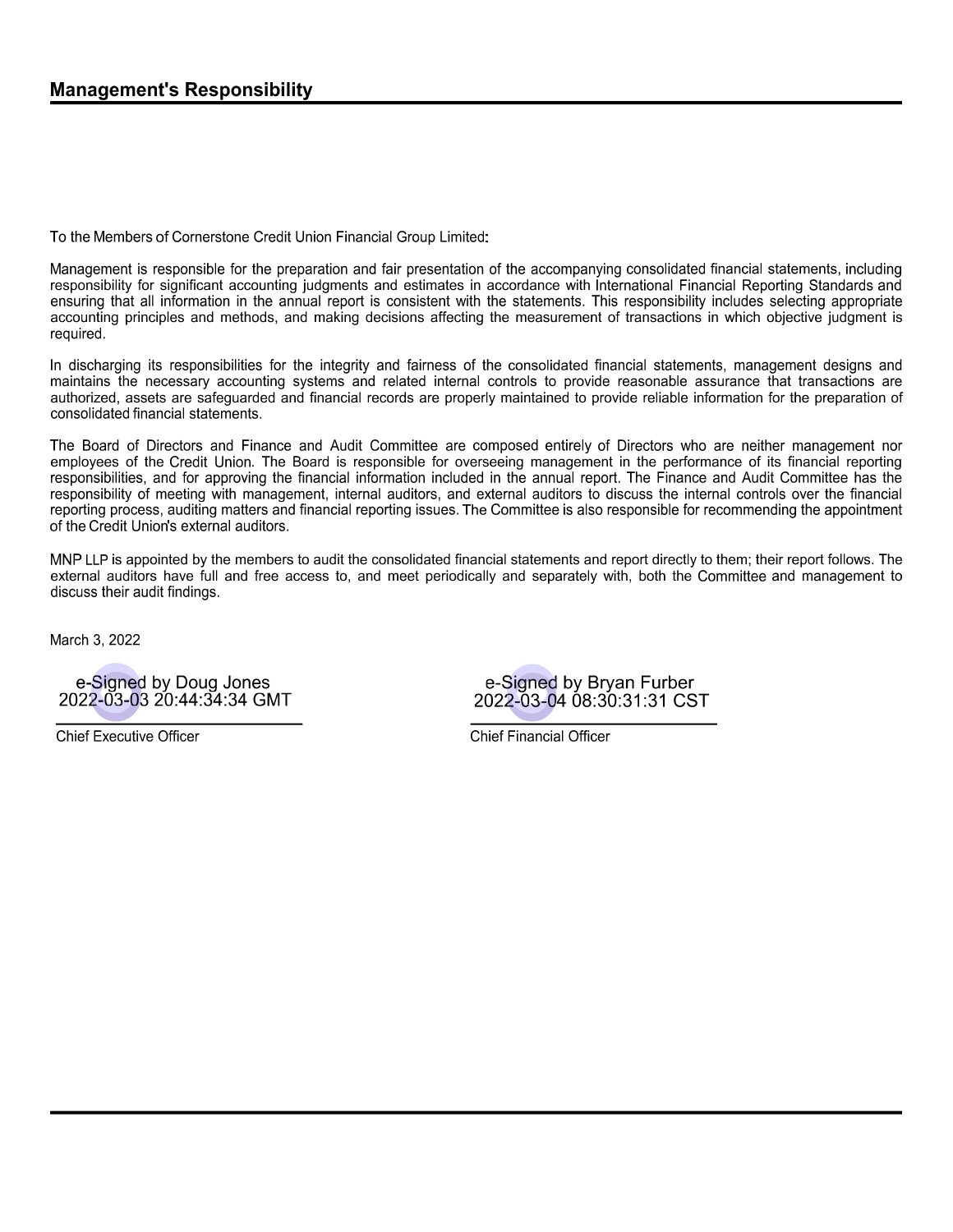To the Members of Cornerstone Credit Union Financial Group Limited:

Management is responsible for the preparation and fair presentation of the accompanying consolidated financial statements, including responsibility for significant accounting judgments and estimates in accordance with International Financial Reporting Standards and ensuring that all information in the annual report is consistent with the statements. This responsibility includes selecting appropriate accounting principles and methods, and making decisions affecting the measurement of transactions in which objective judgment is required.

In discharging its responsibilities for the integrity and fairness of the consolidated financial statements, management designs and maintains the necessary accounting systems and related internal controls to provide reasonable assurance that transactions are authorized, assets are safeguarded and financial records are properly maintained to provide reliable information for the preparation of consolidated financial statements.

The Board of Directors and Finance and Audit Committee are composed entirely of Directors who are neither management nor employees of the Credit Union. The Board is responsible for overseeing management in the performance of its financial reporting responsibilities, and for approving the financial information included in the annual report. The Finance and Audit Committee has the responsibility of meeting with management, internal auditors, and external auditors to discuss the internal controls over the financial reporting process, auditing matters and financial reporting issues. The Committee is also responsible for recommending the appointment of the Credit Union's external auditors.

MNP LLP is appointed by the members to audit the consolidated financial statements and report directly to them; their report follows. The external auditors have full and free access to, and meet periodically and separately with, both the Committee and management to discuss their audit findings.

March 3, 2022

e-Signed by Doug Jones 2022-03-03 20:44:34:34 GMT

e-Signed by Bryan Furber 2022-03-04 08:30:31:31 CST

**Chief Executive Officer** 

**Chief Financial Officer**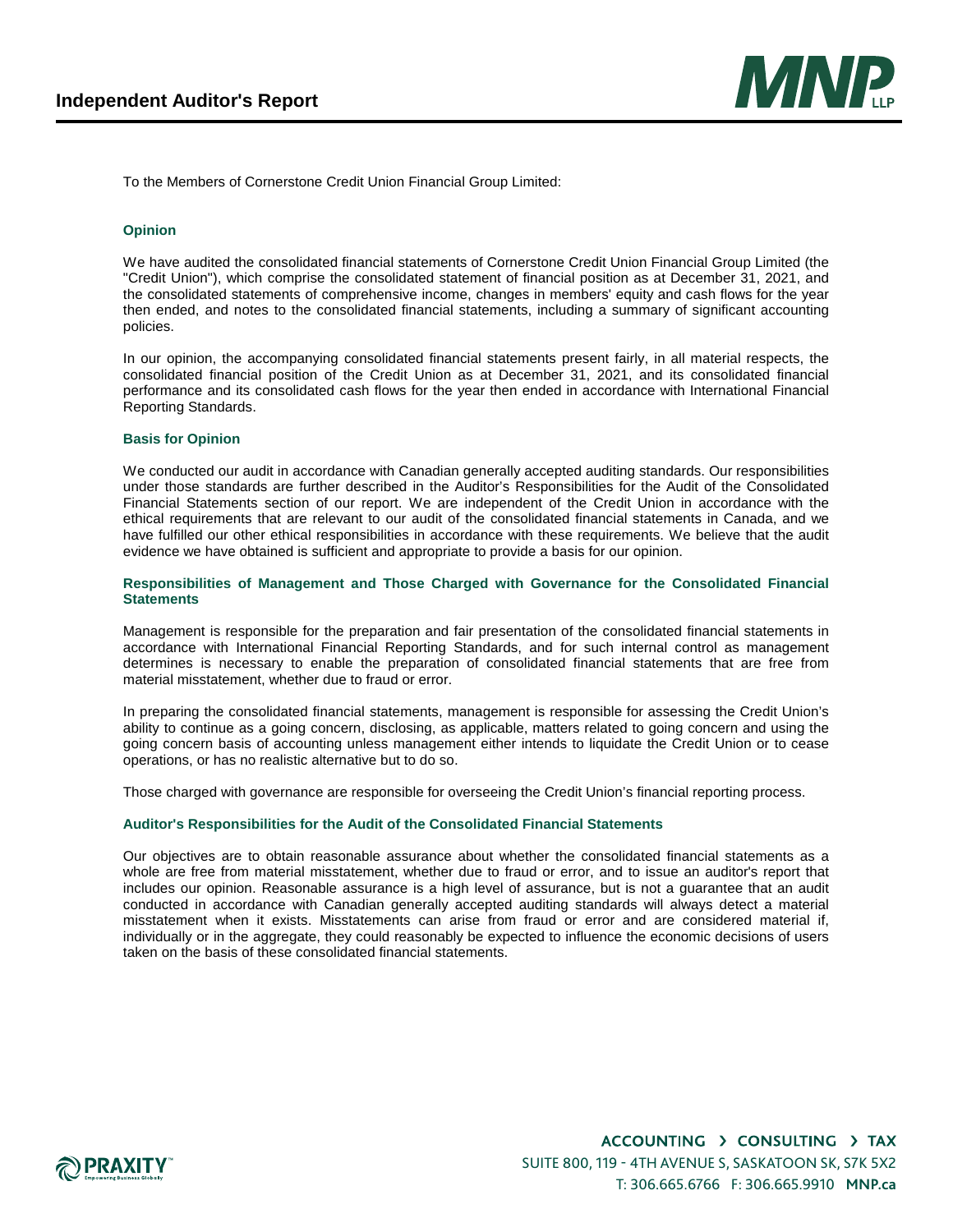

To the Members of Cornerstone Credit Union Financial Group Limited:

#### **Opinion**

We have audited the consolidated financial statements of Cornerstone Credit Union Financial Group Limited (the "Credit Union"), which comprise the consolidated statement of financial position as at December 31, 2021, and the consolidated statements of comprehensive income, changes in members' equity and cash flows for the year then ended, and notes to the consolidated financial statements, including a summary of significant accounting policies.

In our opinion, the accompanying consolidated financial statements present fairly, in all material respects, the consolidated financial position of the Credit Union as at December 31, 2021, and its consolidated financial performance and its consolidated cash flows for the year then ended in accordance with International Financial Reporting Standards.

#### **Basis for Opinion**

We conducted our audit in accordance with Canadian generally accepted auditing standards. Our responsibilities under those standards are further described in the Auditor's Responsibilities for the Audit of the Consolidated Financial Statements section of our report. We are independent of the Credit Union in accordance with the ethical requirements that are relevant to our audit of the consolidated financial statements in Canada, and we have fulfilled our other ethical responsibilities in accordance with these requirements. We believe that the audit evidence we have obtained is sufficient and appropriate to provide a basis for our opinion.

#### **Responsibilities of Management and Those Charged with Governance for the Consolidated Financial Statements**

Management is responsible for the preparation and fair presentation of the consolidated financial statements in accordance with International Financial Reporting Standards, and for such internal control as management determines is necessary to enable the preparation of consolidated financial statements that are free from material misstatement, whether due to fraud or error.

In preparing the consolidated financial statements, management is responsible for assessing the Credit Union's ability to continue as a going concern, disclosing, as applicable, matters related to going concern and using the going concern basis of accounting unless management either intends to liquidate the Credit Union or to cease operations, or has no realistic alternative but to do so.

Those charged with governance are responsible for overseeing the Credit Union's financial reporting process.

#### **Auditor's Responsibilities for the Audit of the Consolidated Financial Statements**

Our objectives are to obtain reasonable assurance about whether the consolidated financial statements as a whole are free from material misstatement, whether due to fraud or error, and to issue an auditor's report that includes our opinion. Reasonable assurance is a high level of assurance, but is not a guarantee that an audit conducted in accordance with Canadian generally accepted auditing standards will always detect a material misstatement when it exists. Misstatements can arise from fraud or error and are considered material if, individually or in the aggregate, they could reasonably be expected to influence the economic decisions of users taken on the basis of these consolidated financial statements.

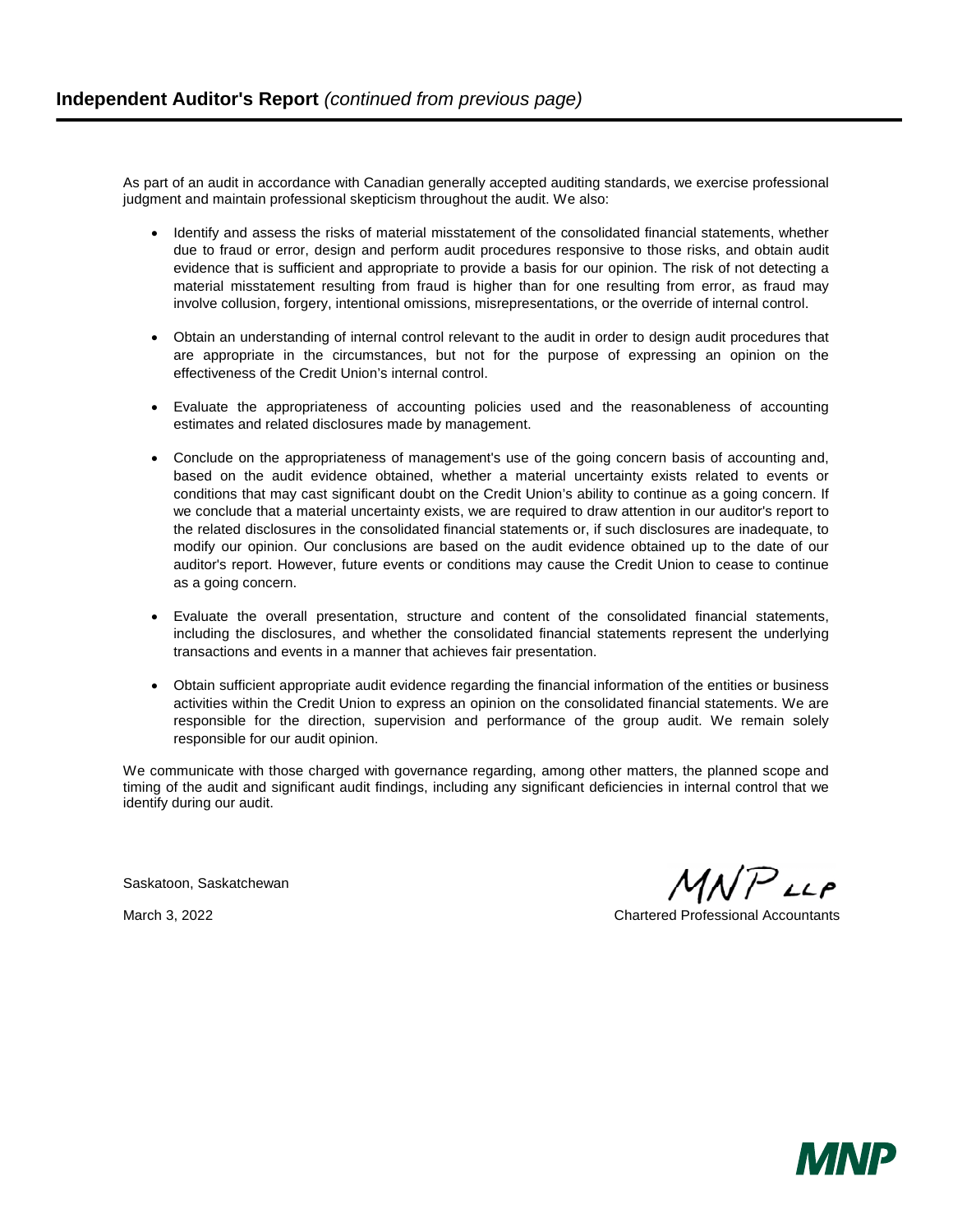As part of an audit in accordance with Canadian generally accepted auditing standards, we exercise professional judgment and maintain professional skepticism throughout the audit. We also:

- Identify and assess the risks of material misstatement of the consolidated financial statements, whether due to fraud or error, design and perform audit procedures responsive to those risks, and obtain audit evidence that is sufficient and appropriate to provide a basis for our opinion. The risk of not detecting a material misstatement resulting from fraud is higher than for one resulting from error, as fraud may involve collusion, forgery, intentional omissions, misrepresentations, or the override of internal control.
- Obtain an understanding of internal control relevant to the audit in order to design audit procedures that are appropriate in the circumstances, but not for the purpose of expressing an opinion on the effectiveness of the Credit Union's internal control.
- Evaluate the appropriateness of accounting policies used and the reasonableness of accounting estimates and related disclosures made by management.
- Conclude on the appropriateness of management's use of the going concern basis of accounting and, based on the audit evidence obtained, whether a material uncertainty exists related to events or conditions that may cast significant doubt on the Credit Union's ability to continue as a going concern. If we conclude that a material uncertainty exists, we are required to draw attention in our auditor's report to the related disclosures in the consolidated financial statements or, if such disclosures are inadequate, to modify our opinion. Our conclusions are based on the audit evidence obtained up to the date of our auditor's report. However, future events or conditions may cause the Credit Union to cease to continue as a going concern.
- Evaluate the overall presentation, structure and content of the consolidated financial statements, including the disclosures, and whether the consolidated financial statements represent the underlying transactions and events in a manner that achieves fair presentation.
- Obtain sufficient appropriate audit evidence regarding the financial information of the entities or business activities within the Credit Union to express an opinion on the consolidated financial statements. We are responsible for the direction, supervision and performance of the group audit. We remain solely responsible for our audit opinion.

We communicate with those charged with governance regarding, among other matters, the planned scope and timing of the audit and significant audit findings, including any significant deficiencies in internal control that we identify during our audit.

Saskatoon, Saskatchewan

 $MNP$ LLP

March 3, 2022 Chartered Professional Accountants

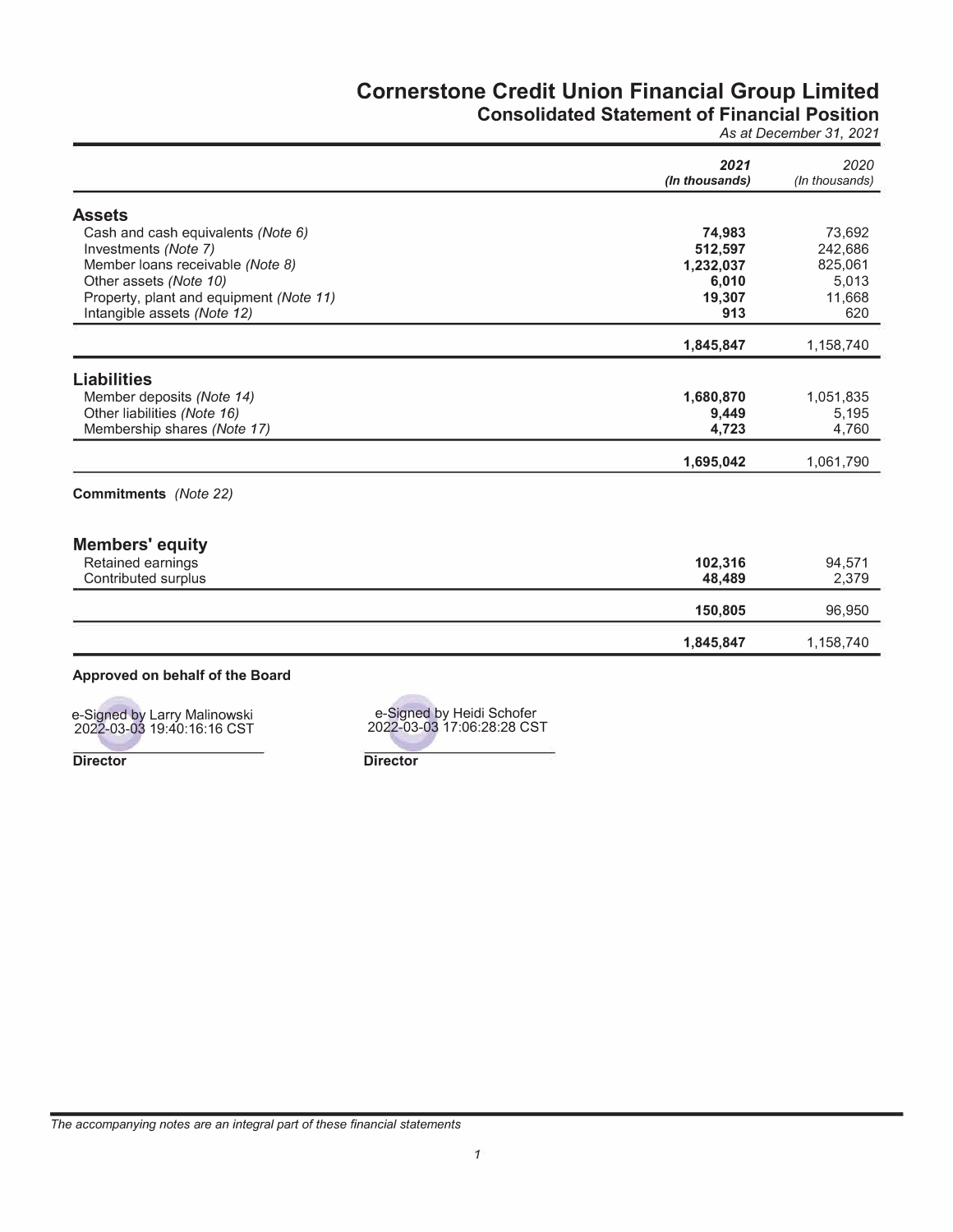# **Consolidated Statement of Financial Position**

*As at December 31, 2021* 

|                                          | 2021<br>(In thousands) | 2020<br>(In thousands) |
|------------------------------------------|------------------------|------------------------|
| <b>Assets</b>                            |                        |                        |
| Cash and cash equivalents (Note 6)       | 74,983                 | 73,692                 |
| Investments (Note 7)                     | 512,597                | 242.686                |
| Member Ioans receivable (Note 8)         | 1,232,037              | 825,061                |
| Other assets (Note 10)                   | 6.010                  | 5.013                  |
| Property, plant and equipment (Note 11)  | 19,307                 | 11,668                 |
| Intangible assets (Note 12)              | 913                    | 620                    |
|                                          | 1,845,847              | 1,158,740              |
| <b>Liabilities</b>                       |                        |                        |
| Member deposits (Note 14)                | 1,680,870              | 1,051,835              |
| Other liabilities (Note 16)              | 9,449                  | 5,195                  |
| Membership shares (Note 17)              | 4,723                  | 4,760                  |
|                                          | 1,695,042              | 1,061,790              |
| <b>Commitments</b> (Note 22)             |                        |                        |
|                                          |                        |                        |
| <b>Members' equity</b>                   |                        |                        |
| Retained earnings<br>Contributed surplus | 102,316<br>48,489      | 94,571<br>2,379        |
|                                          |                        |                        |
|                                          | 150,805                | 96,950                 |
|                                          | 1,845,847              | 1,158,740              |

#### **Approved on behalf of the Board**

e-Signed by Larry Malinowski 2022-03-03 19:40:16:16 CST

**Director** 

e-Signed by Heidi Schafer 2022-03-03 17:06:28:28 CST

**Director**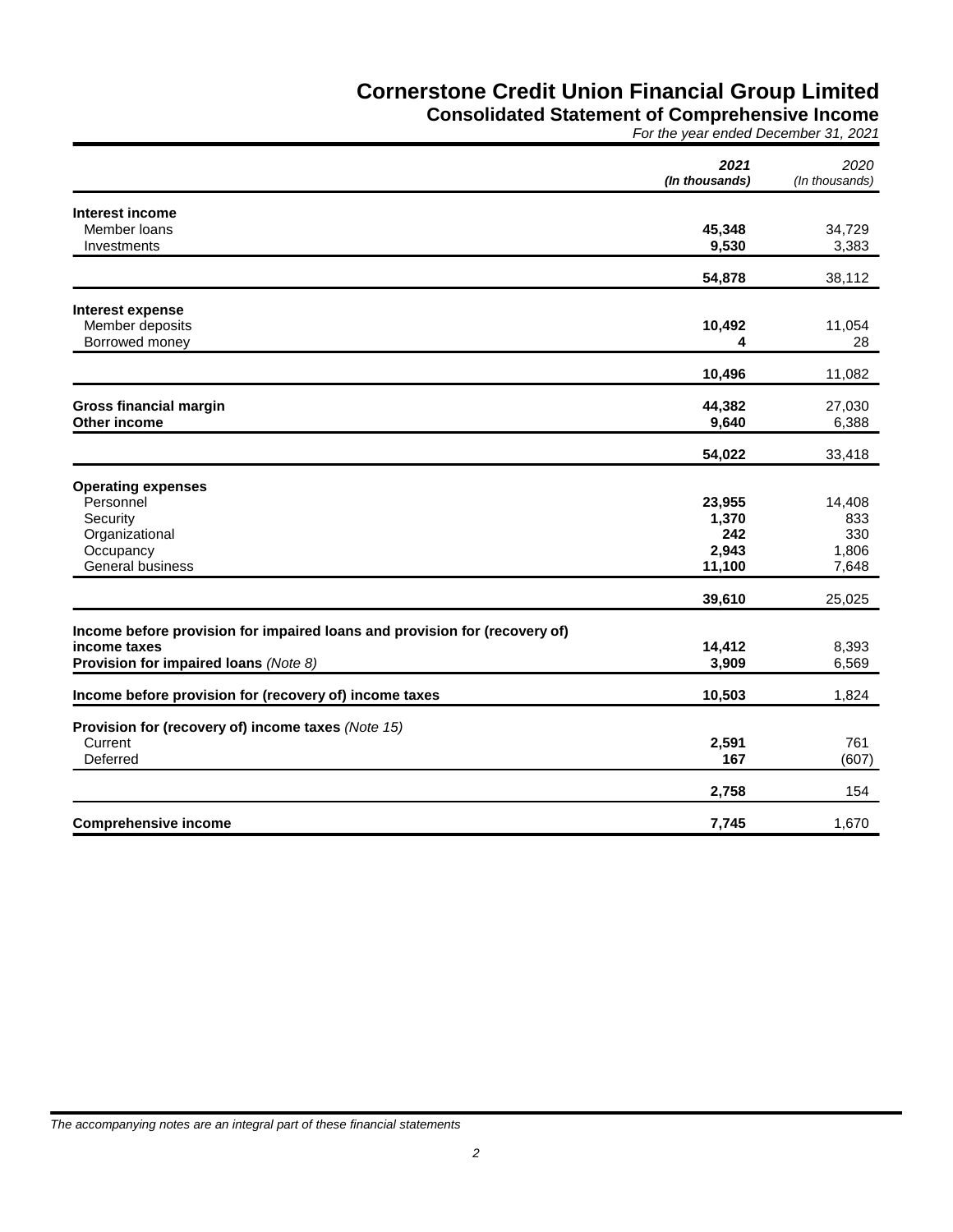# **Consolidated Statement of Comprehensive Income**

*For the year ended December 31, 2021*

|                                                                            | 2021<br>(In thousands) | 2020<br>(In thousands) |
|----------------------------------------------------------------------------|------------------------|------------------------|
| Interest income                                                            |                        |                        |
| Member Ioans                                                               | 45,348                 | 34,729                 |
| Investments                                                                | 9,530                  | 3,383                  |
|                                                                            | 54,878                 | 38,112                 |
| <b>Interest expense</b>                                                    |                        |                        |
| Member deposits                                                            | 10,492                 | 11,054                 |
| Borrowed money                                                             | 4                      | 28                     |
|                                                                            | 10,496                 | 11,082                 |
| <b>Gross financial margin</b>                                              | 44,382                 | 27,030                 |
| Other income                                                               | 9,640                  | 6,388                  |
|                                                                            | 54,022                 | 33,418                 |
|                                                                            |                        |                        |
| <b>Operating expenses</b>                                                  |                        |                        |
| Personnel                                                                  | 23,955                 | 14,408                 |
| Security                                                                   | 1,370                  | 833                    |
| Organizational                                                             | 242                    | 330                    |
| Occupancy                                                                  | 2,943                  | 1,806                  |
| General business                                                           | 11,100                 | 7,648                  |
|                                                                            | 39,610                 | 25,025                 |
| Income before provision for impaired loans and provision for (recovery of) |                        |                        |
| income taxes                                                               | 14,412                 | 8,393                  |
| Provision for impaired loans (Note 8)                                      | 3,909                  | 6,569                  |
| Income before provision for (recovery of) income taxes                     | 10,503                 | 1,824                  |
| Provision for (recovery of) income taxes (Note 15)                         |                        |                        |
| Current                                                                    | 2,591                  | 761                    |
| Deferred                                                                   | 167                    | (607)                  |
|                                                                            | 2,758                  | 154                    |
| <b>Comprehensive income</b>                                                | 7,745                  | 1,670                  |

*The accompanying notes are an integral part of these financial statements*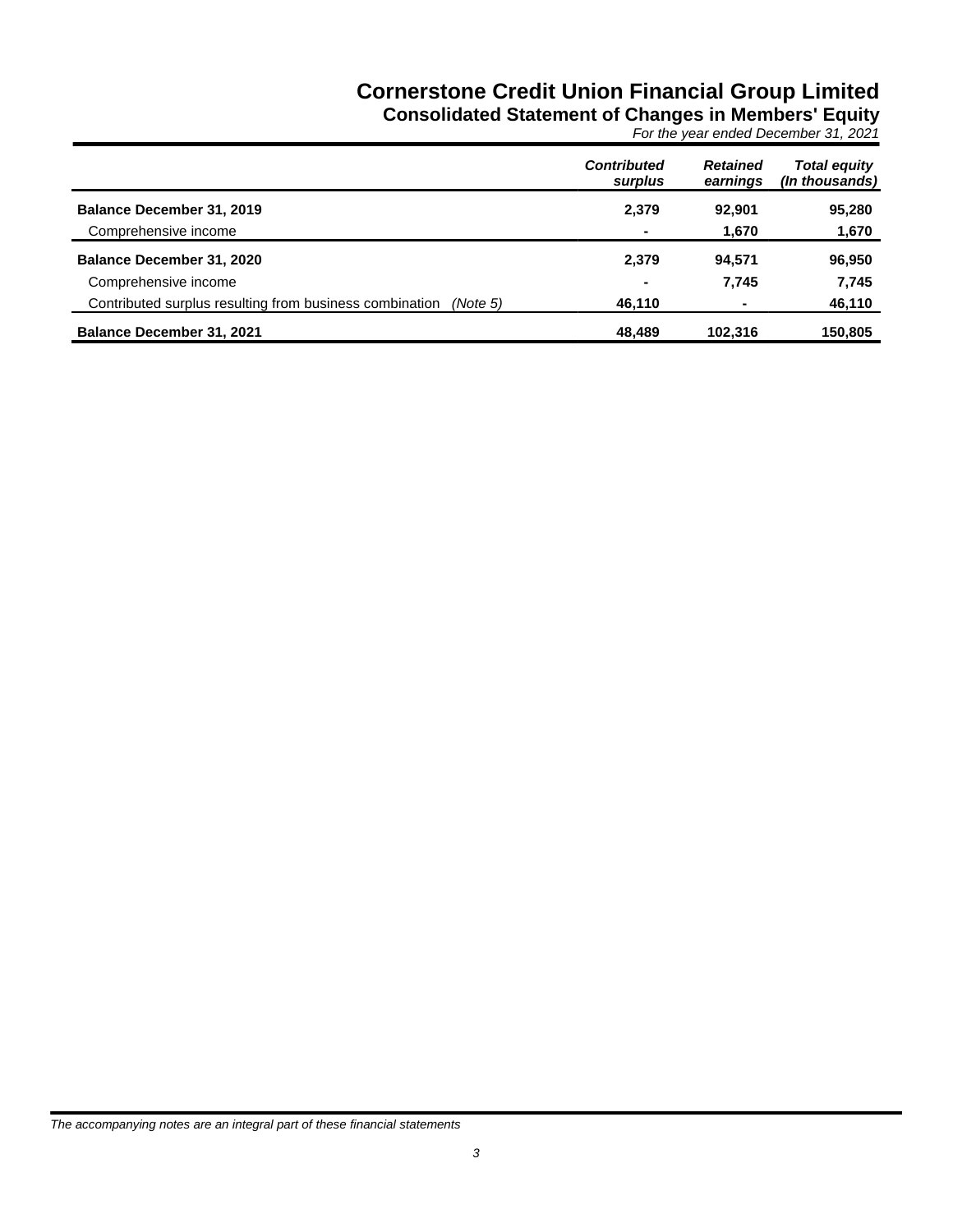**Consolidated Statement of Changes in Members' Equity**

*For the year ended December 31, 2021*

|                                                                     | <b>Contributed</b><br>surplus | <b>Retained</b><br>earnings | <b>Total equity</b><br>(In thousands) |
|---------------------------------------------------------------------|-------------------------------|-----------------------------|---------------------------------------|
| <b>Balance December 31, 2019</b>                                    | 2,379                         | 92.901                      | 95,280                                |
| Comprehensive income                                                |                               | 1,670                       | 1,670                                 |
| <b>Balance December 31, 2020</b>                                    | 2,379                         | 94.571                      | 96,950                                |
| Comprehensive income                                                | $\blacksquare$                | 7.745                       | 7,745                                 |
| Contributed surplus resulting from business combination<br>(Note 5) | 46,110                        |                             | 46,110                                |
| <b>Balance December 31, 2021</b>                                    | 48.489                        | 102,316                     | 150,805                               |

*The accompanying notes are an integral part of these financial statements*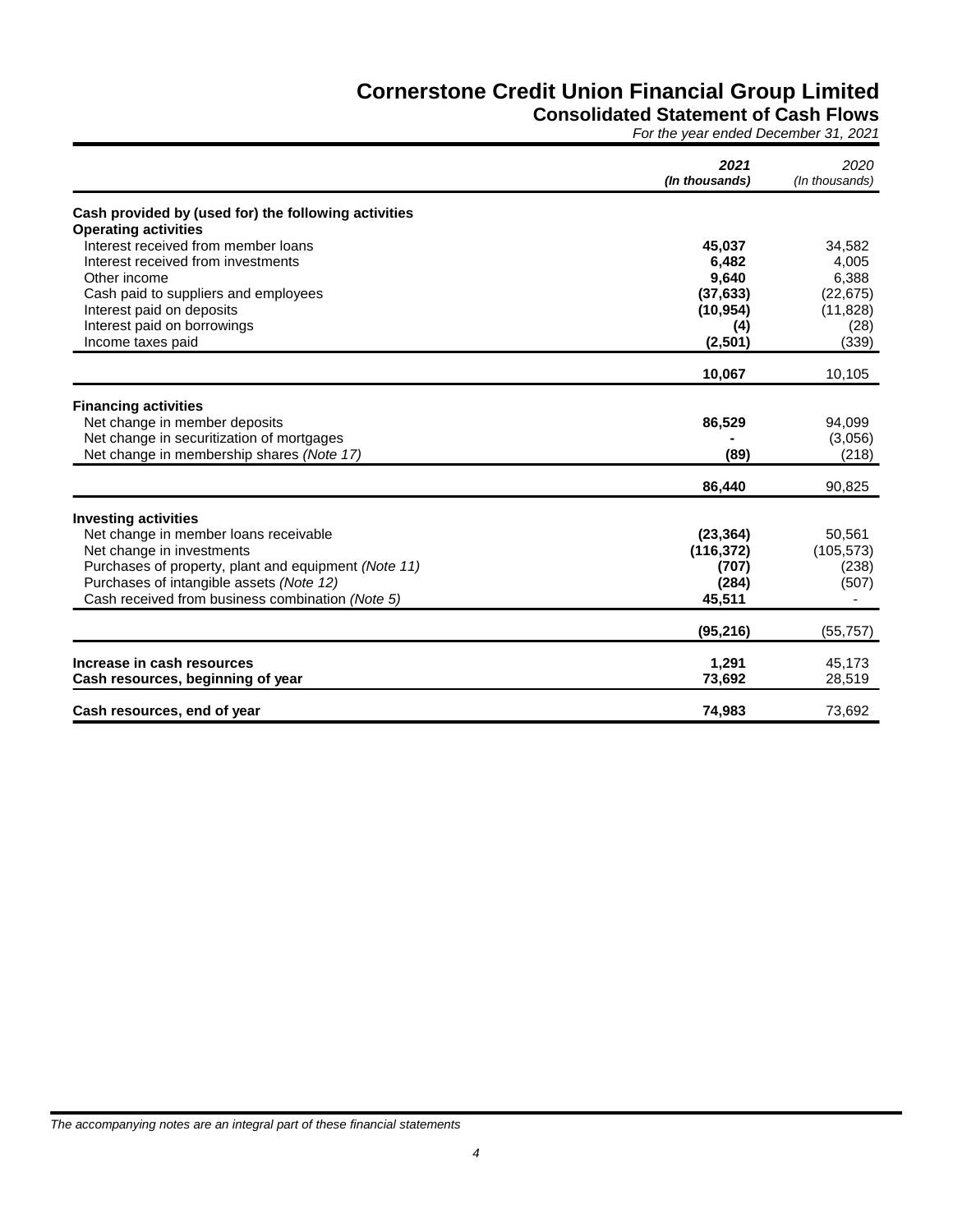**Consolidated Statement of Cash Flows**

*For the year ended December 31, 2021*

|                                                                 | 2021<br>(In thousands) | 2020<br>(In thousands) |
|-----------------------------------------------------------------|------------------------|------------------------|
| Cash provided by (used for) the following activities            |                        |                        |
| <b>Operating activities</b>                                     |                        |                        |
| Interest received from member loans                             | 45,037                 | 34,582                 |
| Interest received from investments                              | 6,482                  | 4,005                  |
| Other income                                                    | 9,640                  | 6,388                  |
| Cash paid to suppliers and employees                            | (37, 633)              | (22, 675)              |
| Interest paid on deposits                                       | (10, 954)              | (11, 828)              |
| Interest paid on borrowings                                     | (4)                    | (28)                   |
| Income taxes paid                                               | (2, 501)               | (339)                  |
|                                                                 | 10,067                 | 10,105                 |
| <b>Financing activities</b>                                     |                        |                        |
| Net change in member deposits                                   | 86,529                 | 94,099                 |
| Net change in securitization of mortgages                       |                        | (3,056)                |
| Net change in membership shares (Note 17)                       | (89)                   | (218)                  |
|                                                                 |                        |                        |
|                                                                 | 86,440                 | 90,825                 |
| <b>Investing activities</b>                                     |                        |                        |
| Net change in member loans receivable                           | (23, 364)              | 50,561                 |
| Net change in investments                                       | (116, 372)             | (105, 573)             |
| Purchases of property, plant and equipment (Note 11)            | (707)                  | (238)                  |
| Purchases of intangible assets (Note 12)                        | (284)                  | (507)                  |
| Cash received from business combination (Note 5)                | 45,511                 |                        |
|                                                                 | (95, 216)              | (55, 757)              |
|                                                                 |                        |                        |
| Increase in cash resources<br>Cash resources, beginning of year | 1,291<br>73,692        | 45,173<br>28,519       |
| Cash resources, end of year                                     | 74,983                 | 73,692                 |

*The accompanying notes are an integral part of these financial statements*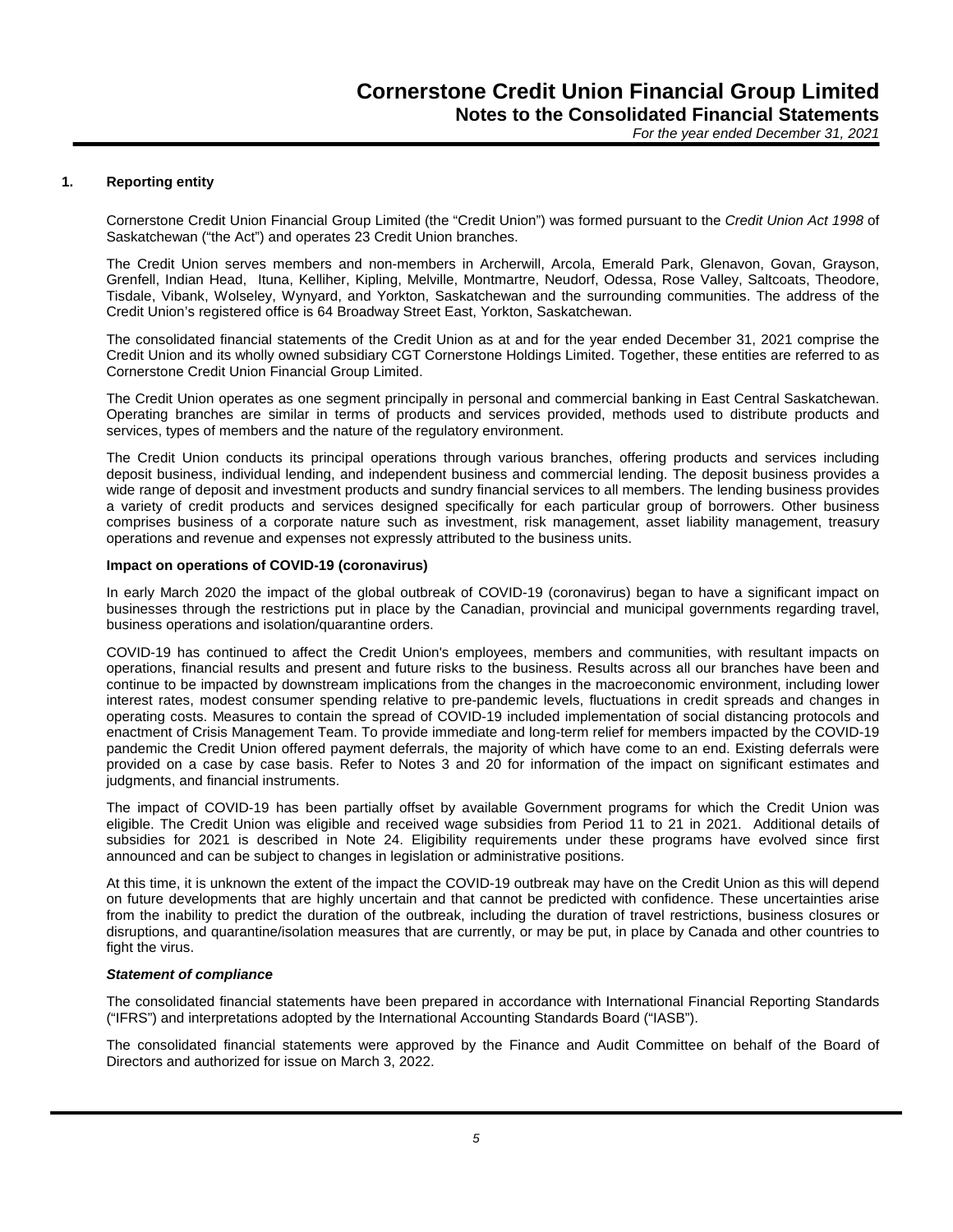#### **1. Reporting entity**

Cornerstone Credit Union Financial Group Limited (the "Credit Union") was formed pursuant to the *Credit Union Act 1998* of Saskatchewan ("the Act") and operates 23 Credit Union branches.

The Credit Union serves members and non-members in Archerwill, Arcola, Emerald Park, Glenavon, Govan, Grayson, Grenfell, Indian Head, Ituna, Kelliher, Kipling, Melville, Montmartre, Neudorf, Odessa, Rose Valley, Saltcoats, Theodore, Tisdale, Vibank, Wolseley, Wynyard, and Yorkton, Saskatchewan and the surrounding communities. The address of the Credit Union's registered office is 64 Broadway Street East, Yorkton, Saskatchewan.

The consolidated financial statements of the Credit Union as at and for the year ended December 31, 2021 comprise the Credit Union and its wholly owned subsidiary CGT Cornerstone Holdings Limited. Together, these entities are referred to as Cornerstone Credit Union Financial Group Limited.

The Credit Union operates as one segment principally in personal and commercial banking in East Central Saskatchewan. Operating branches are similar in terms of products and services provided, methods used to distribute products and services, types of members and the nature of the regulatory environment.

The Credit Union conducts its principal operations through various branches, offering products and services including deposit business, individual lending, and independent business and commercial lending. The deposit business provides a wide range of deposit and investment products and sundry financial services to all members. The lending business provides a variety of credit products and services designed specifically for each particular group of borrowers. Other business comprises business of a corporate nature such as investment, risk management, asset liability management, treasury operations and revenue and expenses not expressly attributed to the business units.

#### **Impact on operations of COVID-19 (coronavirus)**

In early March 2020 the impact of the global outbreak of COVID-19 (coronavirus) began to have a significant impact on businesses through the restrictions put in place by the Canadian, provincial and municipal governments regarding travel, business operations and isolation/quarantine orders.

COVID-19 has continued to affect the Credit Union's employees, members and communities, with resultant impacts on operations, financial results and present and future risks to the business. Results across all our branches have been and continue to be impacted by downstream implications from the changes in the macroeconomic environment, including lower interest rates, modest consumer spending relative to pre-pandemic levels, fluctuations in credit spreads and changes in operating costs. Measures to contain the spread of COVID-19 included implementation of social distancing protocols and enactment of Crisis Management Team. To provide immediate and long-term relief for members impacted by the COVID-19 pandemic the Credit Union offered payment deferrals, the majority of which have come to an end. Existing deferrals were provided on a case by case basis. Refer to Notes 3 and 20 for information of the impact on significant estimates and judgments, and financial instruments.

The impact of COVID-19 has been partially offset by available Government programs for which the Credit Union was eligible. The Credit Union was eligible and received wage subsidies from Period 11 to 21 in 2021. Additional details of subsidies for 2021 is described in Note 24. Eligibility requirements under these programs have evolved since first announced and can be subject to changes in legislation or administrative positions.

At this time, it is unknown the extent of the impact the COVID-19 outbreak may have on the Credit Union as this will depend on future developments that are highly uncertain and that cannot be predicted with confidence. These uncertainties arise from the inability to predict the duration of the outbreak, including the duration of travel restrictions, business closures or disruptions, and quarantine/isolation measures that are currently, or may be put, in place by Canada and other countries to fight the virus.

#### *Statement of compliance*

The consolidated financial statements have been prepared in accordance with International Financial Reporting Standards ("IFRS") and interpretations adopted by the International Accounting Standards Board ("IASB").

The consolidated financial statements were approved by the Finance and Audit Committee on behalf of the Board of Directors and authorized for issue on March 3, 2022.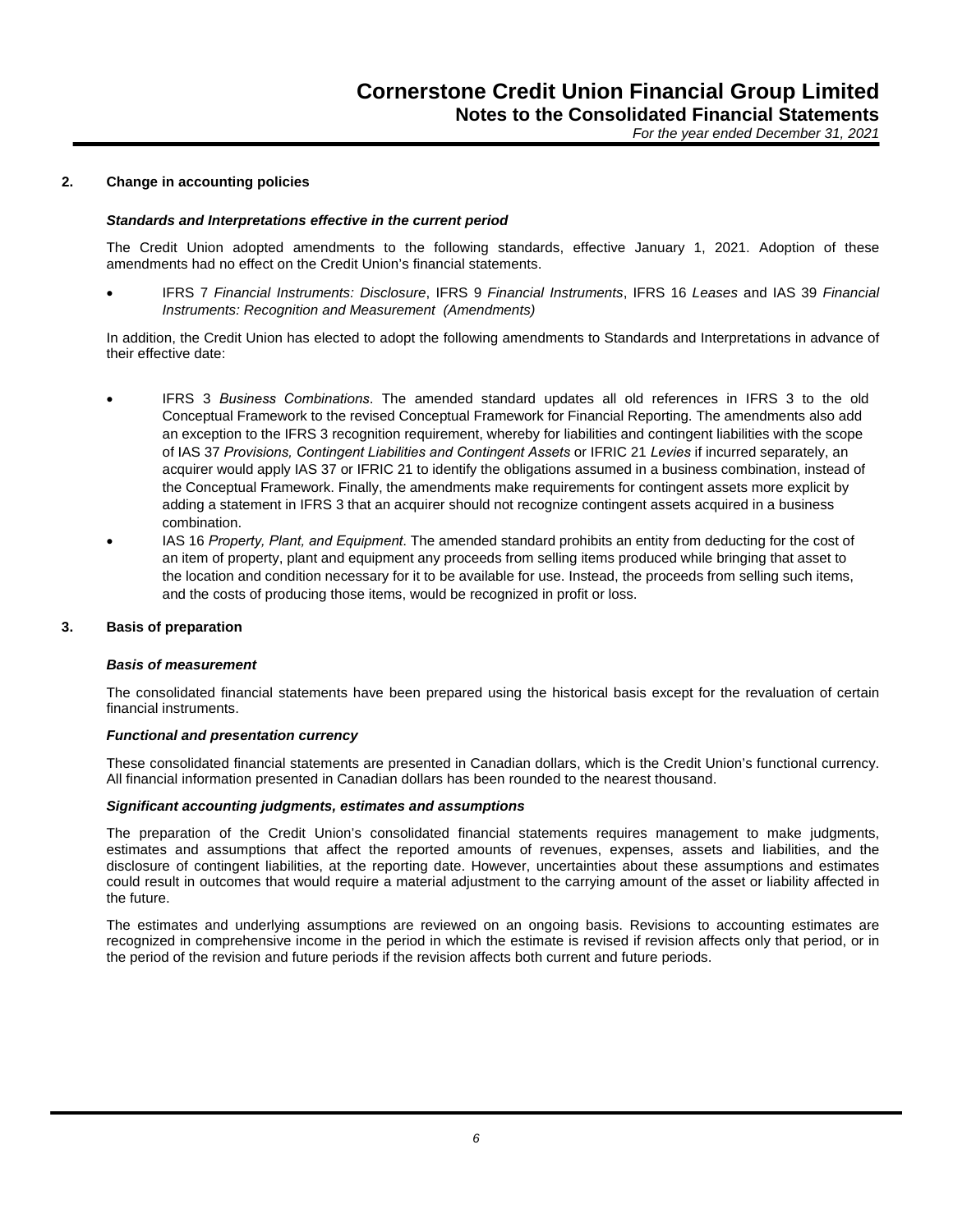#### **2. Change in accounting policies**

#### *Standards and Interpretations effective in the current period*

The Credit Union adopted amendments to the following standards, effective January 1, 2021. Adoption of these amendments had no effect on the Credit Union's financial statements.

 IFRS 7 *Financial Instruments: Disclosure*, IFRS 9 *Financial Instruments*, IFRS 16 *Leases* and IAS 39 *Financial Instruments: Recognition and Measurement (Amendments)*

In addition, the Credit Union has elected to adopt the following amendments to Standards and Interpretations in advance of their effective date:

- $\bullet$ IFRS 3 Business Combinations. The amended standard updates all old references in IFRS 3 to the old Conceptual Framework to the revised Conceptual Framework for Financial Reporting. The amendments also add an exception to the IFRS 3 recognition requirement, whereby for liabilities and contingent liabilities with the scope of IAS 37 Provisions, Contingent Liabilities and Contingent Assets or IFRIC 21 Levies if incurred separately, an acquirer would apply IAS 37 or IFRIC 21 to identify the obligations assumed in a business combination, instead of the Conceptual Framework. Finally, the amendments make requirements for contingent assets more explicit by adding a statement in IFRS 3 that an acquirer should not recognize contingent assets acquired in a business combination.
- $\bullet$ IAS 16 Property, Plant, and Equipment. The amended standard prohibits an entity from deducting for the cost of an item of property, plant and equipment any proceeds from selling items produced while bringing that asset to the location and condition necessary for it to be available for use. Instead, the proceeds from selling such items, and the costs of producing those items, would be recognized in profit or loss.

#### **3. Basis of preparation**

#### *Basis of measurement*

The consolidated financial statements have been prepared using the historical basis except for the revaluation of certain financial instruments.

#### *Functional and presentation currency*

These consolidated financial statements are presented in Canadian dollars, which is the Credit Union's functional currency. All financial information presented in Canadian dollars has been rounded to the nearest thousand.

#### *Significant accounting judgments, estimates and assumptions*

The preparation of the Credit Union's consolidated financial statements requires management to make judgments, estimates and assumptions that affect the reported amounts of revenues, expenses, assets and liabilities, and the disclosure of contingent liabilities, at the reporting date. However, uncertainties about these assumptions and estimates could result in outcomes that would require a material adjustment to the carrying amount of the asset or liability affected in the future.

The estimates and underlying assumptions are reviewed on an ongoing basis. Revisions to accounting estimates are recognized in comprehensive income in the period in which the estimate is revised if revision affects only that period, or in the period of the revision and future periods if the revision affects both current and future periods.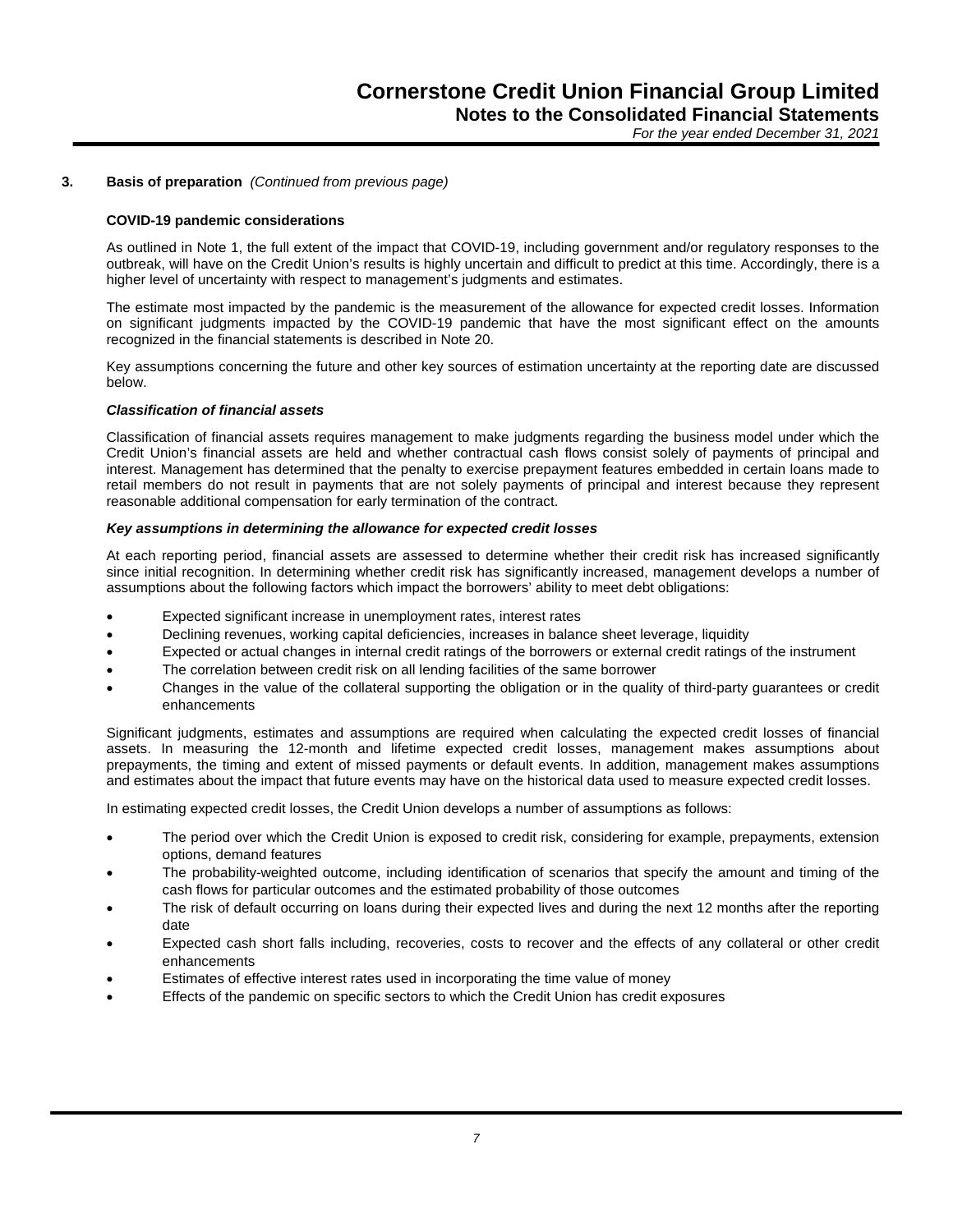#### **3. Basis of preparation** *(Continued from previous page)*

#### **COVID-19 pandemic considerations**

As outlined in Note 1, the full extent of the impact that COVID-19, including government and/or regulatory responses to the outbreak, will have on the Credit Union's results is highly uncertain and difficult to predict at this time. Accordingly, there is a higher level of uncertainty with respect to management's judgments and estimates.

The estimate most impacted by the pandemic is the measurement of the allowance for expected credit losses. Information on significant judgments impacted by the COVID-19 pandemic that have the most significant effect on the amounts recognized in the financial statements is described in Note 20.

Key assumptions concerning the future and other key sources of estimation uncertainty at the reporting date are discussed below.

#### *Classification of financial assets*

Classification of financial assets requires management to make judgments regarding the business model under which the Credit Union's financial assets are held and whether contractual cash flows consist solely of payments of principal and interest. Management has determined that the penalty to exercise prepayment features embedded in certain loans made to retail members do not result in payments that are not solely payments of principal and interest because they represent reasonable additional compensation for early termination of the contract.

#### *Key assumptions in determining the allowance for expected credit losses*

At each reporting period, financial assets are assessed to determine whether their credit risk has increased significantly since initial recognition. In determining whether credit risk has significantly increased, management develops a number of assumptions about the following factors which impact the borrowers' ability to meet debt obligations:

- Expected significant increase in unemployment rates, interest rates
- Declining revenues, working capital deficiencies, increases in balance sheet leverage, liquidity
- Expected or actual changes in internal credit ratings of the borrowers or external credit ratings of the instrument
- The correlation between credit risk on all lending facilities of the same borrower
- Changes in the value of the collateral supporting the obligation or in the quality of third-party guarantees or credit enhancements

Significant judgments, estimates and assumptions are required when calculating the expected credit losses of financial assets. In measuring the 12-month and lifetime expected credit losses, management makes assumptions about prepayments, the timing and extent of missed payments or default events. In addition, management makes assumptions and estimates about the impact that future events may have on the historical data used to measure expected credit losses.

In estimating expected credit losses, the Credit Union develops a number of assumptions as follows:

- The period over which the Credit Union is exposed to credit risk, considering for example, prepayments, extension options, demand features
- The probability-weighted outcome, including identification of scenarios that specify the amount and timing of the cash flows for particular outcomes and the estimated probability of those outcomes
- The risk of default occurring on loans during their expected lives and during the next 12 months after the reporting date
- Expected cash short falls including, recoveries, costs to recover and the effects of any collateral or other credit enhancements
- Estimates of effective interest rates used in incorporating the time value of money
- Effects of the pandemic on specific sectors to which the Credit Union has credit exposures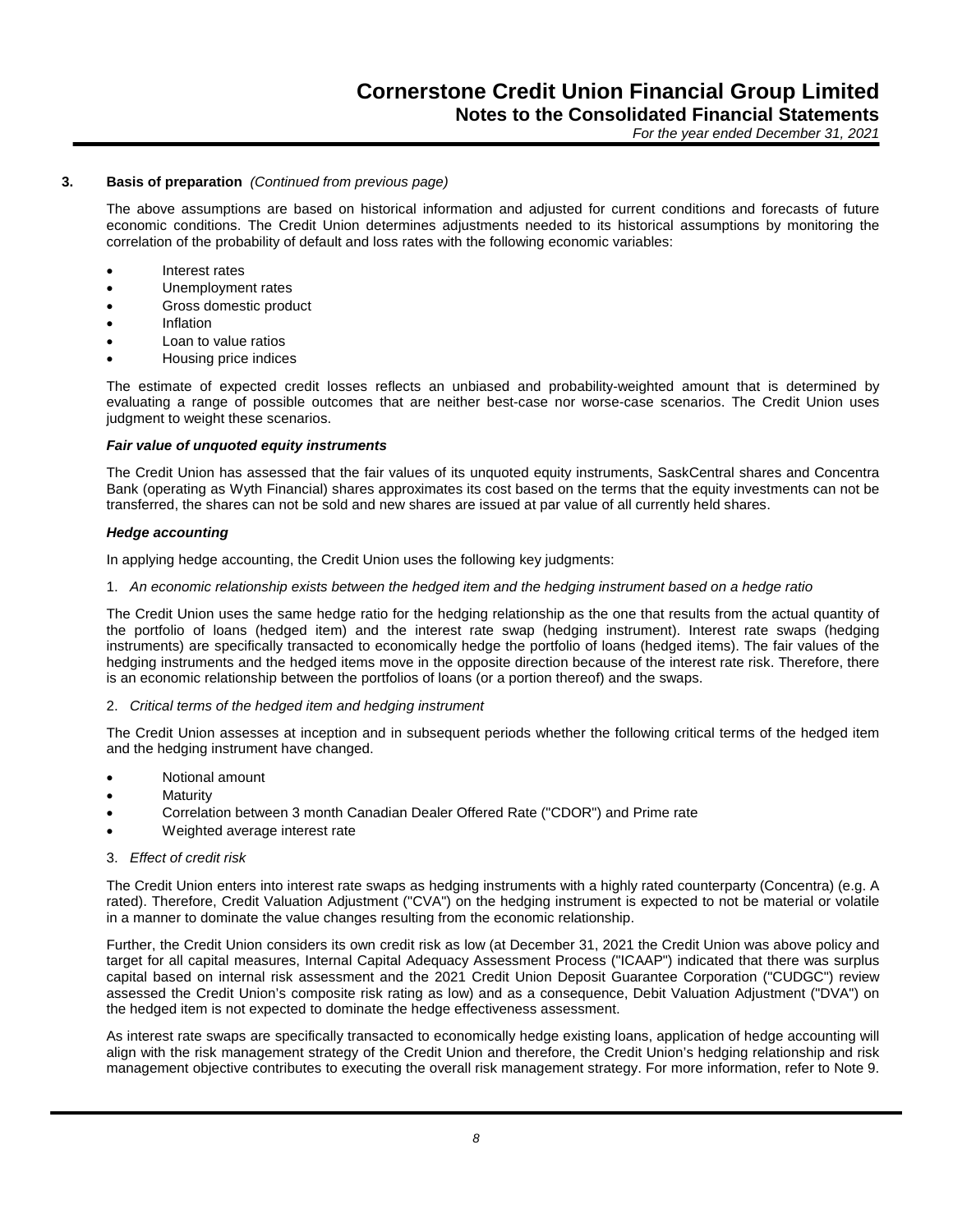#### **3. Basis of preparation** *(Continued from previous page)*

The above assumptions are based on historical information and adjusted for current conditions and forecasts of future economic conditions. The Credit Union determines adjustments needed to its historical assumptions by monitoring the correlation of the probability of default and loss rates with the following economic variables:

- Interest rates
- Unemployment rates
- Gross domestic product
- Inflation
- Loan to value ratios
- Housing price indices

The estimate of expected credit losses reflects an unbiased and probability-weighted amount that is determined by evaluating a range of possible outcomes that are neither best-case nor worse-case scenarios. The Credit Union uses judgment to weight these scenarios.

#### *Fair value of unquoted equity instruments*

The Credit Union has assessed that the fair values of its unquoted equity instruments, SaskCentral shares and Concentra Bank (operating as Wyth Financial) shares approximates its cost based on the terms that the equity investments can not be transferred, the shares can not be sold and new shares are issued at par value of all currently held shares.

#### *Hedge accounting*

In applying hedge accounting, the Credit Union uses the following key judgments:

#### 1. *An economic relationship exists between the hedged item and the hedging instrument based on a hedge ratio*

The Credit Union uses the same hedge ratio for the hedging relationship as the one that results from the actual quantity of the portfolio of loans (hedged item) and the interest rate swap (hedging instrument). Interest rate swaps (hedging instruments) are specifically transacted to economically hedge the portfolio of loans (hedged items). The fair values of the hedging instruments and the hedged items move in the opposite direction because of the interest rate risk. Therefore, there is an economic relationship between the portfolios of loans (or a portion thereof) and the swaps.

#### 2. *Critical terms of the hedged item and hedging instrument*

The Credit Union assesses at inception and in subsequent periods whether the following critical terms of the hedged item and the hedging instrument have changed.

- Notional amount
- **Maturity**
- Correlation between 3 month Canadian Dealer Offered Rate ("CDOR") and Prime rate
- Weighted average interest rate
- 3. *Effect of credit risk*

The Credit Union enters into interest rate swaps as hedging instruments with a highly rated counterparty (Concentra) (e.g. A rated). Therefore, Credit Valuation Adjustment ("CVA") on the hedging instrument is expected to not be material or volatile in a manner to dominate the value changes resulting from the economic relationship.

Further, the Credit Union considers its own credit risk as low (at December 31, 2021 the Credit Union was above policy and target for all capital measures, Internal Capital Adequacy Assessment Process ("ICAAP") indicated that there was surplus capital based on internal risk assessment and the 2021 Credit Union Deposit Guarantee Corporation ("CUDGC") review assessed the Credit Union's composite risk rating as low) and as a consequence, Debit Valuation Adjustment ("DVA") on the hedged item is not expected to dominate the hedge effectiveness assessment.

As interest rate swaps are specifically transacted to economically hedge existing loans, application of hedge accounting will align with the risk management strategy of the Credit Union and therefore, the Credit Union's hedging relationship and risk management objective contributes to executing the overall risk management strategy. For more information, refer to Note 9.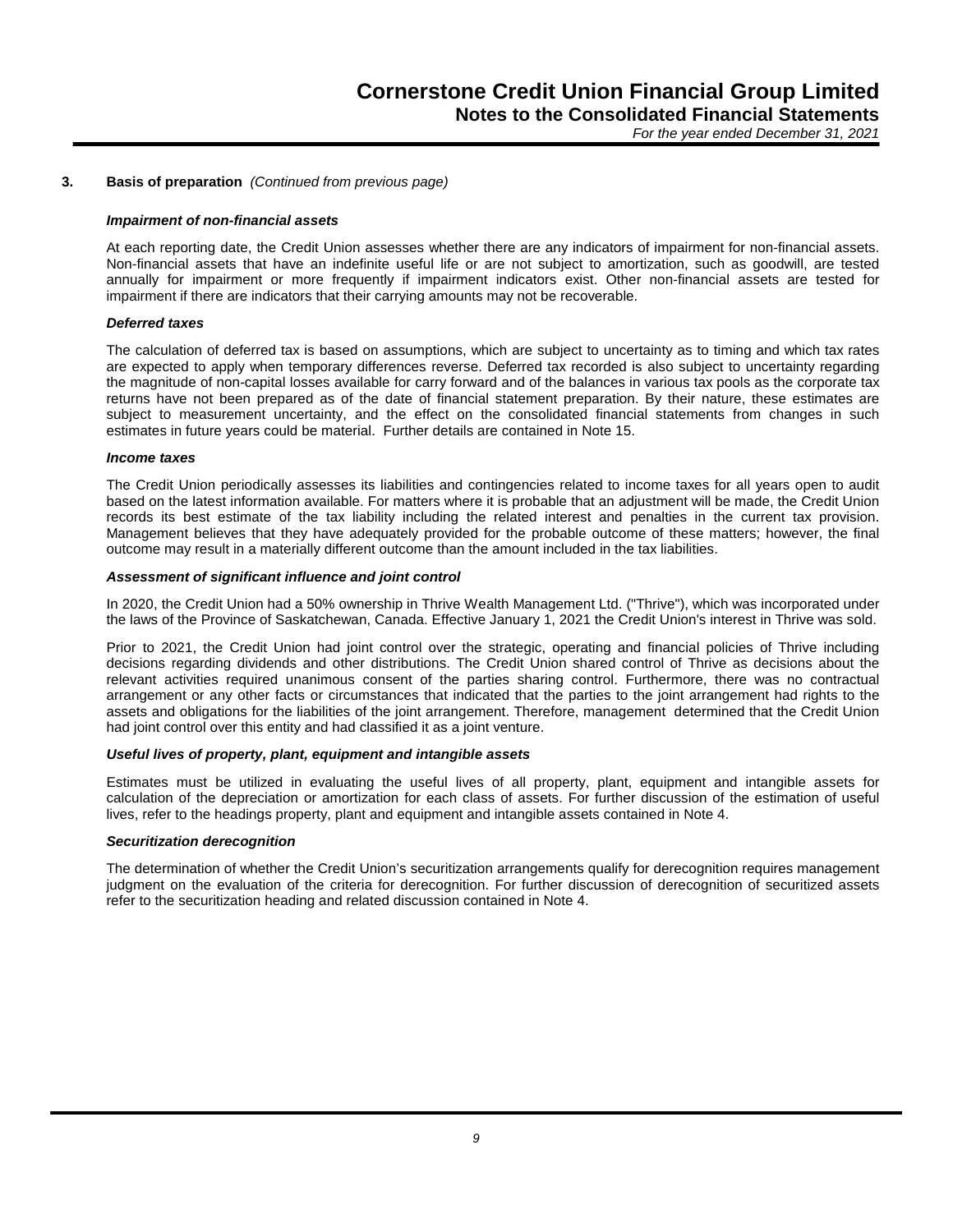#### **3. Basis of preparation** *(Continued from previous page)*

#### *Impairment of non-financial assets*

At each reporting date, the Credit Union assesses whether there are any indicators of impairment for non-financial assets. Non-financial assets that have an indefinite useful life or are not subject to amortization, such as goodwill, are tested annually for impairment or more frequently if impairment indicators exist. Other non-financial assets are tested for impairment if there are indicators that their carrying amounts may not be recoverable.

#### *Deferred taxes*

The calculation of deferred tax is based on assumptions, which are subject to uncertainty as to timing and which tax rates are expected to apply when temporary differences reverse. Deferred tax recorded is also subject to uncertainty regarding the magnitude of non-capital losses available for carry forward and of the balances in various tax pools as the corporate tax returns have not been prepared as of the date of financial statement preparation. By their nature, these estimates are subject to measurement uncertainty, and the effect on the consolidated financial statements from changes in such estimates in future years could be material. Further details are contained in Note 15.

#### *Income taxes*

The Credit Union periodically assesses its liabilities and contingencies related to income taxes for all years open to audit based on the latest information available. For matters where it is probable that an adjustment will be made, the Credit Union records its best estimate of the tax liability including the related interest and penalties in the current tax provision. Management believes that they have adequately provided for the probable outcome of these matters; however, the final outcome may result in a materially different outcome than the amount included in the tax liabilities.

#### *Assessment of significant influence and joint control*

In 2020, the Credit Union had a 50% ownership in Thrive Wealth Management Ltd. ("Thrive"), which was incorporated under the laws of the Province of Saskatchewan, Canada. Effective January 1, 2021 the Credit Union's interest in Thrive was sold.

Prior to 2021, the Credit Union had joint control over the strategic, operating and financial policies of Thrive including decisions regarding dividends and other distributions. The Credit Union shared control of Thrive as decisions about the relevant activities required unanimous consent of the parties sharing control. Furthermore, there was no contractual arrangement or any other facts or circumstances that indicated that the parties to the joint arrangement had rights to the assets and obligations for the liabilities of the joint arrangement. Therefore, management determined that the Credit Union had joint control over this entity and had classified it as a joint venture.

#### *Useful lives of property, plant, equipment and intangible assets*

Estimates must be utilized in evaluating the useful lives of all property, plant, equipment and intangible assets for calculation of the depreciation or amortization for each class of assets. For further discussion of the estimation of useful lives, refer to the headings property, plant and equipment and intangible assets contained in Note 4.

#### *Securitization derecognition*

The determination of whether the Credit Union's securitization arrangements qualify for derecognition requires management judgment on the evaluation of the criteria for derecognition. For further discussion of derecognition of securitized assets refer to the securitization heading and related discussion contained in Note 4.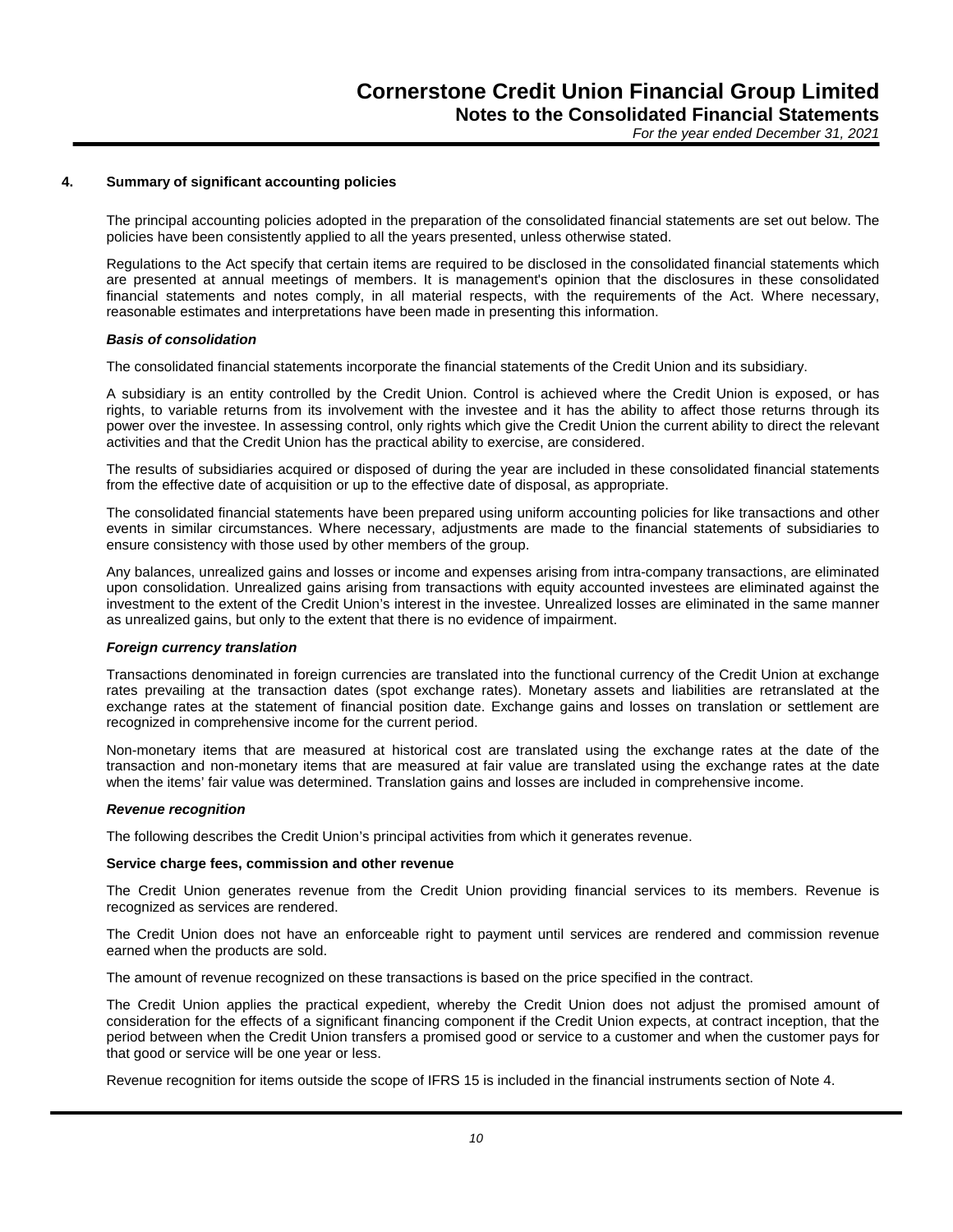#### **4. Summary of significant accounting policies**

The principal accounting policies adopted in the preparation of the consolidated financial statements are set out below. The policies have been consistently applied to all the years presented, unless otherwise stated.

Regulations to the Act specify that certain items are required to be disclosed in the consolidated financial statements which are presented at annual meetings of members. It is management's opinion that the disclosures in these consolidated financial statements and notes comply, in all material respects, with the requirements of the Act. Where necessary, reasonable estimates and interpretations have been made in presenting this information.

#### *Basis of consolidation*

The consolidated financial statements incorporate the financial statements of the Credit Union and its subsidiary.

A subsidiary is an entity controlled by the Credit Union. Control is achieved where the Credit Union is exposed, or has rights, to variable returns from its involvement with the investee and it has the ability to affect those returns through its power over the investee. In assessing control, only rights which give the Credit Union the current ability to direct the relevant activities and that the Credit Union has the practical ability to exercise, are considered.

The results of subsidiaries acquired or disposed of during the year are included in these consolidated financial statements from the effective date of acquisition or up to the effective date of disposal, as appropriate.

The consolidated financial statements have been prepared using uniform accounting policies for like transactions and other events in similar circumstances. Where necessary, adjustments are made to the financial statements of subsidiaries to ensure consistency with those used by other members of the group.

Any balances, unrealized gains and losses or income and expenses arising from intra-company transactions, are eliminated upon consolidation. Unrealized gains arising from transactions with equity accounted investees are eliminated against the investment to the extent of the Credit Union's interest in the investee. Unrealized losses are eliminated in the same manner as unrealized gains, but only to the extent that there is no evidence of impairment.

#### *Foreign currency translation*

Transactions denominated in foreign currencies are translated into the functional currency of the Credit Union at exchange rates prevailing at the transaction dates (spot exchange rates). Monetary assets and liabilities are retranslated at the exchange rates at the statement of financial position date. Exchange gains and losses on translation or settlement are recognized in comprehensive income for the current period.

Non-monetary items that are measured at historical cost are translated using the exchange rates at the date of the transaction and non-monetary items that are measured at fair value are translated using the exchange rates at the date when the items' fair value was determined. Translation gains and losses are included in comprehensive income.

#### *Revenue recognition*

The following describes the Credit Union's principal activities from which it generates revenue.

#### **Service charge fees, commission and other revenue**

The Credit Union generates revenue from the Credit Union providing financial services to its members. Revenue is recognized as services are rendered.

The Credit Union does not have an enforceable right to payment until services are rendered and commission revenue earned when the products are sold.

The amount of revenue recognized on these transactions is based on the price specified in the contract.

The Credit Union applies the practical expedient, whereby the Credit Union does not adjust the promised amount of consideration for the effects of a significant financing component if the Credit Union expects, at contract inception, that the period between when the Credit Union transfers a promised good or service to a customer and when the customer pays for that good or service will be one year or less.

Revenue recognition for items outside the scope of IFRS 15 is included in the financial instruments section of Note 4.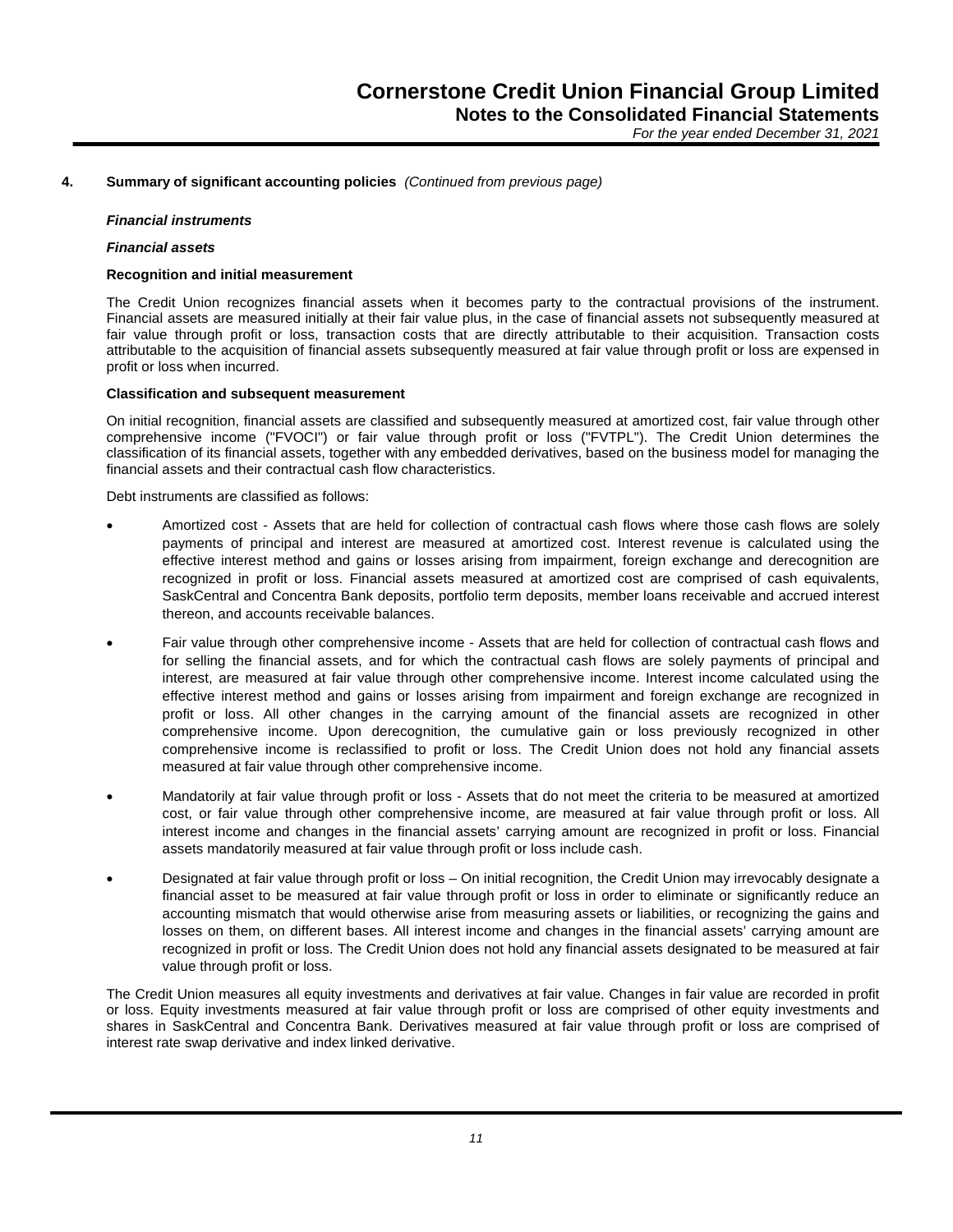#### *Financial instruments*

#### *Financial assets*

#### **Recognition and initial measurement**

The Credit Union recognizes financial assets when it becomes party to the contractual provisions of the instrument. Financial assets are measured initially at their fair value plus, in the case of financial assets not subsequently measured at fair value through profit or loss, transaction costs that are directly attributable to their acquisition. Transaction costs attributable to the acquisition of financial assets subsequently measured at fair value through profit or loss are expensed in profit or loss when incurred.

#### **Classification and subsequent measurement**

On initial recognition, financial assets are classified and subsequently measured at amortized cost, fair value through other comprehensive income ("FVOCI") or fair value through profit or loss ("FVTPL"). The Credit Union determines the classification of its financial assets, together with any embedded derivatives, based on the business model for managing the financial assets and their contractual cash flow characteristics.

Debt instruments are classified as follows:

- Amortized cost Assets that are held for collection of contractual cash flows where those cash flows are solely payments of principal and interest are measured at amortized cost. Interest revenue is calculated using the effective interest method and gains or losses arising from impairment, foreign exchange and derecognition are recognized in profit or loss. Financial assets measured at amortized cost are comprised of cash equivalents, SaskCentral and Concentra Bank deposits, portfolio term deposits, member loans receivable and accrued interest thereon, and accounts receivable balances.
- Fair value through other comprehensive income Assets that are held for collection of contractual cash flows and for selling the financial assets, and for which the contractual cash flows are solely payments of principal and interest, are measured at fair value through other comprehensive income. Interest income calculated using the effective interest method and gains or losses arising from impairment and foreign exchange are recognized in profit or loss. All other changes in the carrying amount of the financial assets are recognized in other comprehensive income. Upon derecognition, the cumulative gain or loss previously recognized in other comprehensive income is reclassified to profit or loss. The Credit Union does not hold any financial assets measured at fair value through other comprehensive income.
- Mandatorily at fair value through profit or loss Assets that do not meet the criteria to be measured at amortized cost, or fair value through other comprehensive income, are measured at fair value through profit or loss. All interest income and changes in the financial assets' carrying amount are recognized in profit or loss. Financial assets mandatorily measured at fair value through profit or loss include cash.
- Designated at fair value through profit or loss On initial recognition, the Credit Union may irrevocably designate a financial asset to be measured at fair value through profit or loss in order to eliminate or significantly reduce an accounting mismatch that would otherwise arise from measuring assets or liabilities, or recognizing the gains and losses on them, on different bases. All interest income and changes in the financial assets' carrying amount are recognized in profit or loss. The Credit Union does not hold any financial assets designated to be measured at fair value through profit or loss.

The Credit Union measures all equity investments and derivatives at fair value. Changes in fair value are recorded in profit or loss. Equity investments measured at fair value through profit or loss are comprised of other equity investments and shares in SaskCentral and Concentra Bank. Derivatives measured at fair value through profit or loss are comprised of interest rate swap derivative and index linked derivative.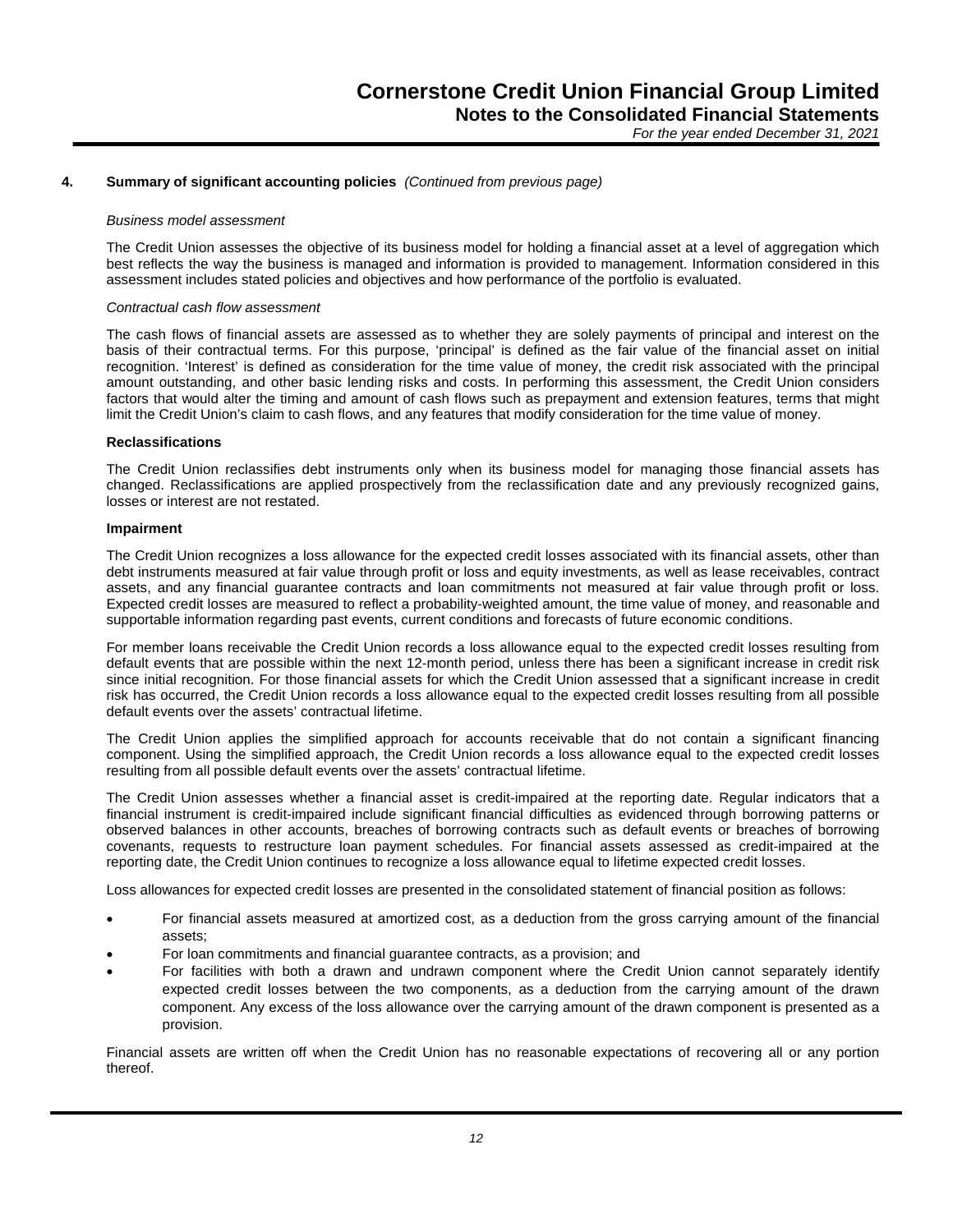#### *Business model assessment*

The Credit Union assesses the objective of its business model for holding a financial asset at a level of aggregation which best reflects the way the business is managed and information is provided to management. Information considered in this assessment includes stated policies and objectives and how performance of the portfolio is evaluated.

#### *Contractual cash flow assessment*

The cash flows of financial assets are assessed as to whether they are solely payments of principal and interest on the basis of their contractual terms. For this purpose, 'principal' is defined as the fair value of the financial asset on initial recognition. 'Interest' is defined as consideration for the time value of money, the credit risk associated with the principal amount outstanding, and other basic lending risks and costs. In performing this assessment, the Credit Union considers factors that would alter the timing and amount of cash flows such as prepayment and extension features, terms that might limit the Credit Union's claim to cash flows, and any features that modify consideration for the time value of money.

#### **Reclassifications**

The Credit Union reclassifies debt instruments only when its business model for managing those financial assets has changed. Reclassifications are applied prospectively from the reclassification date and any previously recognized gains, losses or interest are not restated.

#### **Impairment**

The Credit Union recognizes a loss allowance for the expected credit losses associated with its financial assets, other than debt instruments measured at fair value through profit or loss and equity investments, as well as lease receivables, contract assets, and any financial guarantee contracts and loan commitments not measured at fair value through profit or loss. Expected credit losses are measured to reflect a probability-weighted amount, the time value of money, and reasonable and supportable information regarding past events, current conditions and forecasts of future economic conditions.

For member loans receivable the Credit Union records a loss allowance equal to the expected credit losses resulting from default events that are possible within the next 12-month period, unless there has been a significant increase in credit risk since initial recognition. For those financial assets for which the Credit Union assessed that a significant increase in credit risk has occurred, the Credit Union records a loss allowance equal to the expected credit losses resulting from all possible default events over the assets' contractual lifetime.

The Credit Union applies the simplified approach for accounts receivable that do not contain a significant financing component. Using the simplified approach, the Credit Union records a loss allowance equal to the expected credit losses resulting from all possible default events over the assets' contractual lifetime.

The Credit Union assesses whether a financial asset is credit-impaired at the reporting date. Regular indicators that a financial instrument is credit-impaired include significant financial difficulties as evidenced through borrowing patterns or observed balances in other accounts, breaches of borrowing contracts such as default events or breaches of borrowing covenants, requests to restructure loan payment schedules. For financial assets assessed as credit-impaired at the reporting date, the Credit Union continues to recognize a loss allowance equal to lifetime expected credit losses.

Loss allowances for expected credit losses are presented in the consolidated statement of financial position as follows:

- For financial assets measured at amortized cost, as a deduction from the gross carrying amount of the financial assets;
- For loan commitments and financial guarantee contracts, as a provision; and
- For facilities with both a drawn and undrawn component where the Credit Union cannot separately identify expected credit losses between the two components, as a deduction from the carrying amount of the drawn component. Any excess of the loss allowance over the carrying amount of the drawn component is presented as a provision.

Financial assets are written off when the Credit Union has no reasonable expectations of recovering all or any portion thereof.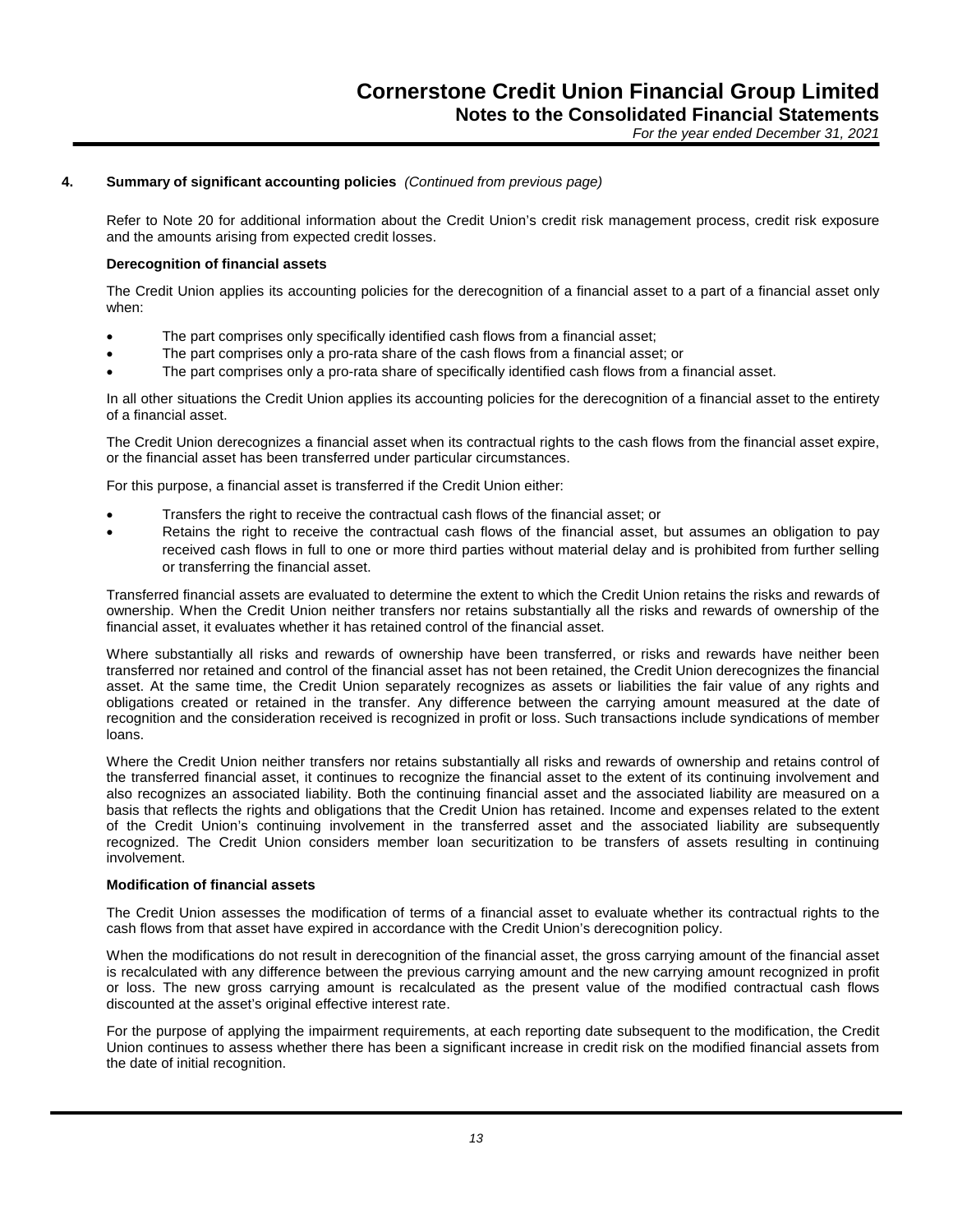#### **4. Summary of significant accounting policies** *(Continued from previous page)*

Refer to Note 20 for additional information about the Credit Union's credit risk management process, credit risk exposure and the amounts arising from expected credit losses.

#### **Derecognition of financial assets**

The Credit Union applies its accounting policies for the derecognition of a financial asset to a part of a financial asset only when:

- The part comprises only specifically identified cash flows from a financial asset;
- The part comprises only a pro-rata share of the cash flows from a financial asset; or
- The part comprises only a pro-rata share of specifically identified cash flows from a financial asset.

In all other situations the Credit Union applies its accounting policies for the derecognition of a financial asset to the entirety of a financial asset.

The Credit Union derecognizes a financial asset when its contractual rights to the cash flows from the financial asset expire, or the financial asset has been transferred under particular circumstances.

For this purpose, a financial asset is transferred if the Credit Union either:

- Transfers the right to receive the contractual cash flows of the financial asset; or
- Retains the right to receive the contractual cash flows of the financial asset, but assumes an obligation to pay received cash flows in full to one or more third parties without material delay and is prohibited from further selling or transferring the financial asset.

Transferred financial assets are evaluated to determine the extent to which the Credit Union retains the risks and rewards of ownership. When the Credit Union neither transfers nor retains substantially all the risks and rewards of ownership of the financial asset, it evaluates whether it has retained control of the financial asset.

Where substantially all risks and rewards of ownership have been transferred, or risks and rewards have neither been transferred nor retained and control of the financial asset has not been retained, the Credit Union derecognizes the financial asset. At the same time, the Credit Union separately recognizes as assets or liabilities the fair value of any rights and obligations created or retained in the transfer. Any difference between the carrying amount measured at the date of recognition and the consideration received is recognized in profit or loss. Such transactions include syndications of member loans.

Where the Credit Union neither transfers nor retains substantially all risks and rewards of ownership and retains control of the transferred financial asset, it continues to recognize the financial asset to the extent of its continuing involvement and also recognizes an associated liability. Both the continuing financial asset and the associated liability are measured on a basis that reflects the rights and obligations that the Credit Union has retained. Income and expenses related to the extent of the Credit Union's continuing involvement in the transferred asset and the associated liability are subsequently recognized. The Credit Union considers member loan securitization to be transfers of assets resulting in continuing involvement.

#### **Modification of financial assets**

The Credit Union assesses the modification of terms of a financial asset to evaluate whether its contractual rights to the cash flows from that asset have expired in accordance with the Credit Union's derecognition policy.

When the modifications do not result in derecognition of the financial asset, the gross carrying amount of the financial asset is recalculated with any difference between the previous carrying amount and the new carrying amount recognized in profit or loss. The new gross carrying amount is recalculated as the present value of the modified contractual cash flows discounted at the asset's original effective interest rate.

For the purpose of applying the impairment requirements, at each reporting date subsequent to the modification, the Credit Union continues to assess whether there has been a significant increase in credit risk on the modified financial assets from the date of initial recognition.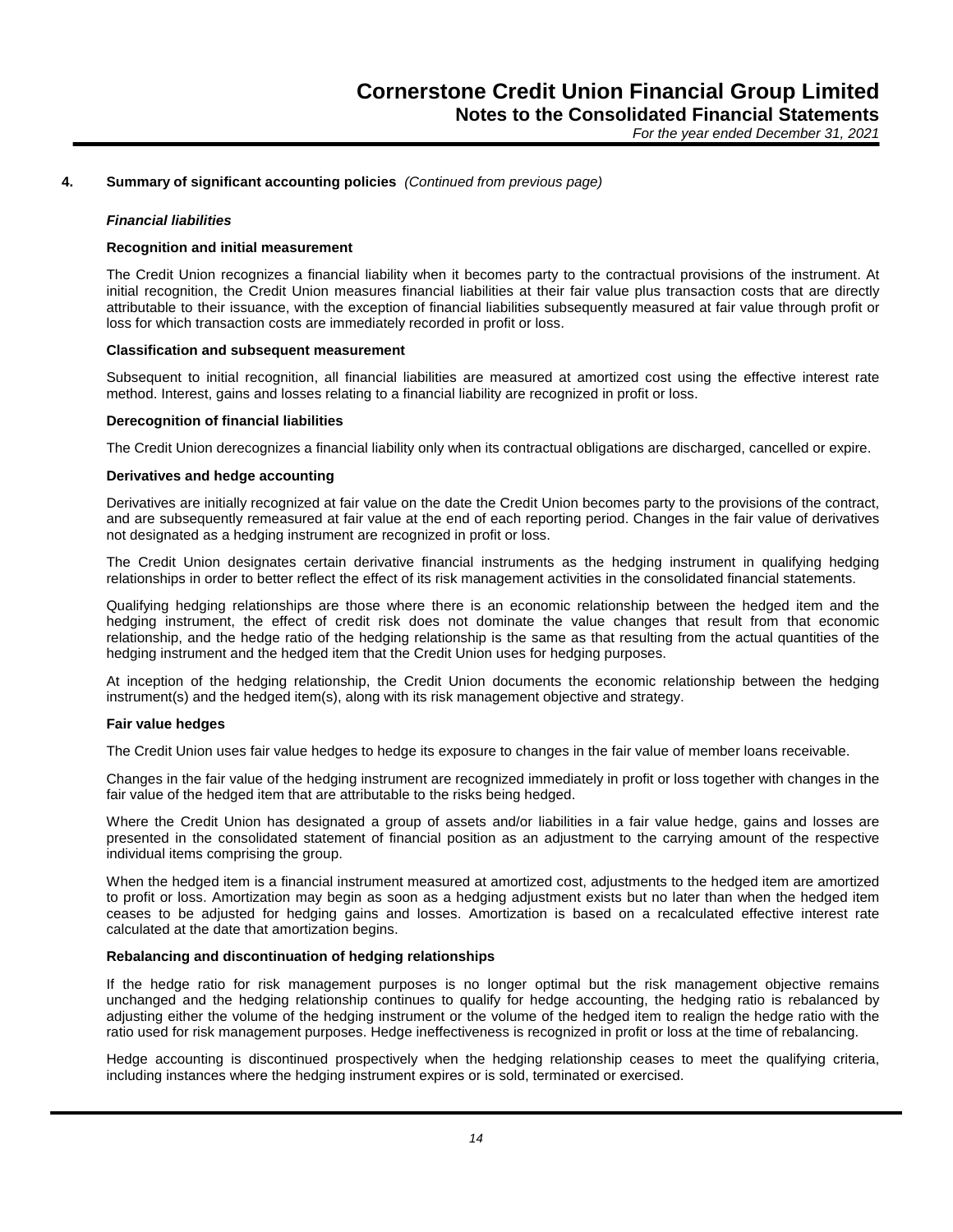#### *Financial liabilities*

#### **Recognition and initial measurement**

The Credit Union recognizes a financial liability when it becomes party to the contractual provisions of the instrument. At initial recognition, the Credit Union measures financial liabilities at their fair value plus transaction costs that are directly attributable to their issuance, with the exception of financial liabilities subsequently measured at fair value through profit or loss for which transaction costs are immediately recorded in profit or loss.

#### **Classification and subsequent measurement**

Subsequent to initial recognition, all financial liabilities are measured at amortized cost using the effective interest rate method. Interest, gains and losses relating to a financial liability are recognized in profit or loss.

#### **Derecognition of financial liabilities**

The Credit Union derecognizes a financial liability only when its contractual obligations are discharged, cancelled or expire.

#### **Derivatives and hedge accounting**

Derivatives are initially recognized at fair value on the date the Credit Union becomes party to the provisions of the contract, and are subsequently remeasured at fair value at the end of each reporting period. Changes in the fair value of derivatives not designated as a hedging instrument are recognized in profit or loss.

The Credit Union designates certain derivative financial instruments as the hedging instrument in qualifying hedging relationships in order to better reflect the effect of its risk management activities in the consolidated financial statements.

Qualifying hedging relationships are those where there is an economic relationship between the hedged item and the hedging instrument, the effect of credit risk does not dominate the value changes that result from that economic relationship, and the hedge ratio of the hedging relationship is the same as that resulting from the actual quantities of the hedging instrument and the hedged item that the Credit Union uses for hedging purposes.

At inception of the hedging relationship, the Credit Union documents the economic relationship between the hedging instrument(s) and the hedged item(s), along with its risk management objective and strategy.

#### **Fair value hedges**

The Credit Union uses fair value hedges to hedge its exposure to changes in the fair value of member loans receivable.

Changes in the fair value of the hedging instrument are recognized immediately in profit or loss together with changes in the fair value of the hedged item that are attributable to the risks being hedged.

Where the Credit Union has designated a group of assets and/or liabilities in a fair value hedge, gains and losses are presented in the consolidated statement of financial position as an adjustment to the carrying amount of the respective individual items comprising the group.

When the hedged item is a financial instrument measured at amortized cost, adjustments to the hedged item are amortized to profit or loss. Amortization may begin as soon as a hedging adjustment exists but no later than when the hedged item ceases to be adjusted for hedging gains and losses. Amortization is based on a recalculated effective interest rate calculated at the date that amortization begins.

#### **Rebalancing and discontinuation of hedging relationships**

If the hedge ratio for risk management purposes is no longer optimal but the risk management objective remains unchanged and the hedging relationship continues to qualify for hedge accounting, the hedging ratio is rebalanced by adjusting either the volume of the hedging instrument or the volume of the hedged item to realign the hedge ratio with the ratio used for risk management purposes. Hedge ineffectiveness is recognized in profit or loss at the time of rebalancing.

Hedge accounting is discontinued prospectively when the hedging relationship ceases to meet the qualifying criteria, including instances where the hedging instrument expires or is sold, terminated or exercised.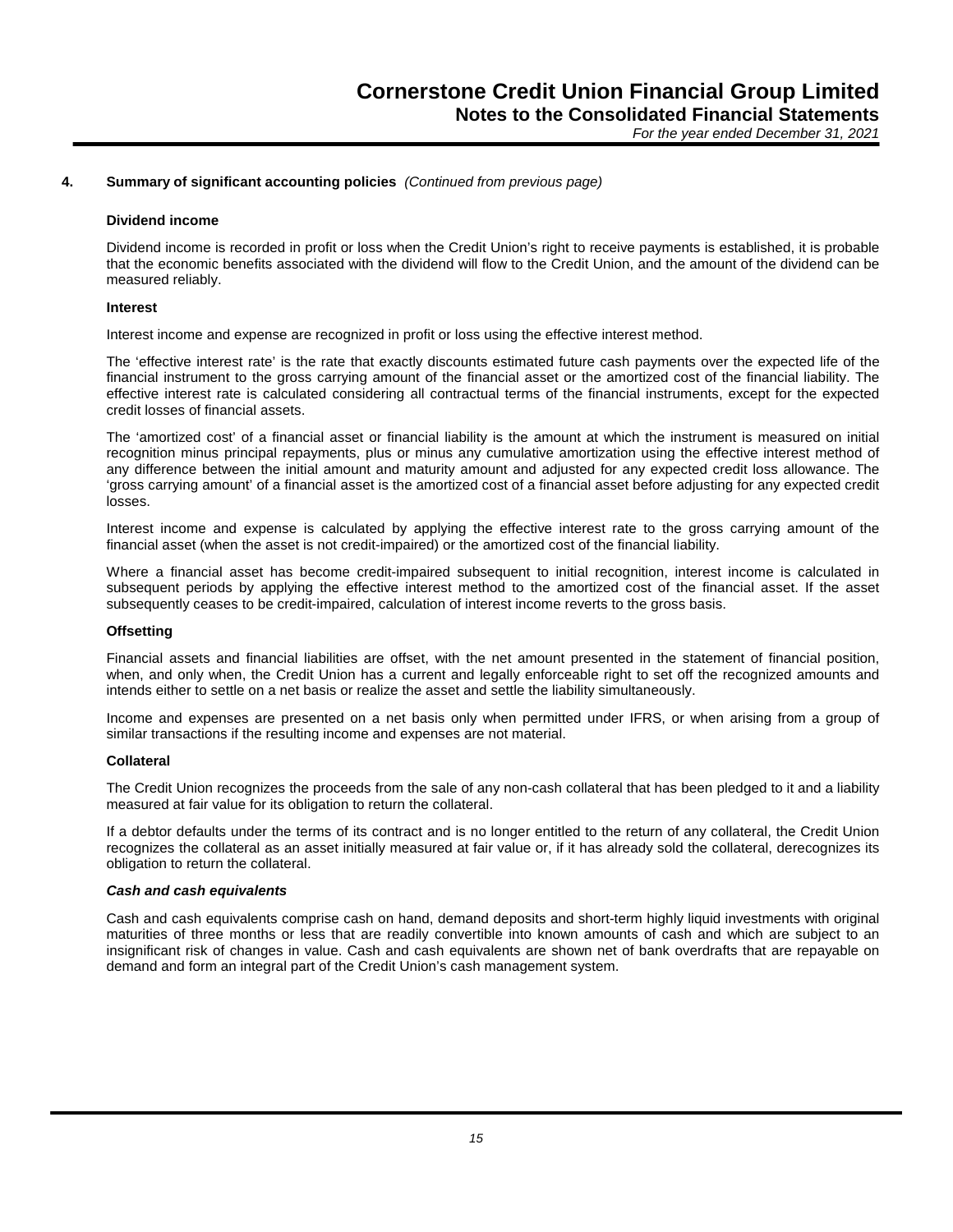#### **Dividend income**

Dividend income is recorded in profit or loss when the Credit Union's right to receive payments is established, it is probable that the economic benefits associated with the dividend will flow to the Credit Union, and the amount of the dividend can be measured reliably.

#### **Interest**

Interest income and expense are recognized in profit or loss using the effective interest method.

The 'effective interest rate' is the rate that exactly discounts estimated future cash payments over the expected life of the financial instrument to the gross carrying amount of the financial asset or the amortized cost of the financial liability. The effective interest rate is calculated considering all contractual terms of the financial instruments, except for the expected credit losses of financial assets.

The 'amortized cost' of a financial asset or financial liability is the amount at which the instrument is measured on initial recognition minus principal repayments, plus or minus any cumulative amortization using the effective interest method of any difference between the initial amount and maturity amount and adjusted for any expected credit loss allowance. The 'gross carrying amount' of a financial asset is the amortized cost of a financial asset before adjusting for any expected credit losses.

Interest income and expense is calculated by applying the effective interest rate to the gross carrying amount of the financial asset (when the asset is not credit-impaired) or the amortized cost of the financial liability.

Where a financial asset has become credit-impaired subsequent to initial recognition, interest income is calculated in subsequent periods by applying the effective interest method to the amortized cost of the financial asset. If the asset subsequently ceases to be credit-impaired, calculation of interest income reverts to the gross basis.

#### **Offsetting**

Financial assets and financial liabilities are offset, with the net amount presented in the statement of financial position, when, and only when, the Credit Union has a current and legally enforceable right to set off the recognized amounts and intends either to settle on a net basis or realize the asset and settle the liability simultaneously.

Income and expenses are presented on a net basis only when permitted under IFRS, or when arising from a group of similar transactions if the resulting income and expenses are not material.

#### **Collateral**

The Credit Union recognizes the proceeds from the sale of any non-cash collateral that has been pledged to it and a liability measured at fair value for its obligation to return the collateral.

If a debtor defaults under the terms of its contract and is no longer entitled to the return of any collateral, the Credit Union recognizes the collateral as an asset initially measured at fair value or, if it has already sold the collateral, derecognizes its obligation to return the collateral.

#### *Cash and cash equivalents*

Cash and cash equivalents comprise cash on hand, demand deposits and short-term highly liquid investments with original maturities of three months or less that are readily convertible into known amounts of cash and which are subject to an insignificant risk of changes in value. Cash and cash equivalents are shown net of bank overdrafts that are repayable on demand and form an integral part of the Credit Union's cash management system.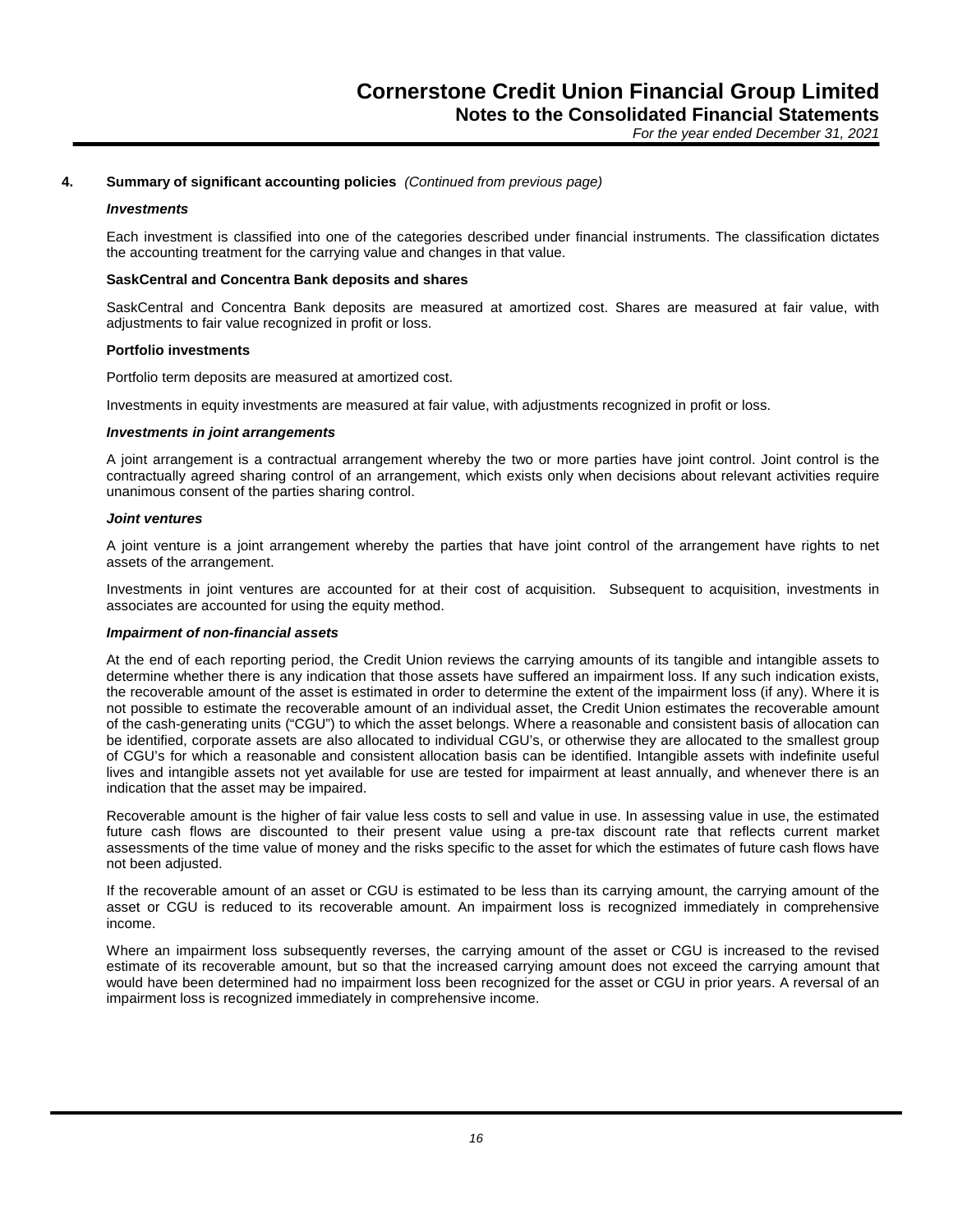#### *Investments*

Each investment is classified into one of the categories described under financial instruments. The classification dictates the accounting treatment for the carrying value and changes in that value.

#### **SaskCentral and Concentra Bank deposits and shares**

SaskCentral and Concentra Bank deposits are measured at amortized cost. Shares are measured at fair value, with adjustments to fair value recognized in profit or loss.

#### **Portfolio investments**

Portfolio term deposits are measured at amortized cost.

Investments in equity investments are measured at fair value, with adjustments recognized in profit or loss.

#### *Investments in joint arrangements*

A joint arrangement is a contractual arrangement whereby the two or more parties have joint control. Joint control is the contractually agreed sharing control of an arrangement, which exists only when decisions about relevant activities require unanimous consent of the parties sharing control.

#### *Joint ventures*

A joint venture is a joint arrangement whereby the parties that have joint control of the arrangement have rights to net assets of the arrangement.

Investments in joint ventures are accounted for at their cost of acquisition. Subsequent to acquisition, investments in associates are accounted for using the equity method.

#### *Impairment of non-financial assets*

At the end of each reporting period, the Credit Union reviews the carrying amounts of its tangible and intangible assets to determine whether there is any indication that those assets have suffered an impairment loss. If any such indication exists, the recoverable amount of the asset is estimated in order to determine the extent of the impairment loss (if any). Where it is not possible to estimate the recoverable amount of an individual asset, the Credit Union estimates the recoverable amount of the cash-generating units ("CGU") to which the asset belongs. Where a reasonable and consistent basis of allocation can be identified, corporate assets are also allocated to individual CGU's, or otherwise they are allocated to the smallest group of CGU's for which a reasonable and consistent allocation basis can be identified. Intangible assets with indefinite useful lives and intangible assets not yet available for use are tested for impairment at least annually, and whenever there is an indication that the asset may be impaired.

Recoverable amount is the higher of fair value less costs to sell and value in use. In assessing value in use, the estimated future cash flows are discounted to their present value using a pre-tax discount rate that reflects current market assessments of the time value of money and the risks specific to the asset for which the estimates of future cash flows have not been adjusted.

If the recoverable amount of an asset or CGU is estimated to be less than its carrying amount, the carrying amount of the asset or CGU is reduced to its recoverable amount. An impairment loss is recognized immediately in comprehensive income.

Where an impairment loss subsequently reverses, the carrying amount of the asset or CGU is increased to the revised estimate of its recoverable amount, but so that the increased carrying amount does not exceed the carrying amount that would have been determined had no impairment loss been recognized for the asset or CGU in prior years. A reversal of an impairment loss is recognized immediately in comprehensive income.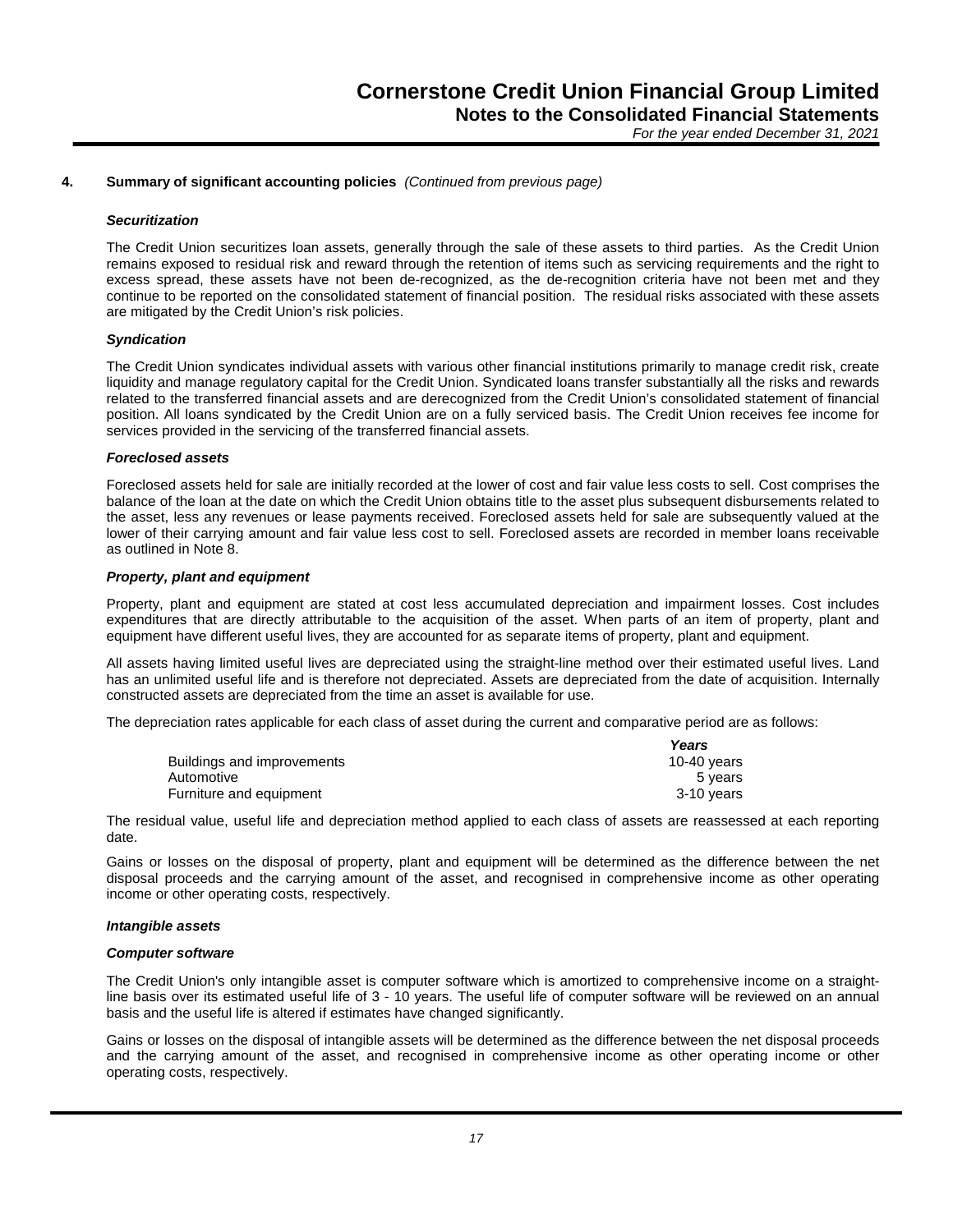#### **4. Summary of significant accounting policies** *(Continued from previous page)*

#### *Securitization*

The Credit Union securitizes loan assets, generally through the sale of these assets to third parties. As the Credit Union remains exposed to residual risk and reward through the retention of items such as servicing requirements and the right to excess spread, these assets have not been de-recognized, as the de-recognition criteria have not been met and they continue to be reported on the consolidated statement of financial position. The residual risks associated with these assets are mitigated by the Credit Union's risk policies.

#### *Syndication*

The Credit Union syndicates individual assets with various other financial institutions primarily to manage credit risk, create liquidity and manage regulatory capital for the Credit Union. Syndicated loans transfer substantially all the risks and rewards related to the transferred financial assets and are derecognized from the Credit Union's consolidated statement of financial position. All loans syndicated by the Credit Union are on a fully serviced basis. The Credit Union receives fee income for services provided in the servicing of the transferred financial assets.

#### *Foreclosed assets*

Foreclosed assets held for sale are initially recorded at the lower of cost and fair value less costs to sell. Cost comprises the balance of the loan at the date on which the Credit Union obtains title to the asset plus subsequent disbursements related to the asset, less any revenues or lease payments received. Foreclosed assets held for sale are subsequently valued at the lower of their carrying amount and fair value less cost to sell. Foreclosed assets are recorded in member loans receivable as outlined in Note 8.

#### *Property, plant and equipment*

Property, plant and equipment are stated at cost less accumulated depreciation and impairment losses. Cost includes expenditures that are directly attributable to the acquisition of the asset. When parts of an item of property, plant and equipment have different useful lives, they are accounted for as separate items of property, plant and equipment.

All assets having limited useful lives are depreciated using the straight-line method over their estimated useful lives. Land has an unlimited useful life and is therefore not depreciated. Assets are depreciated from the date of acquisition. Internally constructed assets are depreciated from the time an asset is available for use.

The depreciation rates applicable for each class of asset during the current and comparative period are as follows:

|                            | Years       |
|----------------------------|-------------|
| Buildings and improvements | 10-40 vears |
| Automotive                 | 5 vears     |
| Furniture and equipment    | 3-10 vears  |

The residual value, useful life and depreciation method applied to each class of assets are reassessed at each reporting date.

Gains or losses on the disposal of property, plant and equipment will be determined as the difference between the net disposal proceeds and the carrying amount of the asset, and recognised in comprehensive income as other operating income or other operating costs, respectively.

#### *Intangible assets*

#### *Computer software*

The Credit Union's only intangible asset is computer software which is amortized to comprehensive income on a straightline basis over its estimated useful life of 3 - 10 years. The useful life of computer software will be reviewed on an annual basis and the useful life is altered if estimates have changed significantly.

Gains or losses on the disposal of intangible assets will be determined as the difference between the net disposal proceeds and the carrying amount of the asset, and recognised in comprehensive income as other operating income or other operating costs, respectively.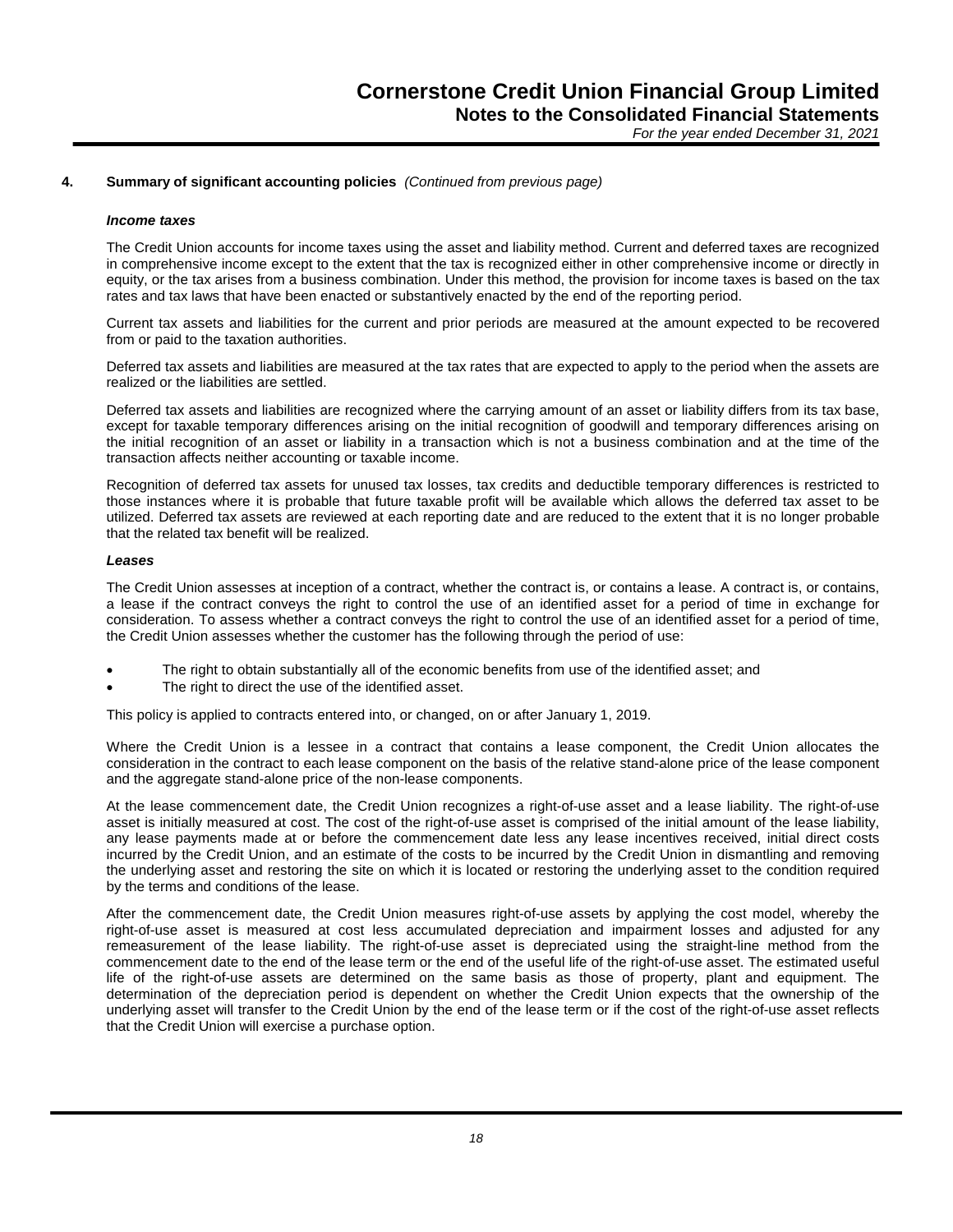#### **4. Summary of significant accounting policies** *(Continued from previous page)*

#### *Income taxes*

The Credit Union accounts for income taxes using the asset and liability method. Current and deferred taxes are recognized in comprehensive income except to the extent that the tax is recognized either in other comprehensive income or directly in equity, or the tax arises from a business combination. Under this method, the provision for income taxes is based on the tax rates and tax laws that have been enacted or substantively enacted by the end of the reporting period.

Current tax assets and liabilities for the current and prior periods are measured at the amount expected to be recovered from or paid to the taxation authorities.

Deferred tax assets and liabilities are measured at the tax rates that are expected to apply to the period when the assets are realized or the liabilities are settled.

Deferred tax assets and liabilities are recognized where the carrying amount of an asset or liability differs from its tax base, except for taxable temporary differences arising on the initial recognition of goodwill and temporary differences arising on the initial recognition of an asset or liability in a transaction which is not a business combination and at the time of the transaction affects neither accounting or taxable income.

Recognition of deferred tax assets for unused tax losses, tax credits and deductible temporary differences is restricted to those instances where it is probable that future taxable profit will be available which allows the deferred tax asset to be utilized. Deferred tax assets are reviewed at each reporting date and are reduced to the extent that it is no longer probable that the related tax benefit will be realized.

#### *Leases*

The Credit Union assesses at inception of a contract, whether the contract is, or contains a lease. A contract is, or contains, a lease if the contract conveys the right to control the use of an identified asset for a period of time in exchange for consideration. To assess whether a contract conveys the right to control the use of an identified asset for a period of time, the Credit Union assesses whether the customer has the following through the period of use:

- The right to obtain substantially all of the economic benefits from use of the identified asset; and
- The right to direct the use of the identified asset.

This policy is applied to contracts entered into, or changed, on or after January 1, 2019.

Where the Credit Union is a lessee in a contract that contains a lease component, the Credit Union allocates the consideration in the contract to each lease component on the basis of the relative stand-alone price of the lease component and the aggregate stand-alone price of the non-lease components.

At the lease commencement date, the Credit Union recognizes a right-of-use asset and a lease liability. The right-of-use asset is initially measured at cost. The cost of the right-of-use asset is comprised of the initial amount of the lease liability, any lease payments made at or before the commencement date less any lease incentives received, initial direct costs incurred by the Credit Union, and an estimate of the costs to be incurred by the Credit Union in dismantling and removing the underlying asset and restoring the site on which it is located or restoring the underlying asset to the condition required by the terms and conditions of the lease.

After the commencement date, the Credit Union measures right-of-use assets by applying the cost model, whereby the right-of-use asset is measured at cost less accumulated depreciation and impairment losses and adjusted for any remeasurement of the lease liability. The right-of-use asset is depreciated using the straight-line method from the commencement date to the end of the lease term or the end of the useful life of the right-of-use asset. The estimated useful life of the right-of-use assets are determined on the same basis as those of property, plant and equipment. The determination of the depreciation period is dependent on whether the Credit Union expects that the ownership of the underlying asset will transfer to the Credit Union by the end of the lease term or if the cost of the right-of-use asset reflects that the Credit Union will exercise a purchase option.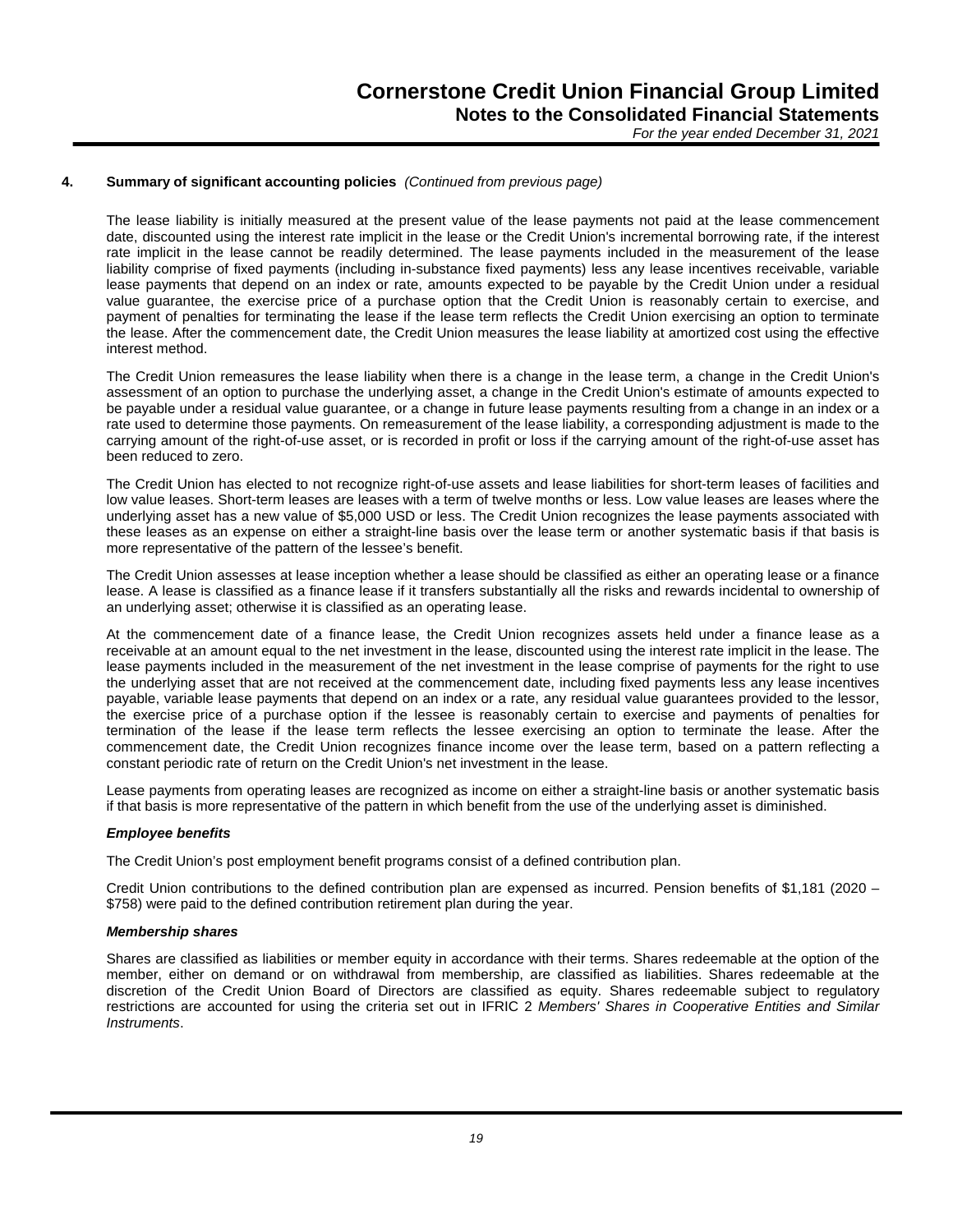#### **4. Summary of significant accounting policies** *(Continued from previous page)*

The lease liability is initially measured at the present value of the lease payments not paid at the lease commencement date, discounted using the interest rate implicit in the lease or the Credit Union's incremental borrowing rate, if the interest rate implicit in the lease cannot be readily determined. The lease payments included in the measurement of the lease liability comprise of fixed payments (including in-substance fixed payments) less any lease incentives receivable, variable lease payments that depend on an index or rate, amounts expected to be payable by the Credit Union under a residual value guarantee, the exercise price of a purchase option that the Credit Union is reasonably certain to exercise, and payment of penalties for terminating the lease if the lease term reflects the Credit Union exercising an option to terminate the lease. After the commencement date, the Credit Union measures the lease liability at amortized cost using the effective interest method.

The Credit Union remeasures the lease liability when there is a change in the lease term, a change in the Credit Union's assessment of an option to purchase the underlying asset, a change in the Credit Union's estimate of amounts expected to be payable under a residual value guarantee, or a change in future lease payments resulting from a change in an index or a rate used to determine those payments. On remeasurement of the lease liability, a corresponding adjustment is made to the carrying amount of the right-of-use asset, or is recorded in profit or loss if the carrying amount of the right-of-use asset has been reduced to zero.

The Credit Union has elected to not recognize right-of-use assets and lease liabilities for short-term leases of facilities and low value leases. Short-term leases are leases with a term of twelve months or less. Low value leases are leases where the underlying asset has a new value of \$5,000 USD or less. The Credit Union recognizes the lease payments associated with these leases as an expense on either a straight-line basis over the lease term or another systematic basis if that basis is more representative of the pattern of the lessee's benefit.

The Credit Union assesses at lease inception whether a lease should be classified as either an operating lease or a finance lease. A lease is classified as a finance lease if it transfers substantially all the risks and rewards incidental to ownership of an underlying asset; otherwise it is classified as an operating lease.

At the commencement date of a finance lease, the Credit Union recognizes assets held under a finance lease as a receivable at an amount equal to the net investment in the lease, discounted using the interest rate implicit in the lease. The lease payments included in the measurement of the net investment in the lease comprise of payments for the right to use the underlying asset that are not received at the commencement date, including fixed payments less any lease incentives payable, variable lease payments that depend on an index or a rate, any residual value guarantees provided to the lessor, the exercise price of a purchase option if the lessee is reasonably certain to exercise and payments of penalties for termination of the lease if the lease term reflects the lessee exercising an option to terminate the lease. After the commencement date, the Credit Union recognizes finance income over the lease term, based on a pattern reflecting a constant periodic rate of return on the Credit Union's net investment in the lease.

Lease payments from operating leases are recognized as income on either a straight-line basis or another systematic basis if that basis is more representative of the pattern in which benefit from the use of the underlying asset is diminished.

#### *Employee benefits*

The Credit Union's post employment benefit programs consist of a defined contribution plan.

Credit Union contributions to the defined contribution plan are expensed as incurred. Pension benefits of \$1,181 (2020 – \$758) were paid to the defined contribution retirement plan during the year.

#### *Membership shares*

Shares are classified as liabilities or member equity in accordance with their terms. Shares redeemable at the option of the member, either on demand or on withdrawal from membership, are classified as liabilities. Shares redeemable at the discretion of the Credit Union Board of Directors are classified as equity. Shares redeemable subject to regulatory restrictions are accounted for using the criteria set out in IFRIC 2 *Members' Shares in Cooperative Entities and Similar Instruments*.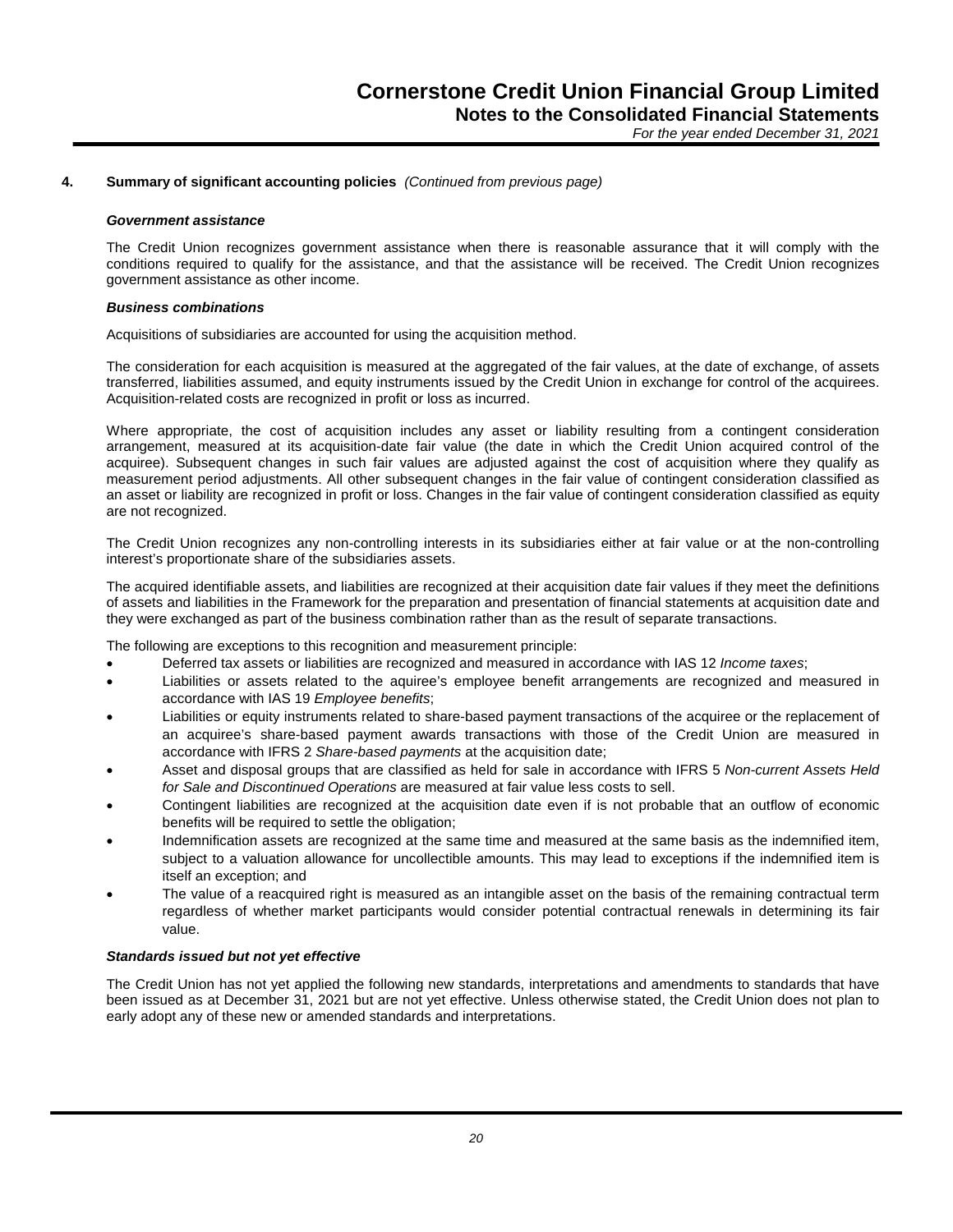#### *Government assistance*

The Credit Union recognizes government assistance when there is reasonable assurance that it will comply with the conditions required to qualify for the assistance, and that the assistance will be received. The Credit Union recognizes government assistance as other income.

#### *Business combinations*

Acquisitions of subsidiaries are accounted for using the acquisition method.

The consideration for each acquisition is measured at the aggregated of the fair values, at the date of exchange, of assets transferred, liabilities assumed, and equity instruments issued by the Credit Union in exchange for control of the acquirees. Acquisition-related costs are recognized in profit or loss as incurred.

Where appropriate, the cost of acquisition includes any asset or liability resulting from a contingent consideration arrangement, measured at its acquisition-date fair value (the date in which the Credit Union acquired control of the acquiree). Subsequent changes in such fair values are adjusted against the cost of acquisition where they qualify as measurement period adjustments. All other subsequent changes in the fair value of contingent consideration classified as an asset or liability are recognized in profit or loss. Changes in the fair value of contingent consideration classified as equity are not recognized.

The Credit Union recognizes any non-controlling interests in its subsidiaries either at fair value or at the non-controlling interest's proportionate share of the subsidiaries assets.

The acquired identifiable assets, and liabilities are recognized at their acquisition date fair values if they meet the definitions of assets and liabilities in the Framework for the preparation and presentation of financial statements at acquisition date and they were exchanged as part of the business combination rather than as the result of separate transactions.

The following are exceptions to this recognition and measurement principle:

- Deferred tax assets or liabilities are recognized and measured in accordance with IAS 12 *Income taxes*;
- Liabilities or assets related to the aquiree's employee benefit arrangements are recognized and measured in accordance with IAS 19 *Employee benefits*;
- Liabilities or equity instruments related to share-based payment transactions of the acquiree or the replacement of an acquiree's share-based payment awards transactions with those of the Credit Union are measured in accordance with IFRS 2 *Share-based payments* at the acquisition date;
- Asset and disposal groups that are classified as held for sale in accordance with IFRS 5 *Non-current Assets Held for Sale and Discontinued Operations* are measured at fair value less costs to sell.
- Contingent liabilities are recognized at the acquisition date even if is not probable that an outflow of economic benefits will be required to settle the obligation;
- Indemnification assets are recognized at the same time and measured at the same basis as the indemnified item, subject to a valuation allowance for uncollectible amounts. This may lead to exceptions if the indemnified item is itself an exception; and
- The value of a reacquired right is measured as an intangible asset on the basis of the remaining contractual term regardless of whether market participants would consider potential contractual renewals in determining its fair value.

#### *Standards issued but not yet effective*

The Credit Union has not yet applied the following new standards, interpretations and amendments to standards that have been issued as at December 31, 2021 but are not yet effective. Unless otherwise stated, the Credit Union does not plan to early adopt any of these new or amended standards and interpretations.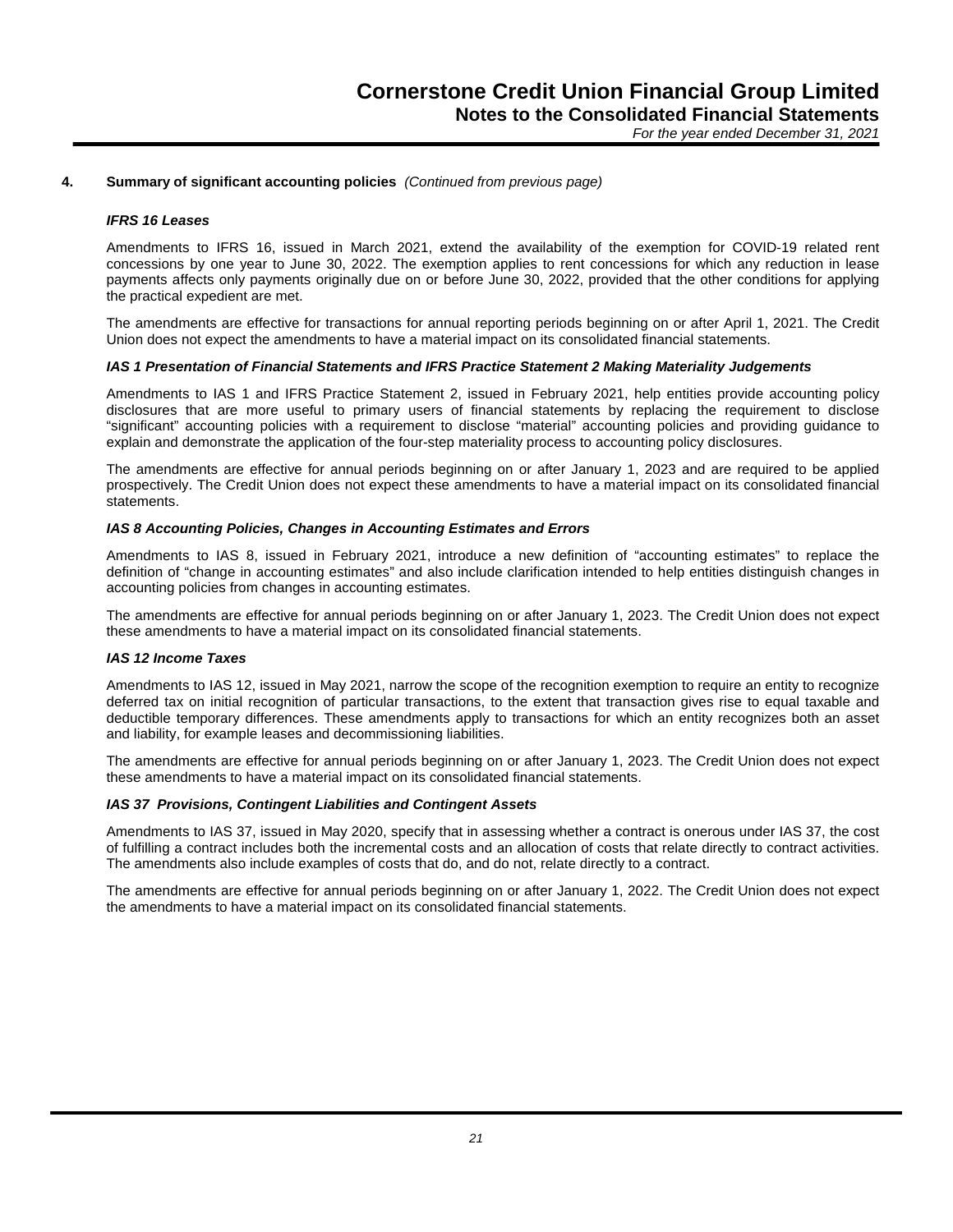#### **4. Summary of significant accounting policies** *(Continued from previous page)*

#### *IFRS 16 Leases*

Amendments to IFRS 16, issued in March 2021, extend the availability of the exemption for COVID-19 related rent concessions by one year to June 30, 2022. The exemption applies to rent concessions for which any reduction in lease payments affects only payments originally due on or before June 30, 2022, provided that the other conditions for applying the practical expedient are met.

The amendments are effective for transactions for annual reporting periods beginning on or after April 1, 2021. The Credit Union does not expect the amendments to have a material impact on its consolidated financial statements.

#### *IAS 1 Presentation of Financial Statements and IFRS Practice Statement 2 Making Materiality Judgements*

Amendments to IAS 1 and IFRS Practice Statement 2, issued in February 2021, help entities provide accounting policy disclosures that are more useful to primary users of financial statements by replacing the requirement to disclose "significant" accounting policies with a requirement to disclose "material" accounting policies and providing guidance to explain and demonstrate the application of the four-step materiality process to accounting policy disclosures.

The amendments are effective for annual periods beginning on or after January 1, 2023 and are required to be applied prospectively. The Credit Union does not expect these amendments to have a material impact on its consolidated financial statements.

#### *IAS 8 Accounting Policies, Changes in Accounting Estimates and Errors*

Amendments to IAS 8, issued in February 2021, introduce a new definition of "accounting estimates" to replace the definition of "change in accounting estimates" and also include clarification intended to help entities distinguish changes in accounting policies from changes in accounting estimates.

The amendments are effective for annual periods beginning on or after January 1, 2023. The Credit Union does not expect these amendments to have a material impact on its consolidated financial statements.

#### *IAS 12 Income Taxes*

Amendments to IAS 12, issued in May 2021, narrow the scope of the recognition exemption to require an entity to recognize deferred tax on initial recognition of particular transactions, to the extent that transaction gives rise to equal taxable and deductible temporary differences. These amendments apply to transactions for which an entity recognizes both an asset and liability, for example leases and decommissioning liabilities.

The amendments are effective for annual periods beginning on or after January 1, 2023. The Credit Union does not expect these amendments to have a material impact on its consolidated financial statements.

#### *IAS 37 Provisions, Contingent Liabilities and Contingent Assets*

Amendments to IAS 37, issued in May 2020, specify that in assessing whether a contract is onerous under IAS 37, the cost of fulfilling a contract includes both the incremental costs and an allocation of costs that relate directly to contract activities. The amendments also include examples of costs that do, and do not, relate directly to a contract.

The amendments are effective for annual periods beginning on or after January 1, 2022. The Credit Union does not expect the amendments to have a material impact on its consolidated financial statements.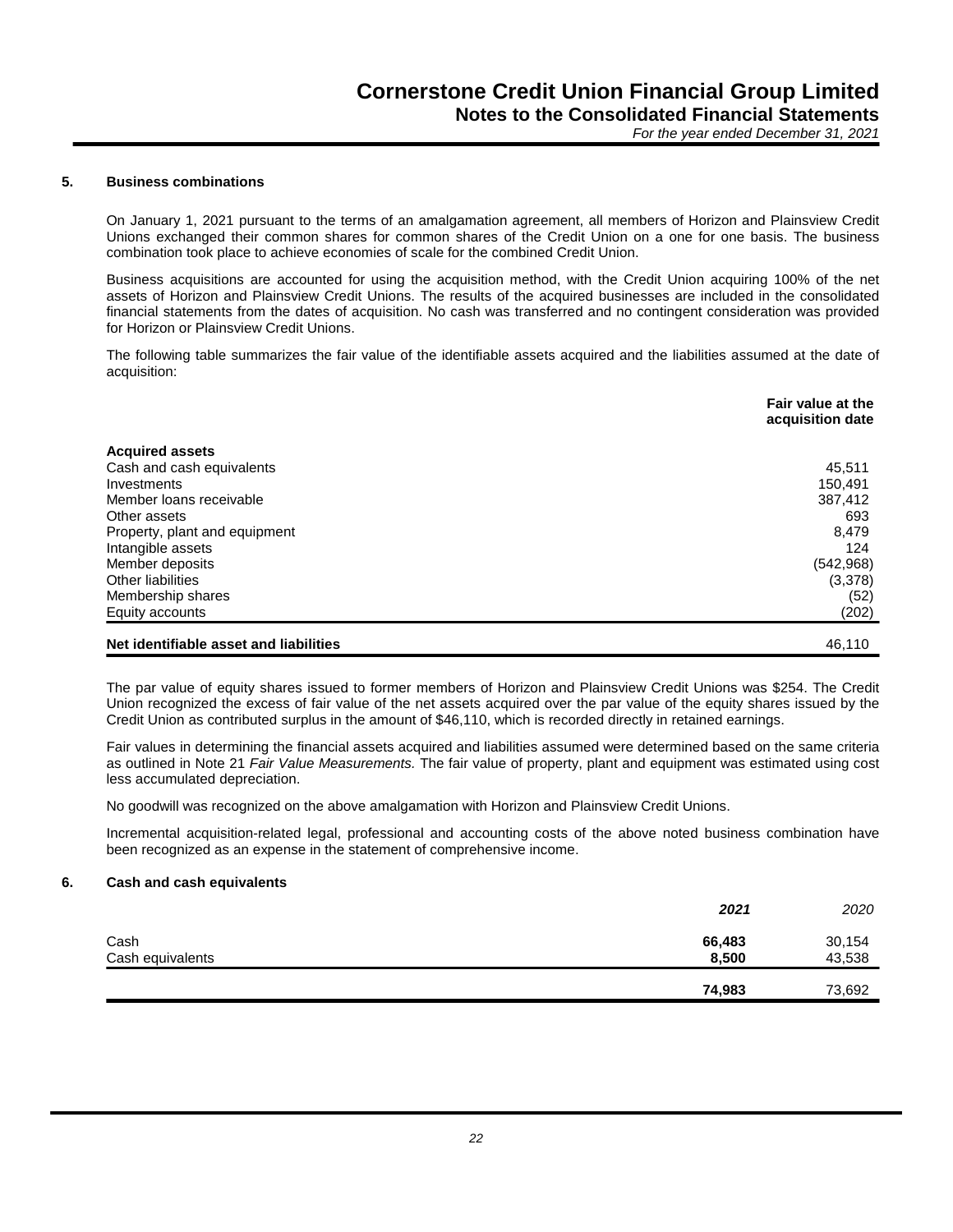#### **5. Business combinations**

On January 1, 2021 pursuant to the terms of an amalgamation agreement, all members of Horizon and Plainsview Credit Unions exchanged their common shares for common shares of the Credit Union on a one for one basis. The business combination took place to achieve economies of scale for the combined Credit Union.

Business acquisitions are accounted for using the acquisition method, with the Credit Union acquiring 100% of the net assets of Horizon and Plainsview Credit Unions. The results of the acquired businesses are included in the consolidated financial statements from the dates of acquisition. No cash was transferred and no contingent consideration was provided for Horizon or Plainsview Credit Unions.

The following table summarizes the fair value of the identifiable assets acquired and the liabilities assumed at the date of acquisition:

|                                        | Fair value at the<br>acquisition date |
|----------------------------------------|---------------------------------------|
| <b>Acquired assets</b>                 |                                       |
| Cash and cash equivalents              | 45.511                                |
| Investments                            | 150,491                               |
| Member loans receivable                | 387,412                               |
| Other assets                           | 693                                   |
| Property, plant and equipment          | 8,479                                 |
| Intangible assets                      | 124                                   |
| Member deposits                        | (542, 968)                            |
| Other liabilities                      | (3,378)                               |
| Membership shares                      | (52)                                  |
| Equity accounts                        | (202)                                 |
| Net identifiable asset and liabilities | 46.110                                |

The par value of equity shares issued to former members of Horizon and Plainsview Credit Unions was \$254. The Credit Union recognized the excess of fair value of the net assets acquired over the par value of the equity shares issued by the Credit Union as contributed surplus in the amount of \$46,110, which is recorded directly in retained earnings.

Fair values in determining the financial assets acquired and liabilities assumed were determined based on the same criteria as outlined in Note 21 *Fair Value Measurements.* The fair value of property, plant and equipment was estimated using cost less accumulated depreciation.

No goodwill was recognized on the above amalgamation with Horizon and Plainsview Credit Unions.

Incremental acquisition-related legal, professional and accounting costs of the above noted business combination have been recognized as an expense in the statement of comprehensive income.

#### **6. Cash and cash equivalents**

|                  | 2021   | 2020   |
|------------------|--------|--------|
| Cash             | 66,483 | 30,154 |
| Cash equivalents | 8,500  | 43,538 |
|                  | 74,983 | 73,692 |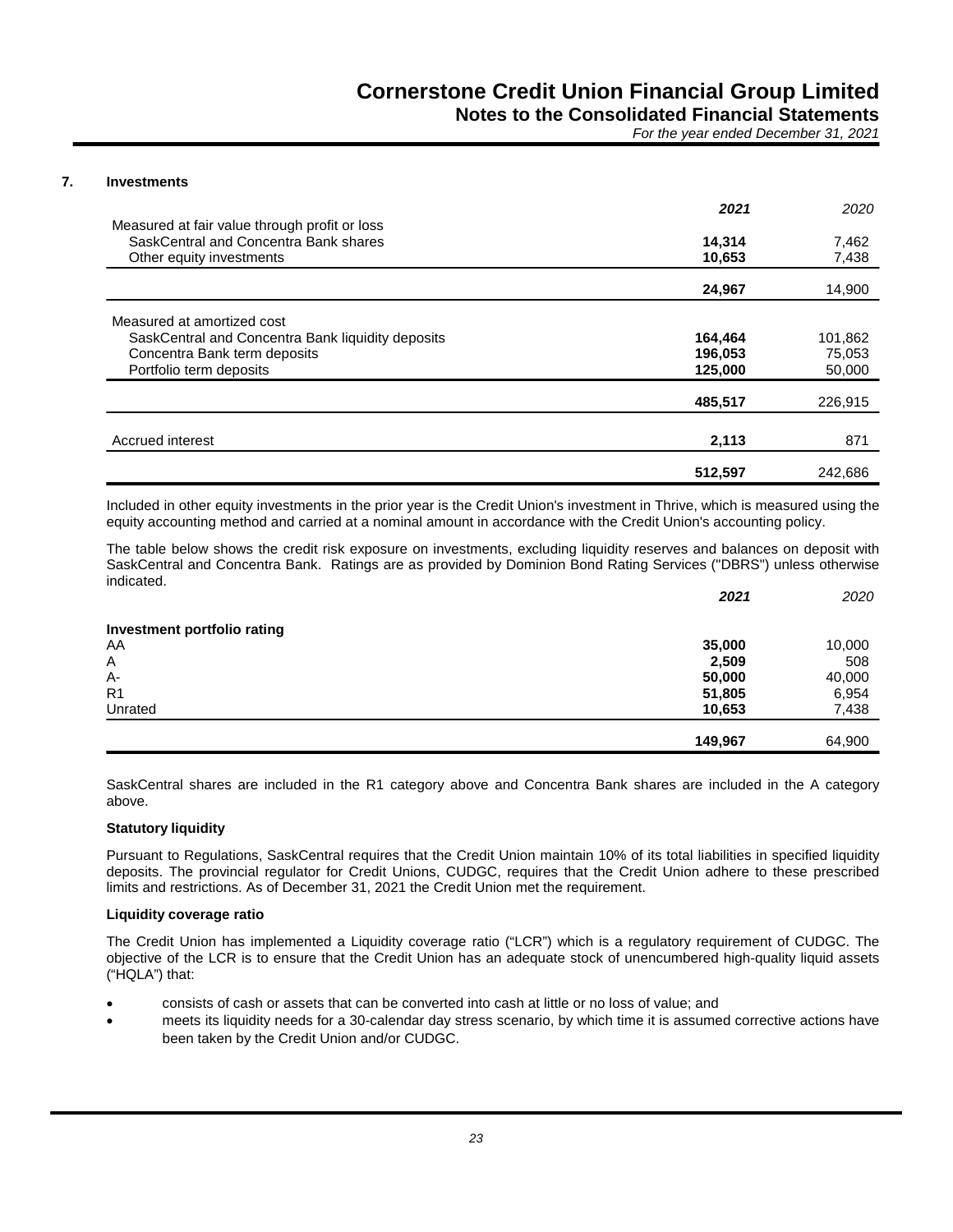*For the year ended December 31, 2021*

#### **7. Investments**

|                                                                                                                    | 2021             | 2020           |
|--------------------------------------------------------------------------------------------------------------------|------------------|----------------|
| Measured at fair value through profit or loss<br>SaskCentral and Concentra Bank shares<br>Other equity investments | 14,314<br>10,653 | 7,462<br>7,438 |
|                                                                                                                    | 24,967           | 14,900         |
| Measured at amortized cost                                                                                         |                  |                |
| SaskCentral and Concentra Bank liquidity deposits                                                                  | 164,464          | 101,862        |
| Concentra Bank term deposits                                                                                       | 196,053          | 75,053         |
| Portfolio term deposits                                                                                            | 125,000          | 50,000         |
|                                                                                                                    | 485,517          | 226,915        |
| Accrued interest                                                                                                   | 2,113            | 871            |
|                                                                                                                    | 512,597          | 242.686        |

Included in other equity investments in the prior year is the Credit Union's investment in Thrive, which is measured using the equity accounting method and carried at a nominal amount in accordance with the Credit Union's accounting policy.

The table below shows the credit risk exposure on investments, excluding liquidity reserves and balances on deposit with SaskCentral and Concentra Bank. Ratings are as provided by Dominion Bond Rating Services ("DBRS") unless otherwise indicated.

|                             | 2021    | 2020   |
|-----------------------------|---------|--------|
| Investment portfolio rating |         |        |
| AA                          | 35,000  | 10,000 |
| A                           | 2,509   | 508    |
| A-                          | 50,000  | 40,000 |
| R <sub>1</sub>              | 51,805  | 6,954  |
| Unrated                     | 10,653  | 7,438  |
|                             | 149,967 | 64,900 |

SaskCentral shares are included in the R1 category above and Concentra Bank shares are included in the A category above.

#### **Statutory liquidity**

Pursuant to Regulations, SaskCentral requires that the Credit Union maintain 10% of its total liabilities in specified liquidity deposits. The provincial regulator for Credit Unions, CUDGC, requires that the Credit Union adhere to these prescribed limits and restrictions. As of December 31, 2021 the Credit Union met the requirement.

#### **Liquidity coverage ratio**

The Credit Union has implemented a Liquidity coverage ratio ("LCR") which is a regulatory requirement of CUDGC. The objective of the LCR is to ensure that the Credit Union has an adequate stock of unencumbered high-quality liquid assets ("HQLA") that:

- consists of cash or assets that can be converted into cash at little or no loss of value; and
- meets its liquidity needs for a 30-calendar day stress scenario, by which time it is assumed corrective actions have been taken by the Credit Union and/or CUDGC.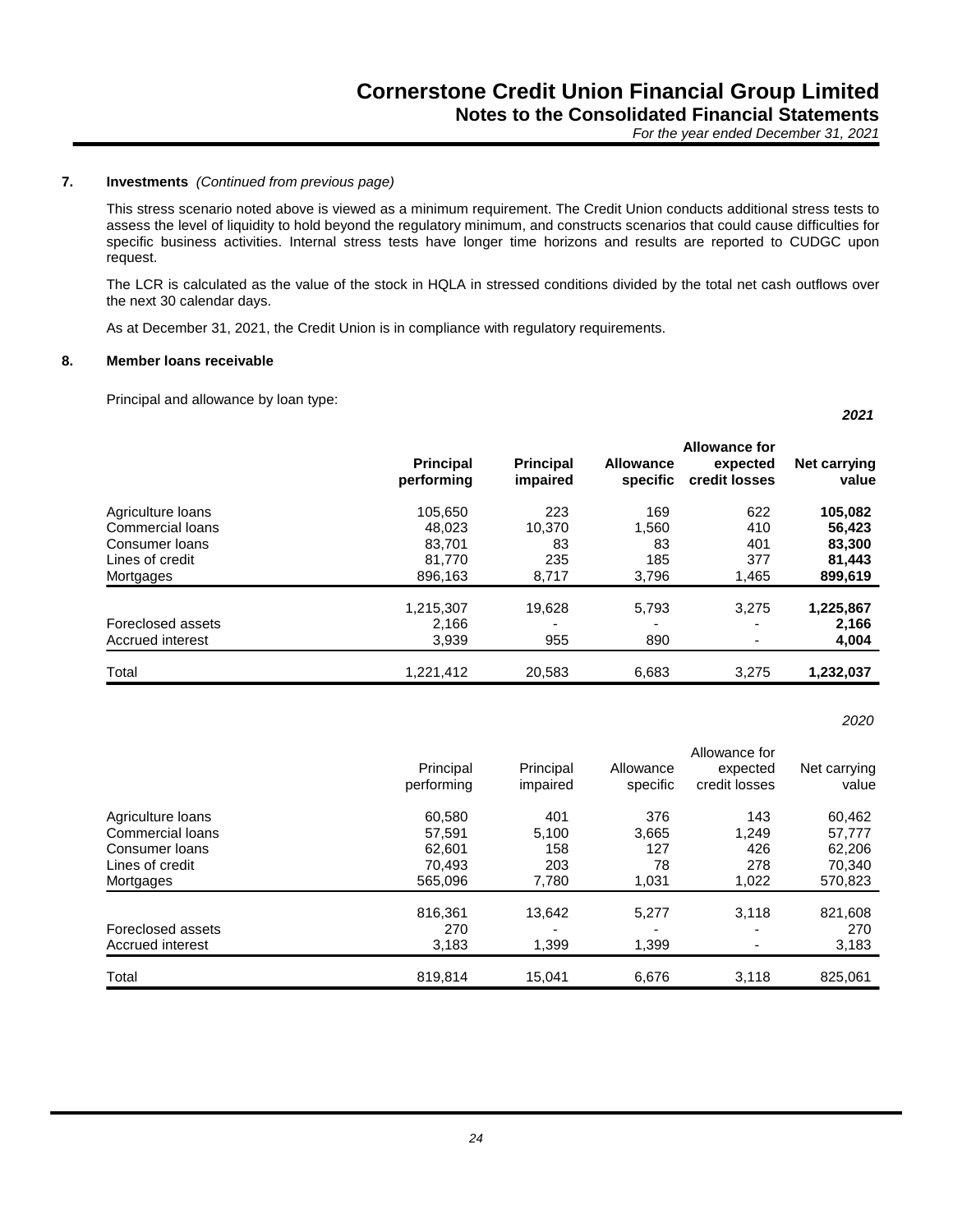*2021*

*2020*

#### **7. Investments** *(Continued from previous page)*

This stress scenario noted above is viewed as a minimum requirement. The Credit Union conducts additional stress tests to assess the level of liquidity to hold beyond the regulatory minimum, and constructs scenarios that could cause difficulties for specific business activities. Internal stress tests have longer time horizons and results are reported to CUDGC upon request.

The LCR is calculated as the value of the stock in HQLA in stressed conditions divided by the total net cash outflows over the next 30 calendar days.

As at December 31, 2021, the Credit Union is in compliance with regulatory requirements.

#### **8. Member loans receivable**

Principal and allowance by loan type:

|                   | <b>Principal</b><br>performing | <b>Principal</b><br>impaired | <b>Allowance</b><br>specific | <b>Allowance for</b><br>expected<br>credit losses | Net carrying<br>value |
|-------------------|--------------------------------|------------------------------|------------------------------|---------------------------------------------------|-----------------------|
| Agriculture loans | 105.650                        | 223                          | 169                          | 622                                               | 105,082               |
| Commercial loans  | 48,023                         | 10,370                       | 1,560                        | 410                                               | 56,423                |
| Consumer loans    | 83.701                         | 83                           | 83                           | 401                                               | 83,300                |
| Lines of credit   | 81.770                         | 235                          | 185                          | 377                                               | 81,443                |
| Mortgages         | 896,163                        | 8,717                        | 3,796                        | 1,465                                             | 899,619               |
|                   | 1,215,307                      | 19.628                       | 5,793                        | 3.275                                             | 1,225,867             |
| Foreclosed assets | 2.166                          |                              |                              |                                                   | 2,166                 |
| Accrued interest  | 3,939                          | 955                          | 890                          |                                                   | 4,004                 |
| Total             | 1,221,412                      | 20,583                       | 6,683                        | 3.275                                             | 1,232,037             |

|                   | Principal<br>performing | Principal<br>impaired | Allowance<br>specific | Allowance for<br>expected<br>credit losses | Net carrying<br>value |
|-------------------|-------------------------|-----------------------|-----------------------|--------------------------------------------|-----------------------|
| Agriculture loans | 60,580                  | 401                   | 376                   | 143                                        | 60,462                |
| Commercial loans  | 57.591                  | 5,100                 | 3.665                 | 1.249                                      | 57,777                |
| Consumer loans    | 62.601                  | 158                   | 127                   | 426                                        | 62.206                |
| Lines of credit   | 70.493                  | 203                   | 78                    | 278                                        | 70,340                |
| Mortgages         | 565.096                 | 7,780                 | 1,031                 | 1,022                                      | 570,823               |
|                   | 816,361                 | 13.642                | 5,277                 | 3,118                                      | 821,608               |
| Foreclosed assets | 270                     |                       |                       |                                            | 270                   |
| Accrued interest  | 3,183                   | 1,399                 | 1,399                 |                                            | 3,183                 |
| Total             | 819,814                 | 15.041                | 6,676                 | 3,118                                      | 825,061               |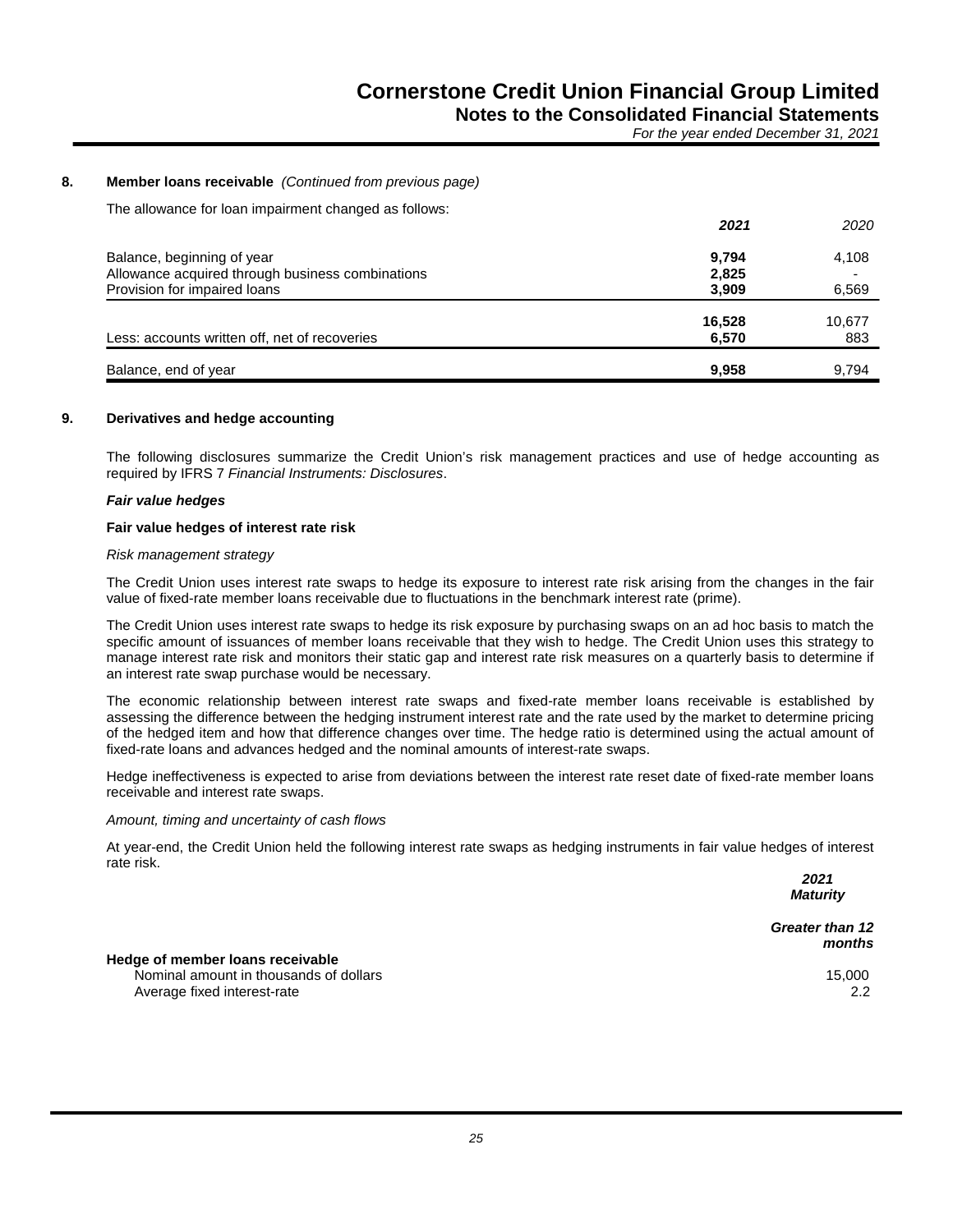#### **8. Member loans receivable** *(Continued from previous page)*

The allowance for loan impairment changed as follows:

|                                                  | 2021   | 2020                     |
|--------------------------------------------------|--------|--------------------------|
| Balance, beginning of year                       | 9,794  | 4,108                    |
| Allowance acquired through business combinations | 2,825  | $\overline{\phantom{0}}$ |
| Provision for impaired loans                     | 3.909  | 6,569                    |
|                                                  | 16,528 | 10,677                   |
| Less: accounts written off, net of recoveries    | 6,570  | 883                      |
| Balance, end of year                             | 9.958  | 9.794                    |

#### **9. Derivatives and hedge accounting**

The following disclosures summarize the Credit Union's risk management practices and use of hedge accounting as required by IFRS 7 *Financial Instruments: Disclosures*.

#### *Fair value hedges*

#### **Fair value hedges of interest rate risk**

#### *Risk management strategy*

The Credit Union uses interest rate swaps to hedge its exposure to interest rate risk arising from the changes in the fair value of fixed-rate member loans receivable due to fluctuations in the benchmark interest rate (prime).

The Credit Union uses interest rate swaps to hedge its risk exposure by purchasing swaps on an ad hoc basis to match the specific amount of issuances of member loans receivable that they wish to hedge. The Credit Union uses this strategy to manage interest rate risk and monitors their static gap and interest rate risk measures on a quarterly basis to determine if an interest rate swap purchase would be necessary.

The economic relationship between interest rate swaps and fixed-rate member loans receivable is established by assessing the difference between the hedging instrument interest rate and the rate used by the market to determine pricing of the hedged item and how that difference changes over time. The hedge ratio is determined using the actual amount of fixed-rate loans and advances hedged and the nominal amounts of interest-rate swaps.

Hedge ineffectiveness is expected to arise from deviations between the interest rate reset date of fixed-rate member loans receivable and interest rate swaps.

#### *Amount, timing and uncertainty of cash flows*

At year-end, the Credit Union held the following interest rate swaps as hedging instruments in fair value hedges of interest rate risk.

*2021 Maturity*

*Greater than 12 months*

**Hedge of member loans receivable** Nominal amount in thousands of dollars 15,000 and the state of the state of the state of the state of the state of the state of the state of the state of the state of the state of the state of the state of the state of the Average fixed interest-rate 2.2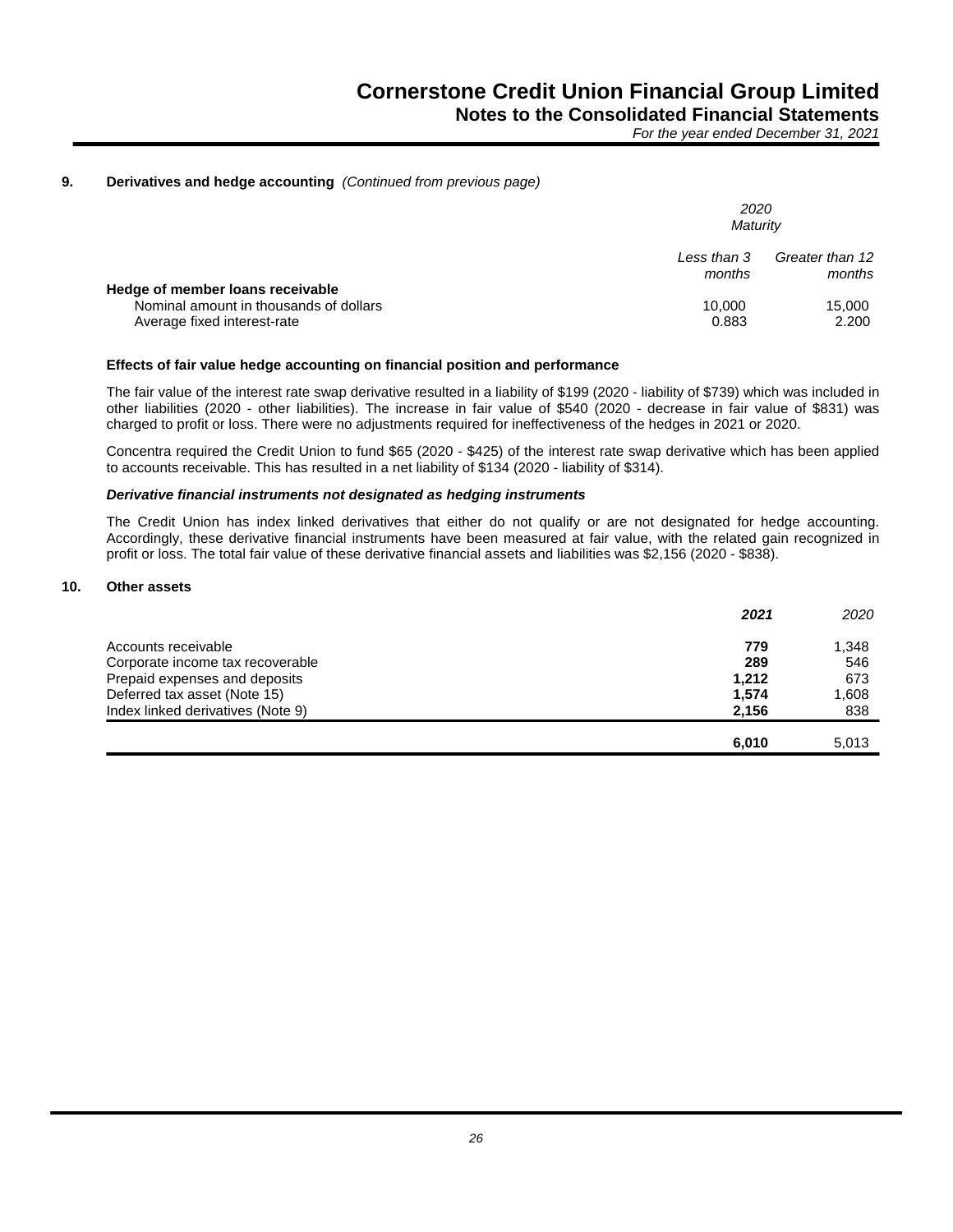*For the year ended December 31, 2021*

#### **9. Derivatives and hedge accounting** *(Continued from previous page)*

|                                                                                                           | 2020<br>Maturity      |                           |
|-----------------------------------------------------------------------------------------------------------|-----------------------|---------------------------|
|                                                                                                           | Less than 3<br>months | Greater than 12<br>months |
| Hedge of member loans receivable<br>Nominal amount in thousands of dollars<br>Average fixed interest-rate | 10.000<br>0.883       | 15,000<br>2.200           |

#### **Effects of fair value hedge accounting on financial position and performance**

The fair value of the interest rate swap derivative resulted in a liability of \$199 (2020 - liability of \$739) which was included in other liabilities (2020 - other liabilities). The increase in fair value of \$540 (2020 - decrease in fair value of \$831) was charged to profit or loss. There were no adjustments required for ineffectiveness of the hedges in 2021 or 2020.

Concentra required the Credit Union to fund \$65 (2020 - \$425) of the interest rate swap derivative which has been applied to accounts receivable. This has resulted in a net liability of \$134 (2020 - liability of \$314).

#### *Derivative financial instruments not designated as hedging instruments*

The Credit Union has index linked derivatives that either do not qualify or are not designated for hedge accounting. Accordingly, these derivative financial instruments have been measured at fair value, with the related gain recognized in profit or loss. The total fair value of these derivative financial assets and liabilities was \$2,156 (2020 - \$838).

#### **10. Other assets**

|                                   | 2021  | 2020  |
|-----------------------------------|-------|-------|
| Accounts receivable               | 779   | 1,348 |
| Corporate income tax recoverable  | 289   | 546   |
| Prepaid expenses and deposits     | 1.212 | 673   |
| Deferred tax asset (Note 15)      | 1,574 | 1,608 |
| Index linked derivatives (Note 9) | 2.156 | 838   |
|                                   | 6,010 | 5.013 |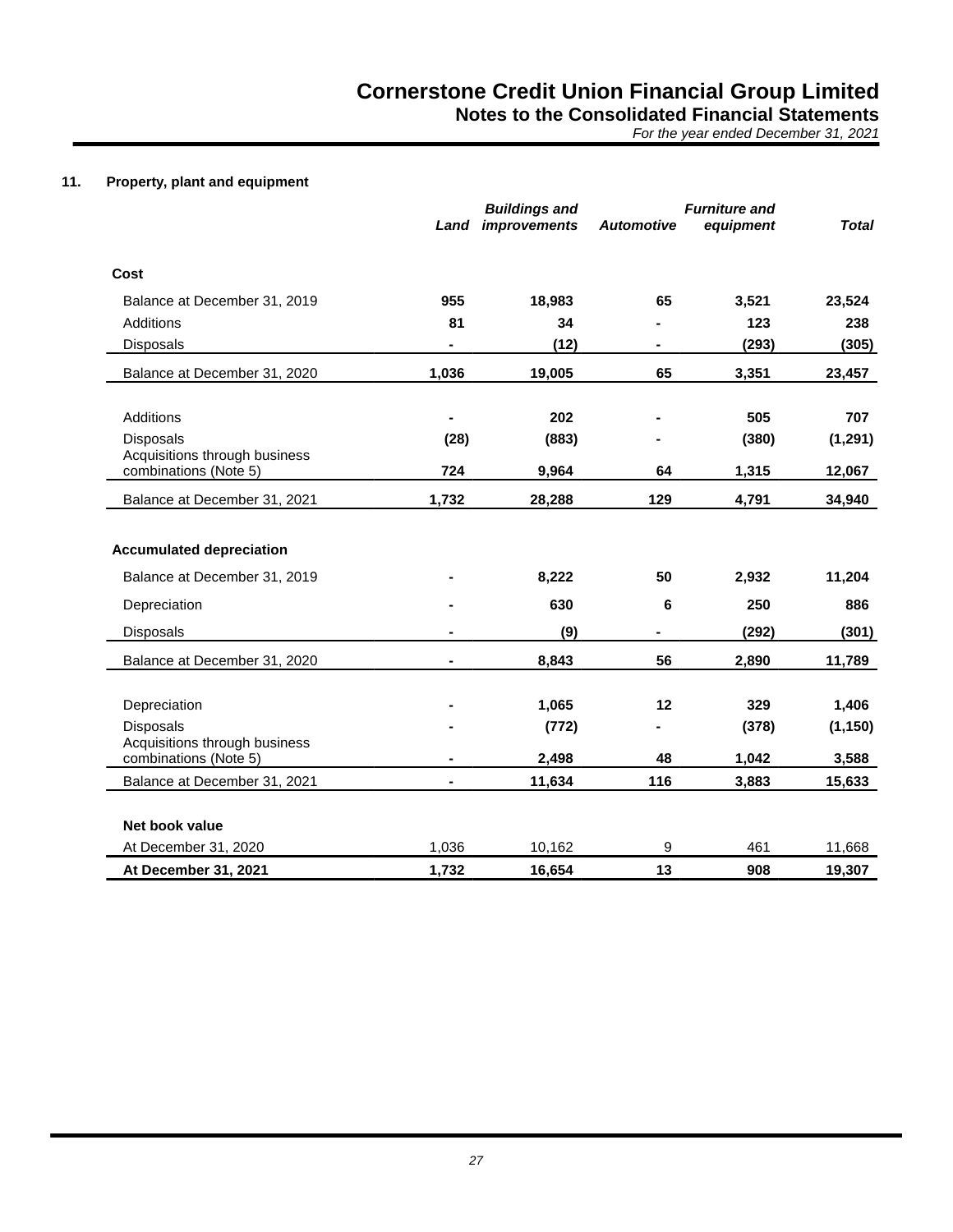*For the year ended December 31, 2021*

### **11. Property, plant and equipment**

|                                                                 | Land           | <b>Buildings and</b><br>improvements | <b>Automotive</b> | <b>Furniture and</b><br>equipment | <b>Total</b> |
|-----------------------------------------------------------------|----------------|--------------------------------------|-------------------|-----------------------------------|--------------|
| Cost                                                            |                |                                      |                   |                                   |              |
| Balance at December 31, 2019                                    | 955            | 18,983                               | 65                | 3,521                             | 23,524       |
| Additions                                                       | 81             | 34                                   |                   | 123                               | 238          |
| <b>Disposals</b>                                                | $\blacksquare$ | (12)                                 |                   | (293)                             | (305)        |
| Balance at December 31, 2020                                    | 1,036          | 19,005                               | 65                | 3,351                             | 23,457       |
| <b>Additions</b>                                                |                | 202                                  |                   | 505                               | 707          |
| <b>Disposals</b>                                                | (28)           | (883)                                |                   | (380)                             | (1, 291)     |
| Acquisitions through business<br>combinations (Note 5)          | 724            | 9,964                                | 64                | 1,315                             | 12,067       |
| Balance at December 31, 2021                                    | 1,732          | 28,288                               | 129               | 4,791                             | 34,940       |
| <b>Accumulated depreciation</b><br>Balance at December 31, 2019 |                | 8,222                                | 50                | 2,932                             | 11,204       |
|                                                                 |                |                                      |                   |                                   |              |
| Depreciation                                                    |                | 630                                  | 6                 | 250                               | 886          |
| Disposals                                                       |                | (9)                                  | ۰                 | (292)                             | (301)        |
| Balance at December 31, 2020                                    |                | 8,843                                | 56                | 2,890                             | 11,789       |
| Depreciation                                                    |                | 1,065                                | 12                | 329                               | 1,406        |
| <b>Disposals</b><br>Acquisitions through business               |                | (772)                                |                   | (378)                             | (1, 150)     |
| combinations (Note 5)                                           |                | 2,498                                | 48                | 1,042                             | 3,588        |
| Balance at December 31, 2021                                    |                | 11,634                               | 116               | 3,883                             | 15,633       |
| Net book value                                                  |                |                                      |                   |                                   |              |
| At December 31, 2020                                            | 1,036          | 10,162                               | 9                 | 461                               | 11,668       |
| At December 31, 2021                                            | 1,732          | 16,654                               | 13                | 908                               | 19,307       |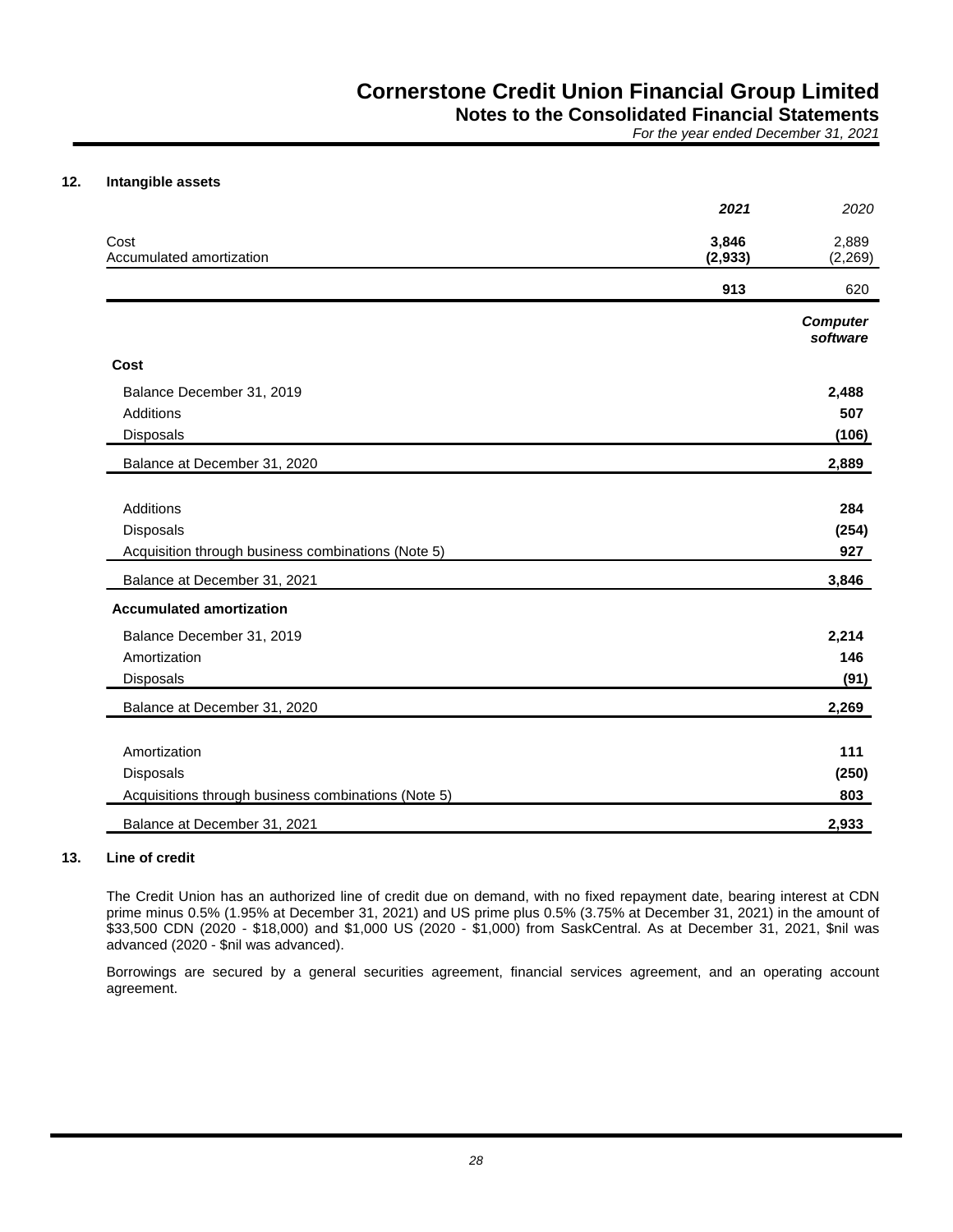*For the year ended December 31, 2021*

#### **12. Intangible assets**

|                                                     | 2021             | 2020                        |
|-----------------------------------------------------|------------------|-----------------------------|
| Cost<br>Accumulated amortization                    | 3,846<br>(2,933) | 2,889<br>(2,269)            |
|                                                     | 913              | 620                         |
|                                                     |                  | <b>Computer</b><br>software |
| Cost                                                |                  |                             |
| Balance December 31, 2019                           |                  | 2,488                       |
| Additions                                           |                  | 507                         |
| <b>Disposals</b>                                    |                  | (106)                       |
| Balance at December 31, 2020                        |                  | 2,889                       |
| Additions                                           |                  | 284                         |
| <b>Disposals</b>                                    |                  | (254)                       |
| Acquisition through business combinations (Note 5)  |                  | 927                         |
| Balance at December 31, 2021                        |                  | 3,846                       |
| <b>Accumulated amortization</b>                     |                  |                             |
| Balance December 31, 2019                           |                  | 2,214                       |
| Amortization                                        |                  | 146                         |
| Disposals                                           |                  | (91)                        |
| Balance at December 31, 2020                        |                  | 2,269                       |
| Amortization                                        |                  | 111                         |
| Disposals                                           |                  | (250)                       |
| Acquisitions through business combinations (Note 5) |                  | 803                         |
| Balance at December 31, 2021                        |                  | 2,933                       |

#### **13. Line of credit**

The Credit Union has an authorized line of credit due on demand, with no fixed repayment date, bearing interest at CDN prime minus 0.5% (1.95% at December 31, 2021) and US prime plus 0.5% (3.75% at December 31, 2021) in the amount of \$33,500 CDN (2020 - \$18,000) and \$1,000 US (2020 - \$1,000) from SaskCentral. As at December 31, 2021, \$nil was advanced (2020 - \$nil was advanced).

Borrowings are secured by a general securities agreement, financial services agreement, and an operating account agreement.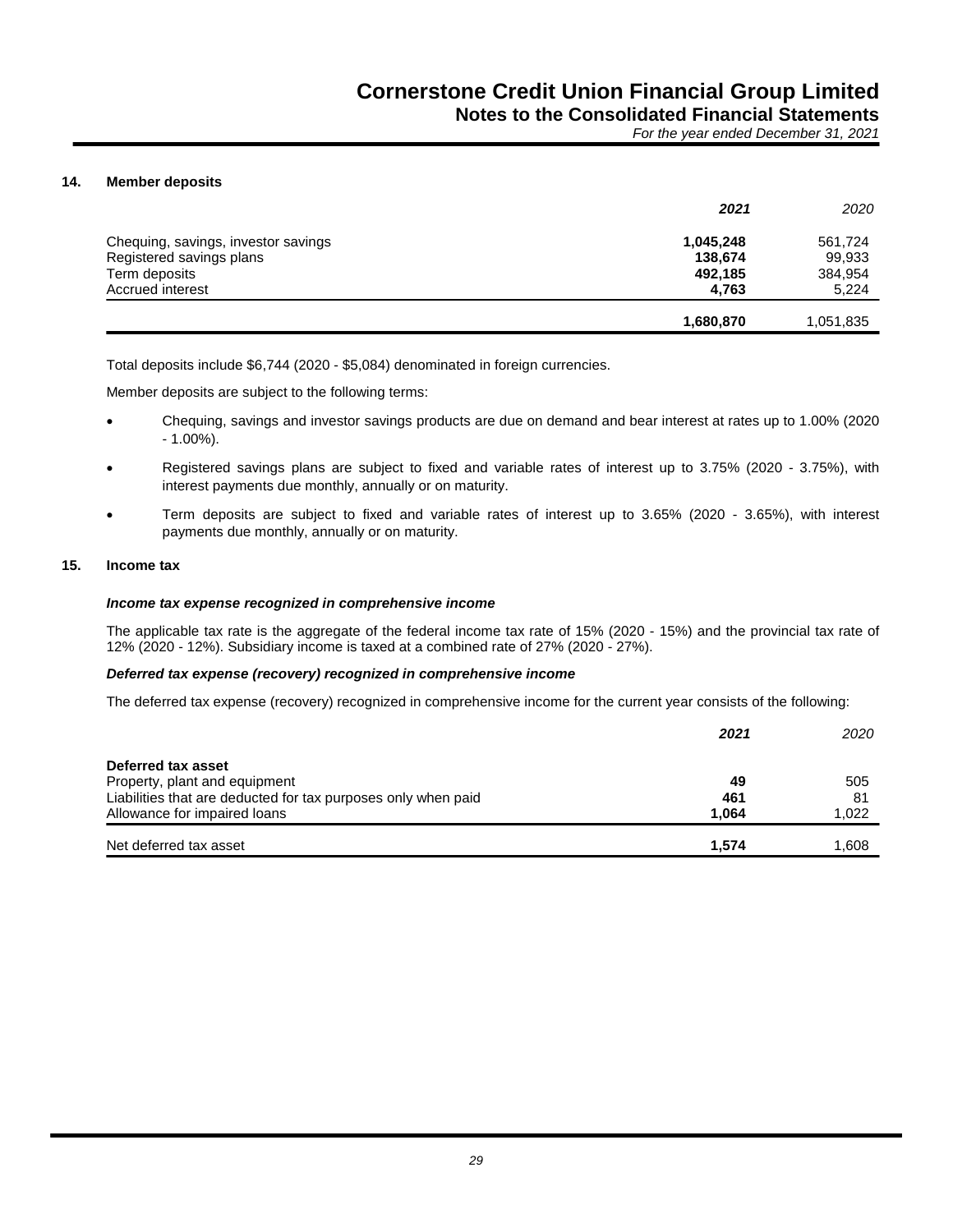#### **14. Member deposits**

|                                     | 2021      | 2020      |
|-------------------------------------|-----------|-----------|
| Chequing, savings, investor savings | 1,045,248 | 561,724   |
| Registered savings plans            | 138,674   | 99,933    |
| Term deposits                       | 492,185   | 384,954   |
| Accrued interest                    | 4.763     | 5,224     |
|                                     | 1,680,870 | 1,051,835 |

Total deposits include \$6,744 (2020 - \$5,084) denominated in foreign currencies.

Member deposits are subject to the following terms:

- Chequing, savings and investor savings products are due on demand and bear interest at rates up to 1.00% (2020 - 1.00%).
- Registered savings plans are subject to fixed and variable rates of interest up to 3.75% (2020 3.75%), with interest payments due monthly, annually or on maturity.
- Term deposits are subject to fixed and variable rates of interest up to 3.65% (2020 3.65%), with interest payments due monthly, annually or on maturity.

#### **15. Income tax**

#### *Income tax expense recognized in comprehensive income*

The applicable tax rate is the aggregate of the federal income tax rate of 15% (2020 - 15%) and the provincial tax rate of 12% (2020 - 12%). Subsidiary income is taxed at a combined rate of 27% (2020 - 27%).

#### *Deferred tax expense (recovery) recognized in comprehensive income*

The deferred tax expense (recovery) recognized in comprehensive income for the current year consists of the following:

|                                                               | 2021  | 2020  |
|---------------------------------------------------------------|-------|-------|
| Deferred tax asset                                            |       |       |
| Property, plant and equipment                                 | 49    | 505   |
| Liabilities that are deducted for tax purposes only when paid | 461   | 81    |
| Allowance for impaired loans                                  | 1.064 | 1.022 |
| Net deferred tax asset                                        | 1.574 | 1,608 |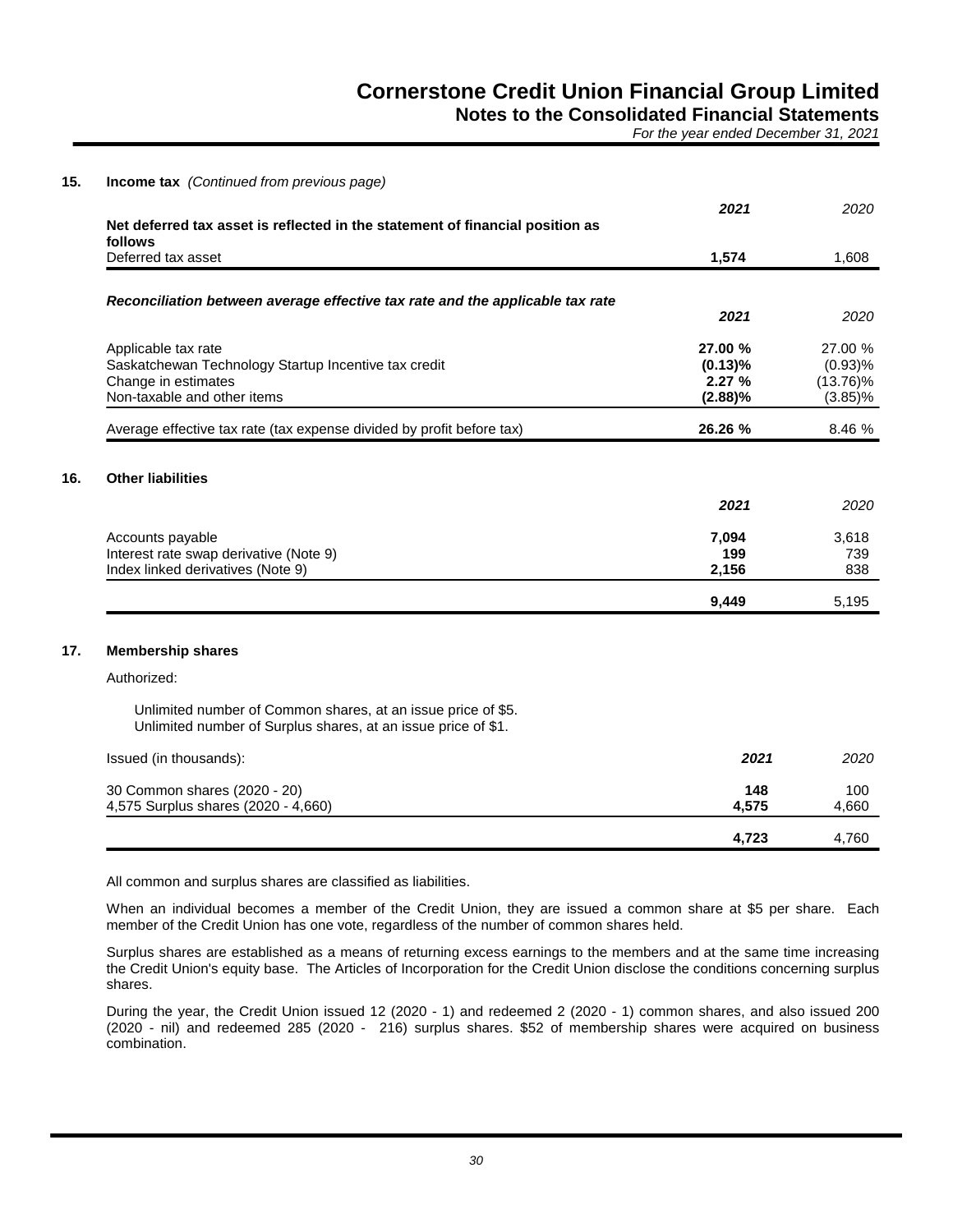**Notes to the Consolidated Financial Statements**

*For the year ended December 31, 2021*

| <b>Income tax</b> (Continued from previous page)                                                                              |                    |                    |
|-------------------------------------------------------------------------------------------------------------------------------|--------------------|--------------------|
| Net deferred tax asset is reflected in the statement of financial position as                                                 | 2021               | 2020               |
| follows<br>Deferred tax asset                                                                                                 | 1,574              | 1,608              |
|                                                                                                                               |                    |                    |
| Reconciliation between average effective tax rate and the applicable tax rate                                                 | 2021               | 2020               |
|                                                                                                                               |                    |                    |
| Applicable tax rate<br>Saskatchewan Technology Startup Incentive tax credit                                                   | 27.00 %<br>(0.13)% | 27.00 %<br>(0.93)% |
| Change in estimates                                                                                                           | 2.27 %             | $(13.76)\%$        |
| Non-taxable and other items                                                                                                   | (2.88)%            | $(3.85)\%$         |
| Average effective tax rate (tax expense divided by profit before tax)                                                         | 26.26 %            | 8.46 %             |
| <b>Other liabilities</b>                                                                                                      |                    |                    |
|                                                                                                                               | 2021               | 2020               |
| Accounts payable                                                                                                              | 7,094              | 3,618              |
| Interest rate swap derivative (Note 9)                                                                                        | 199                | 739                |
| Index linked derivatives (Note 9)                                                                                             | 2,156              | 838                |
|                                                                                                                               | 9,449              | 5,195              |
| <b>Membership shares</b>                                                                                                      |                    |                    |
| Authorized:                                                                                                                   |                    |                    |
| Unlimited number of Common shares, at an issue price of \$5.<br>Unlimited number of Surplus shares, at an issue price of \$1. |                    |                    |
| Issued (in thousands):                                                                                                        | 2021               | 2020               |
| 30 Common shares (2020 - 20)                                                                                                  | 148                | 100                |
| 4,575 Surplus shares (2020 - 4,660)                                                                                           | 4,575              | 4,660              |
|                                                                                                                               | 4,723              | 4,760              |

All common and surplus shares are classified as liabilities.

When an individual becomes a member of the Credit Union, they are issued a common share at \$5 per share. Each member of the Credit Union has one vote, regardless of the number of common shares held.

Surplus shares are established as a means of returning excess earnings to the members and at the same time increasing the Credit Union's equity base. The Articles of Incorporation for the Credit Union disclose the conditions concerning surplus shares.

During the year, the Credit Union issued 12 (2020 - 1) and redeemed 2 (2020 - 1) common shares, and also issued 200 (2020 - nil) and redeemed 285 (2020 - 216) surplus shares. \$52 of membership shares were acquired on business combination.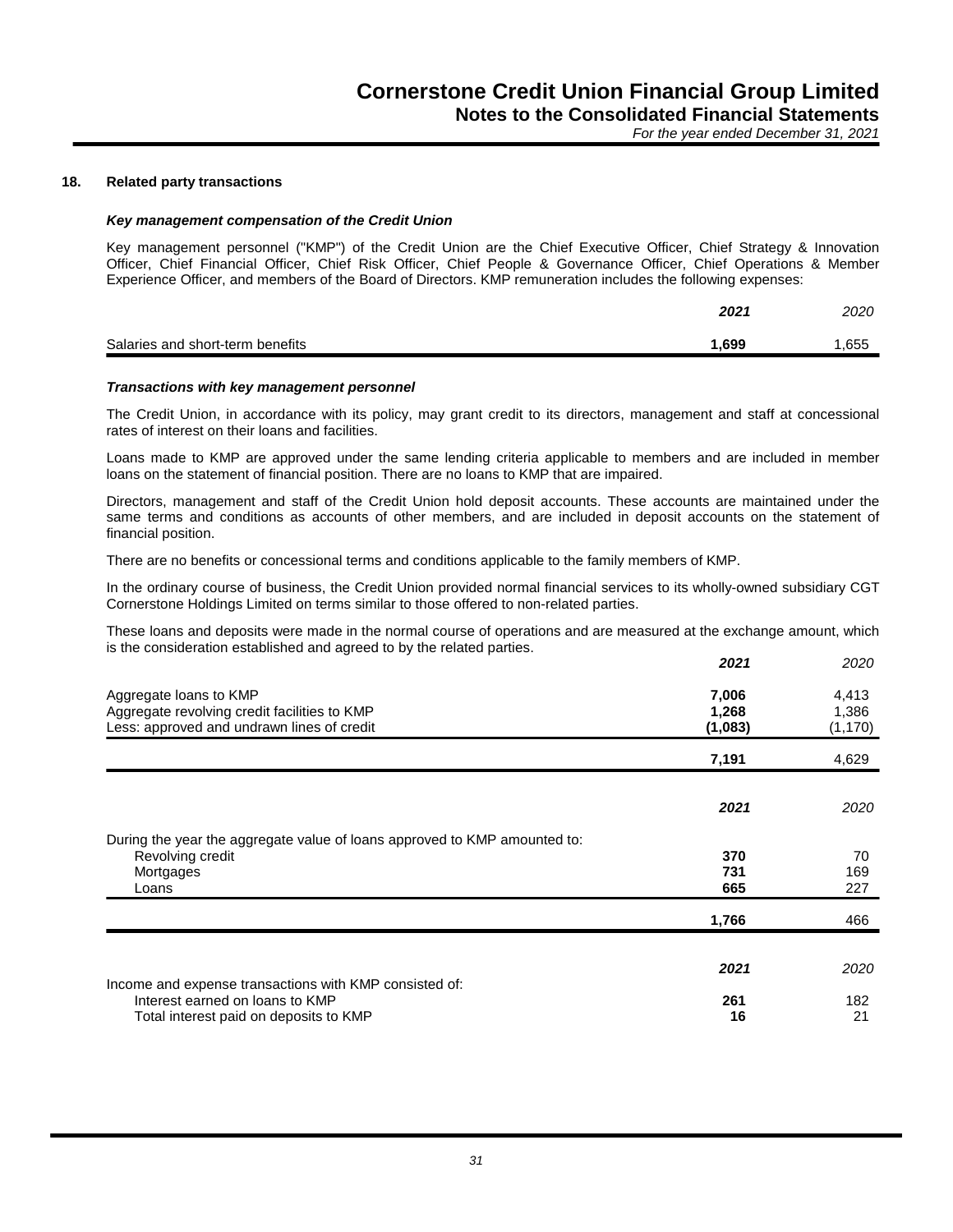#### **18. Related party transactions**

#### *Key management compensation of the Credit Union*

Key management personnel ("KMP") of the Credit Union are the Chief Executive Officer, Chief Strategy & Innovation Officer, Chief Financial Officer, Chief Risk Officer, Chief People & Governance Officer, Chief Operations & Member Experience Officer, and members of the Board of Directors. KMP remuneration includes the following expenses:

|                                  | 2021 | 2020 |
|----------------------------------|------|------|
| Salaries and short-term benefits | .699 | .655 |

#### *Transactions with key management personnel*

The Credit Union, in accordance with its policy, may grant credit to its directors, management and staff at concessional rates of interest on their loans and facilities.

Loans made to KMP are approved under the same lending criteria applicable to members and are included in member loans on the statement of financial position. There are no loans to KMP that are impaired.

Directors, management and staff of the Credit Union hold deposit accounts. These accounts are maintained under the same terms and conditions as accounts of other members, and are included in deposit accounts on the statement of financial position.

There are no benefits or concessional terms and conditions applicable to the family members of KMP.

In the ordinary course of business, the Credit Union provided normal financial services to its wholly-owned subsidiary CGT Cornerstone Holdings Limited on terms similar to those offered to non-related parties.

These loans and deposits were made in the normal course of operations and are measured at the exchange amount, which is the consideration established and agreed to by the related parties.

|                                                                                                                      | 2021                      | 2020                       |
|----------------------------------------------------------------------------------------------------------------------|---------------------------|----------------------------|
| Aggregate loans to KMP<br>Aggregate revolving credit facilities to KMP<br>Less: approved and undrawn lines of credit | 7,006<br>1,268<br>(1,083) | 4,413<br>1,386<br>(1, 170) |
|                                                                                                                      | 7,191                     | 4,629                      |
|                                                                                                                      | 2021                      | 2020                       |
| During the year the aggregate value of loans approved to KMP amounted to:<br>Revolving credit<br>Mortgages<br>Loans  | 370<br>731<br>665         | 70<br>169<br>227           |
|                                                                                                                      | 1,766                     | 466                        |
| Income and expense transactions with KMP consisted of:                                                               | 2021                      | 2020                       |
| Interest earned on loans to KMP<br>Total interest paid on deposits to KMP                                            | 261<br>16                 | 182<br>21                  |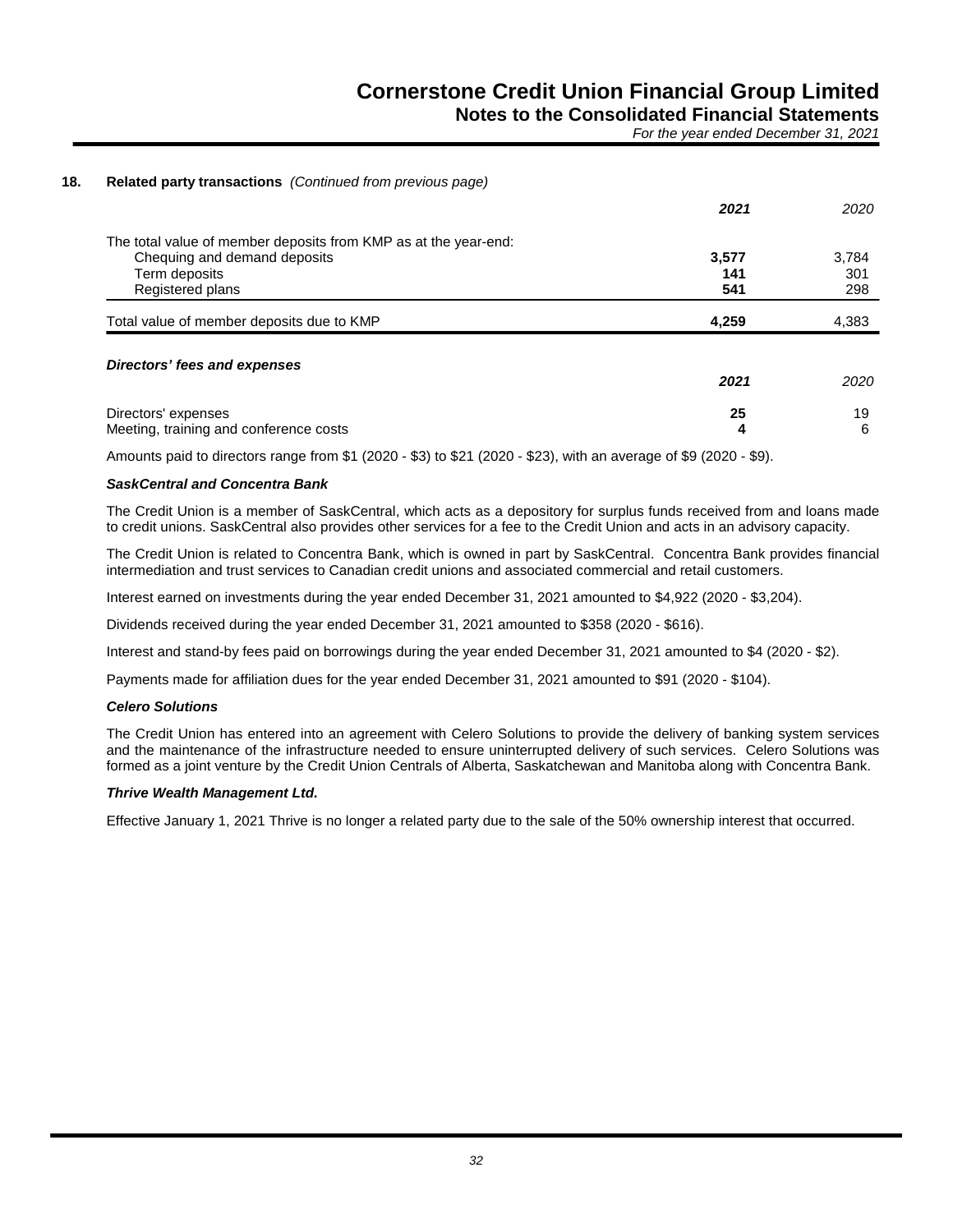*For the year ended December 31, 2021*

#### **18. Related party transactions** *(Continued from previous page)*

|                                                                 | 2021  | 2020  |
|-----------------------------------------------------------------|-------|-------|
| The total value of member deposits from KMP as at the year-end: |       |       |
| Chequing and demand deposits                                    | 3,577 | 3,784 |
| Term deposits                                                   | 141   | 301   |
| Registered plans                                                | 541   | 298   |
| Total value of member deposits due to KMP                       | 4,259 | 4,383 |
| Directors' fees and expenses                                    |       |       |
|                                                                 | 2021  | 2020  |
| Directors' expenses                                             | 25    | 19    |
| Meeting, training and conference costs                          | 4     | 6     |

Amounts paid to directors range from \$1 (2020 - \$3) to \$21 (2020 - \$23), with an average of \$9 (2020 - \$9).

#### *SaskCentral and Concentra Bank*

The Credit Union is a member of SaskCentral, which acts as a depository for surplus funds received from and loans made to credit unions. SaskCentral also provides other services for a fee to the Credit Union and acts in an advisory capacity.

The Credit Union is related to Concentra Bank, which is owned in part by SaskCentral. Concentra Bank provides financial intermediation and trust services to Canadian credit unions and associated commercial and retail customers.

Interest earned on investments during the year ended December 31, 2021 amounted to \$4,922 (2020 - \$3,204).

Dividends received during the year ended December 31, 2021 amounted to \$358 (2020 - \$616).

Interest and stand-by fees paid on borrowings during the year ended December 31, 2021 amounted to \$4 (2020 - \$2).

Payments made for affiliation dues for the year ended December 31, 2021 amounted to \$91 (2020 - \$104).

#### *Celero Solutions*

The Credit Union has entered into an agreement with Celero Solutions to provide the delivery of banking system services and the maintenance of the infrastructure needed to ensure uninterrupted delivery of such services. Celero Solutions was formed as a joint venture by the Credit Union Centrals of Alberta, Saskatchewan and Manitoba along with Concentra Bank.

#### *Thrive Wealth Management Ltd.*

Effective January 1, 2021 Thrive is no longer a related party due to the sale of the 50% ownership interest that occurred.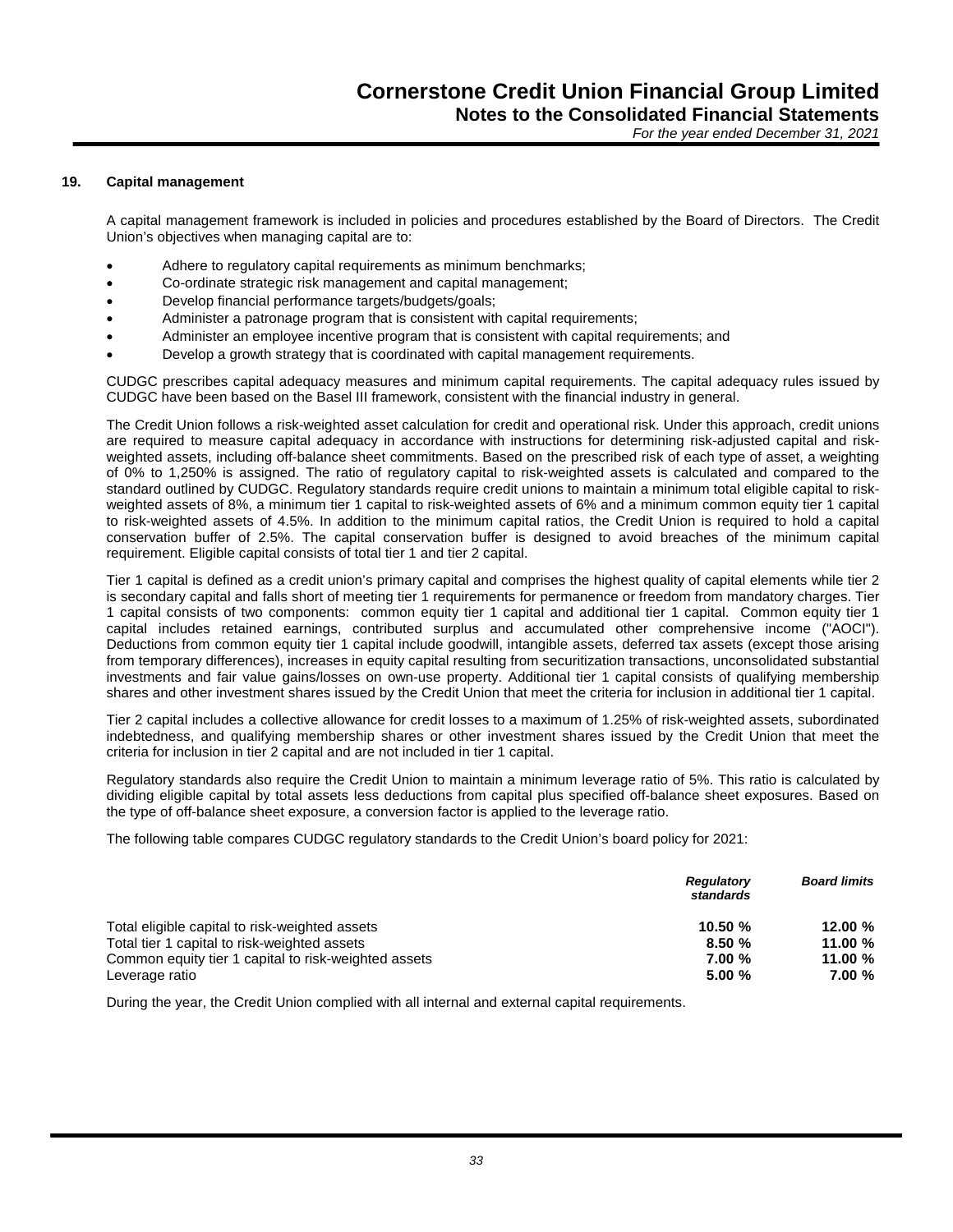#### **19. Capital management**

A capital management framework is included in policies and procedures established by the Board of Directors. The Credit Union's objectives when managing capital are to:

- Adhere to regulatory capital requirements as minimum benchmarks;
- Co-ordinate strategic risk management and capital management;
- Develop financial performance targets/budgets/goals;
- Administer a patronage program that is consistent with capital requirements;
- Administer an employee incentive program that is consistent with capital requirements; and
- Develop a growth strategy that is coordinated with capital management requirements.

CUDGC prescribes capital adequacy measures and minimum capital requirements. The capital adequacy rules issued by CUDGC have been based on the Basel III framework, consistent with the financial industry in general.

The Credit Union follows a risk-weighted asset calculation for credit and operational risk. Under this approach, credit unions are required to measure capital adequacy in accordance with instructions for determining risk-adjusted capital and riskweighted assets, including off-balance sheet commitments. Based on the prescribed risk of each type of asset, a weighting of 0% to 1,250% is assigned. The ratio of regulatory capital to risk-weighted assets is calculated and compared to the standard outlined by CUDGC. Regulatory standards require credit unions to maintain a minimum total eligible capital to riskweighted assets of 8%, a minimum tier 1 capital to risk-weighted assets of 6% and a minimum common equity tier 1 capital to risk-weighted assets of 4.5%. In addition to the minimum capital ratios, the Credit Union is required to hold a capital conservation buffer of 2.5%. The capital conservation buffer is designed to avoid breaches of the minimum capital requirement. Eligible capital consists of total tier 1 and tier 2 capital.

Tier 1 capital is defined as a credit union's primary capital and comprises the highest quality of capital elements while tier 2 is secondary capital and falls short of meeting tier 1 requirements for permanence or freedom from mandatory charges. Tier 1 capital consists of two components: common equity tier 1 capital and additional tier 1 capital. Common equity tier 1 capital includes retained earnings, contributed surplus and accumulated other comprehensive income ("AOCI"). Deductions from common equity tier 1 capital include goodwill, intangible assets, deferred tax assets (except those arising from temporary differences), increases in equity capital resulting from securitization transactions, unconsolidated substantial investments and fair value gains/losses on own-use property. Additional tier 1 capital consists of qualifying membership shares and other investment shares issued by the Credit Union that meet the criteria for inclusion in additional tier 1 capital.

Tier 2 capital includes a collective allowance for credit losses to a maximum of 1.25% of risk-weighted assets, subordinated indebtedness, and qualifying membership shares or other investment shares issued by the Credit Union that meet the criteria for inclusion in tier 2 capital and are not included in tier 1 capital.

Regulatory standards also require the Credit Union to maintain a minimum leverage ratio of 5%. This ratio is calculated by dividing eligible capital by total assets less deductions from capital plus specified off-balance sheet exposures. Based on the type of off-balance sheet exposure, a conversion factor is applied to the leverage ratio.

The following table compares CUDGC regulatory standards to the Credit Union's board policy for 2021:

|                                                      | Regulatory<br>standards | <b>Board limits</b> |
|------------------------------------------------------|-------------------------|---------------------|
| Total eligible capital to risk-weighted assets       | 10.50 %                 | 12.00 $%$           |
| Total tier 1 capital to risk-weighted assets         | 8.50 %                  | 11.00 %             |
| Common equity tier 1 capital to risk-weighted assets | 7.00%                   | 11.00 %             |
| Leverage ratio                                       | 5.00%                   | 7.00 %              |

During the year, the Credit Union complied with all internal and external capital requirements.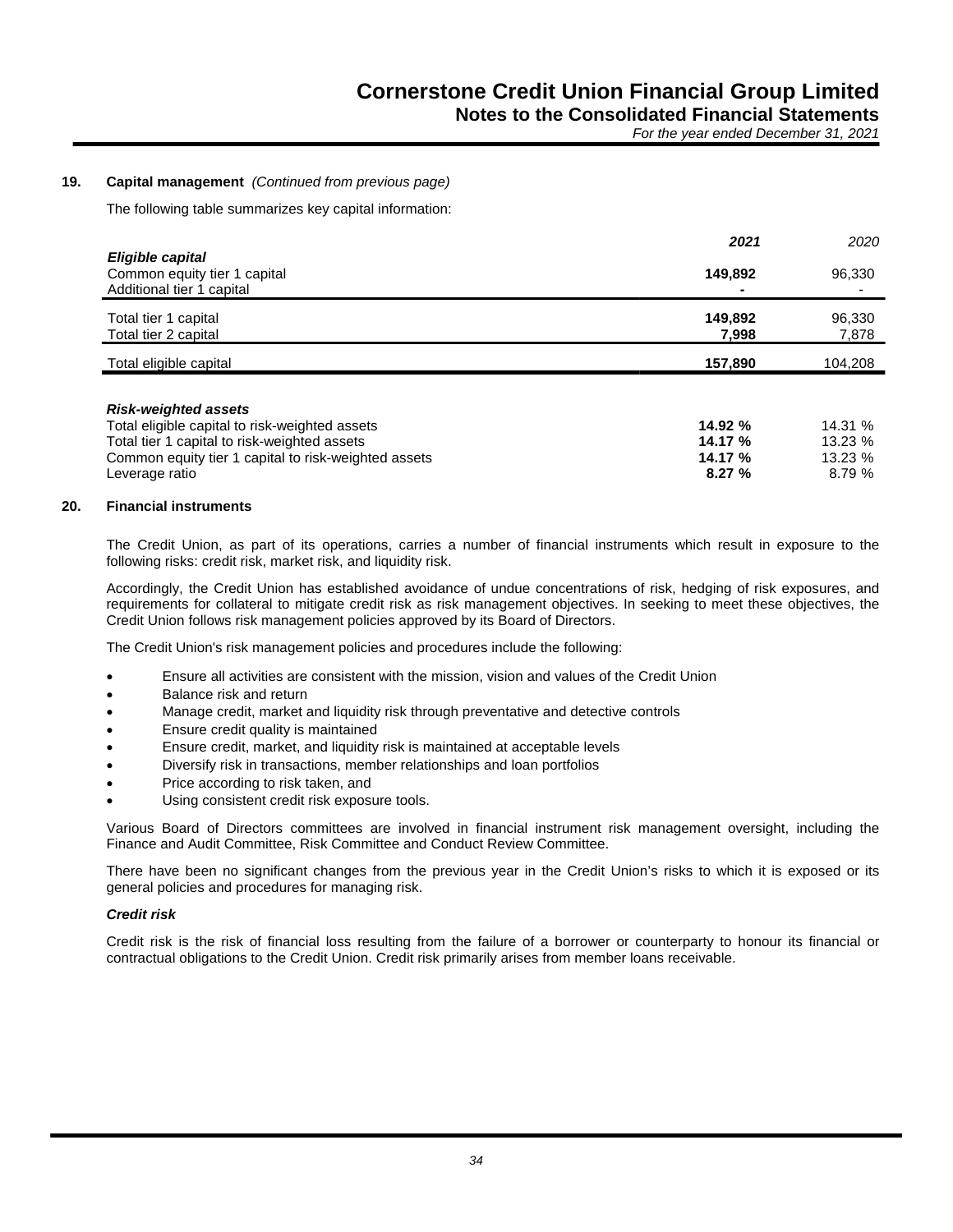*For the year ended December 31, 2021*

#### **19. Capital management** *(Continued from previous page)*

The following table summarizes key capital information:

|                                                                               | 2021             | 2020            |
|-------------------------------------------------------------------------------|------------------|-----------------|
| Eligible capital<br>Common equity tier 1 capital<br>Additional tier 1 capital | 149,892          | 96,330<br>۰.    |
| Total tier 1 capital<br>Total tier 2 capital                                  | 149,892<br>7,998 | 96,330<br>7,878 |
| Total eligible capital                                                        | 157,890          | 104,208         |

| <b>Risk-weighted assets</b>                          |           |           |
|------------------------------------------------------|-----------|-----------|
| Total eligible capital to risk-weighted assets       | 14.92 $%$ | 14.31 %   |
| Total tier 1 capital to risk-weighted assets         | 14.17%    | $13.23\%$ |
| Common equity tier 1 capital to risk-weighted assets | 14.17%    | $13.23\%$ |
| Leverage ratio                                       | 8.27%     | 8.79%     |

#### **20. Financial instruments**

The Credit Union, as part of its operations, carries a number of financial instruments which result in exposure to the following risks: credit risk, market risk, and liquidity risk.

Accordingly, the Credit Union has established avoidance of undue concentrations of risk, hedging of risk exposures, and requirements for collateral to mitigate credit risk as risk management objectives. In seeking to meet these objectives, the Credit Union follows risk management policies approved by its Board of Directors.

The Credit Union's risk management policies and procedures include the following:

- Ensure all activities are consistent with the mission, vision and values of the Credit Union
- Balance risk and return
- Manage credit, market and liquidity risk through preventative and detective controls
- Ensure credit quality is maintained
- Ensure credit, market, and liquidity risk is maintained at acceptable levels
- Diversify risk in transactions, member relationships and loan portfolios
- Price according to risk taken, and
- Using consistent credit risk exposure tools.

Various Board of Directors committees are involved in financial instrument risk management oversight, including the Finance and Audit Committee, Risk Committee and Conduct Review Committee.

There have been no significant changes from the previous year in the Credit Union's risks to which it is exposed or its general policies and procedures for managing risk.

#### *Credit risk*

Credit risk is the risk of financial loss resulting from the failure of a borrower or counterparty to honour its financial or contractual obligations to the Credit Union. Credit risk primarily arises from member loans receivable.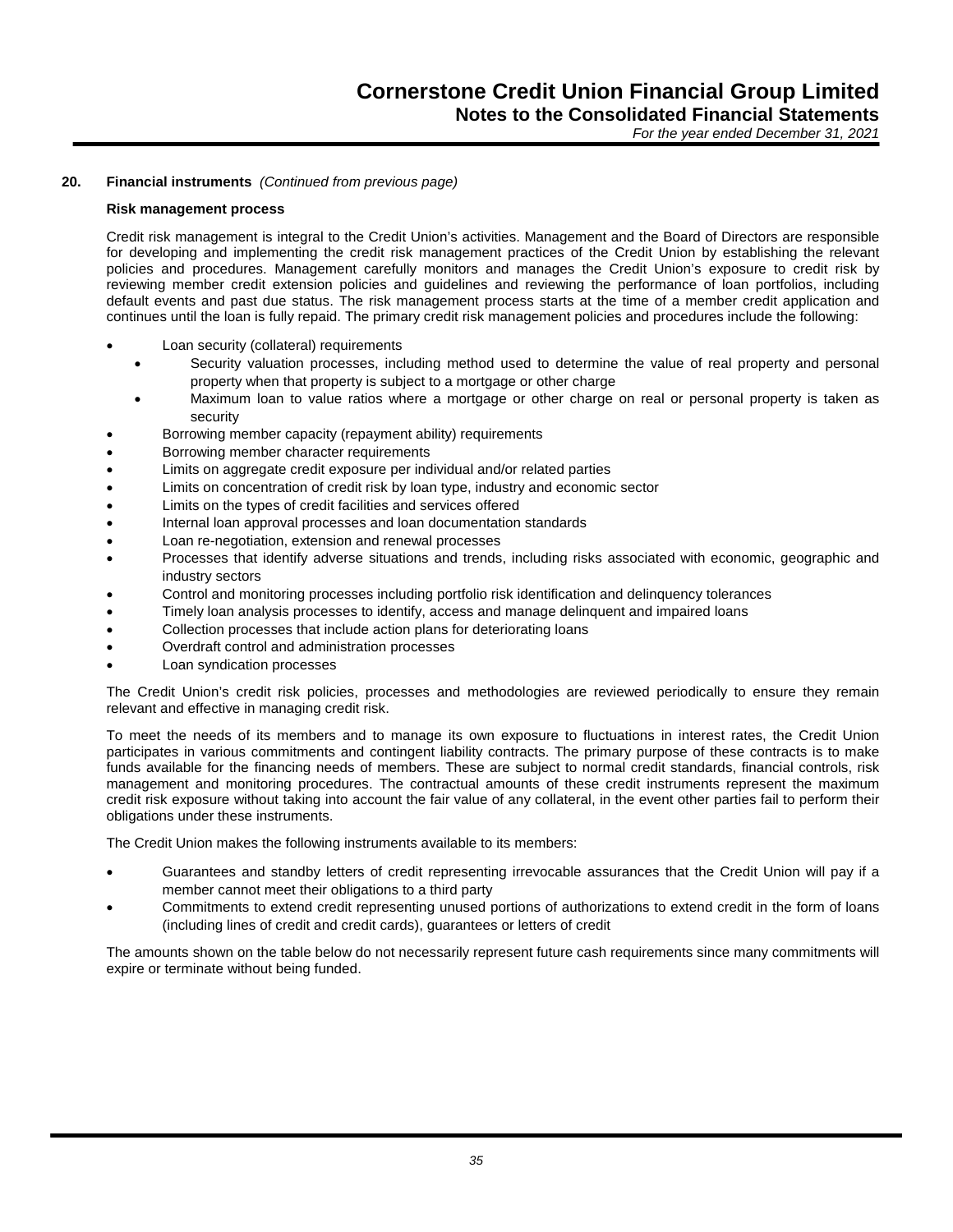#### **20. Financial instruments** *(Continued from previous page)*

#### **Risk management process**

Credit risk management is integral to the Credit Union's activities. Management and the Board of Directors are responsible for developing and implementing the credit risk management practices of the Credit Union by establishing the relevant policies and procedures. Management carefully monitors and manages the Credit Union's exposure to credit risk by reviewing member credit extension policies and guidelines and reviewing the performance of loan portfolios, including default events and past due status. The risk management process starts at the time of a member credit application and continues until the loan is fully repaid. The primary credit risk management policies and procedures include the following:

- Loan security (collateral) requirements
	- Security valuation processes, including method used to determine the value of real property and personal property when that property is subject to a mortgage or other charge
	- Maximum loan to value ratios where a mortgage or other charge on real or personal property is taken as security
- Borrowing member capacity (repayment ability) requirements
- Borrowing member character requirements
- Limits on aggregate credit exposure per individual and/or related parties
- Limits on concentration of credit risk by loan type, industry and economic sector
- Limits on the types of credit facilities and services offered
- Internal loan approval processes and loan documentation standards
- Loan re-negotiation, extension and renewal processes
- Processes that identify adverse situations and trends, including risks associated with economic, geographic and industry sectors
- Control and monitoring processes including portfolio risk identification and delinquency tolerances
- Timely loan analysis processes to identify, access and manage delinquent and impaired loans
- Collection processes that include action plans for deteriorating loans
- Overdraft control and administration processes
- Loan syndication processes

The Credit Union's credit risk policies, processes and methodologies are reviewed periodically to ensure they remain relevant and effective in managing credit risk.

To meet the needs of its members and to manage its own exposure to fluctuations in interest rates, the Credit Union participates in various commitments and contingent liability contracts. The primary purpose of these contracts is to make funds available for the financing needs of members. These are subject to normal credit standards, financial controls, risk management and monitoring procedures. The contractual amounts of these credit instruments represent the maximum credit risk exposure without taking into account the fair value of any collateral, in the event other parties fail to perform their obligations under these instruments.

The Credit Union makes the following instruments available to its members:

- Guarantees and standby letters of credit representing irrevocable assurances that the Credit Union will pay if a member cannot meet their obligations to a third party
- Commitments to extend credit representing unused portions of authorizations to extend credit in the form of loans (including lines of credit and credit cards), guarantees or letters of credit

The amounts shown on the table below do not necessarily represent future cash requirements since many commitments will expire or terminate without being funded.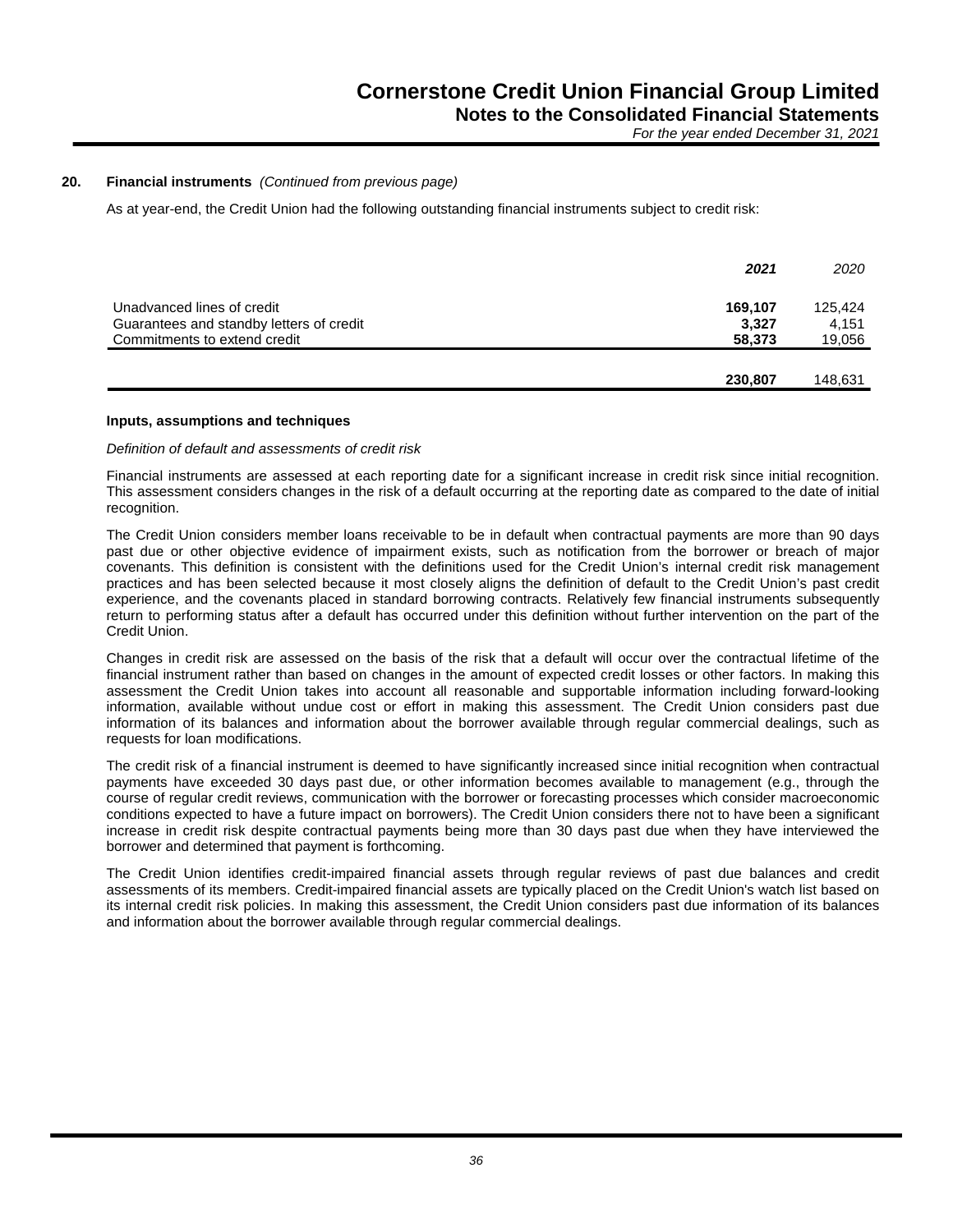As at year-end, the Credit Union had the following outstanding financial instruments subject to credit risk:

|                                                                                                        | 2021                       | 2020                       |
|--------------------------------------------------------------------------------------------------------|----------------------------|----------------------------|
| Unadvanced lines of credit<br>Guarantees and standby letters of credit<br>Commitments to extend credit | 169,107<br>3,327<br>58,373 | 125.424<br>4.151<br>19,056 |
|                                                                                                        | 230,807                    | 148,631                    |

#### **Inputs, assumptions and techniques**

#### *Definition of default and assessments of credit risk*

Financial instruments are assessed at each reporting date for a significant increase in credit risk since initial recognition. This assessment considers changes in the risk of a default occurring at the reporting date as compared to the date of initial recognition.

The Credit Union considers member loans receivable to be in default when contractual payments are more than 90 days past due or other objective evidence of impairment exists, such as notification from the borrower or breach of major covenants. This definition is consistent with the definitions used for the Credit Union's internal credit risk management practices and has been selected because it most closely aligns the definition of default to the Credit Union's past credit experience, and the covenants placed in standard borrowing contracts. Relatively few financial instruments subsequently return to performing status after a default has occurred under this definition without further intervention on the part of the Credit Union.

Changes in credit risk are assessed on the basis of the risk that a default will occur over the contractual lifetime of the financial instrument rather than based on changes in the amount of expected credit losses or other factors. In making this assessment the Credit Union takes into account all reasonable and supportable information including forward-looking information, available without undue cost or effort in making this assessment. The Credit Union considers past due information of its balances and information about the borrower available through regular commercial dealings, such as requests for loan modifications.

The credit risk of a financial instrument is deemed to have significantly increased since initial recognition when contractual payments have exceeded 30 days past due, or other information becomes available to management (e.g., through the course of regular credit reviews, communication with the borrower or forecasting processes which consider macroeconomic conditions expected to have a future impact on borrowers). The Credit Union considers there not to have been a significant increase in credit risk despite contractual payments being more than 30 days past due when they have interviewed the borrower and determined that payment is forthcoming.

The Credit Union identifies credit-impaired financial assets through regular reviews of past due balances and credit assessments of its members. Credit-impaired financial assets are typically placed on the Credit Union's watch list based on its internal credit risk policies. In making this assessment, the Credit Union considers past due information of its balances and information about the borrower available through regular commercial dealings.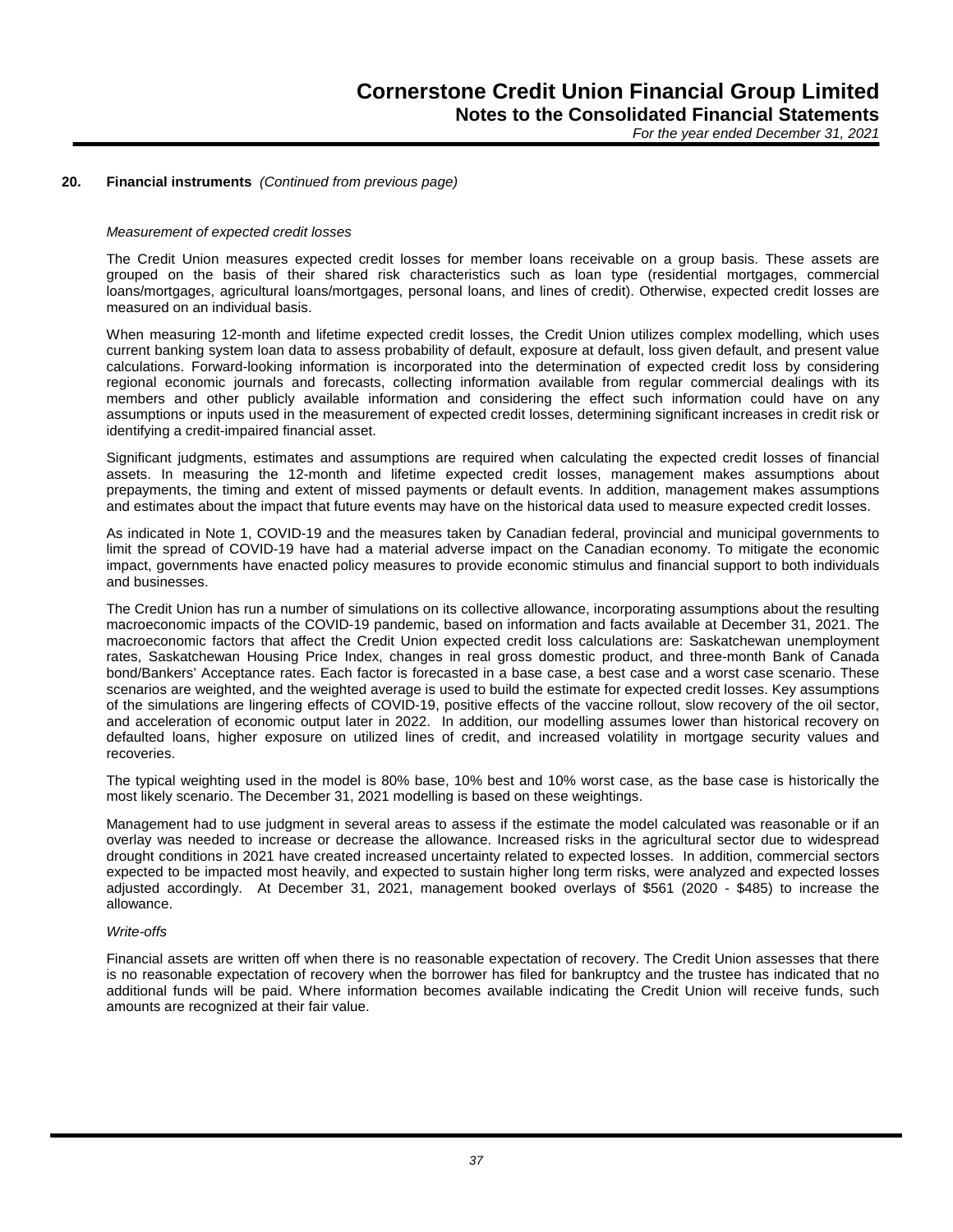#### *Measurement of expected credit losses*

The Credit Union measures expected credit losses for member loans receivable on a group basis. These assets are grouped on the basis of their shared risk characteristics such as loan type (residential mortgages, commercial loans/mortgages, agricultural loans/mortgages, personal loans, and lines of credit). Otherwise, expected credit losses are measured on an individual basis.

When measuring 12-month and lifetime expected credit losses, the Credit Union utilizes complex modelling, which uses current banking system loan data to assess probability of default, exposure at default, loss given default, and present value calculations. Forward-looking information is incorporated into the determination of expected credit loss by considering regional economic journals and forecasts, collecting information available from regular commercial dealings with its members and other publicly available information and considering the effect such information could have on any assumptions or inputs used in the measurement of expected credit losses, determining significant increases in credit risk or identifying a credit-impaired financial asset.

Significant judgments, estimates and assumptions are required when calculating the expected credit losses of financial assets. In measuring the 12-month and lifetime expected credit losses, management makes assumptions about prepayments, the timing and extent of missed payments or default events. In addition, management makes assumptions and estimates about the impact that future events may have on the historical data used to measure expected credit losses.

As indicated in Note 1, COVID-19 and the measures taken by Canadian federal, provincial and municipal governments to limit the spread of COVID-19 have had a material adverse impact on the Canadian economy. To mitigate the economic impact, governments have enacted policy measures to provide economic stimulus and financial support to both individuals and businesses.

The Credit Union has run a number of simulations on its collective allowance, incorporating assumptions about the resulting macroeconomic impacts of the COVID-19 pandemic, based on information and facts available at December 31, 2021. The macroeconomic factors that affect the Credit Union expected credit loss calculations are: Saskatchewan unemployment rates, Saskatchewan Housing Price Index, changes in real gross domestic product, and three-month Bank of Canada bond/Bankers' Acceptance rates. Each factor is forecasted in a base case, a best case and a worst case scenario. These scenarios are weighted, and the weighted average is used to build the estimate for expected credit losses. Key assumptions of the simulations are lingering effects of COVID-19, positive effects of the vaccine rollout, slow recovery of the oil sector, and acceleration of economic output later in 2022. In addition, our modelling assumes lower than historical recovery on defaulted loans, higher exposure on utilized lines of credit, and increased volatility in mortgage security values and recoveries.

The typical weighting used in the model is 80% base, 10% best and 10% worst case, as the base case is historically the most likely scenario. The December 31, 2021 modelling is based on these weightings.

Management had to use judgment in several areas to assess if the estimate the model calculated was reasonable or if an overlay was needed to increase or decrease the allowance. Increased risks in the agricultural sector due to widespread drought conditions in 2021 have created increased uncertainty related to expected losses. In addition, commercial sectors expected to be impacted most heavily, and expected to sustain higher long term risks, were analyzed and expected losses adjusted accordingly. At December 31, 2021, management booked overlays of \$561 (2020 - \$485) to increase the allowance.

#### *Write-offs*

Financial assets are written off when there is no reasonable expectation of recovery. The Credit Union assesses that there is no reasonable expectation of recovery when the borrower has filed for bankruptcy and the trustee has indicated that no additional funds will be paid. Where information becomes available indicating the Credit Union will receive funds, such amounts are recognized at their fair value.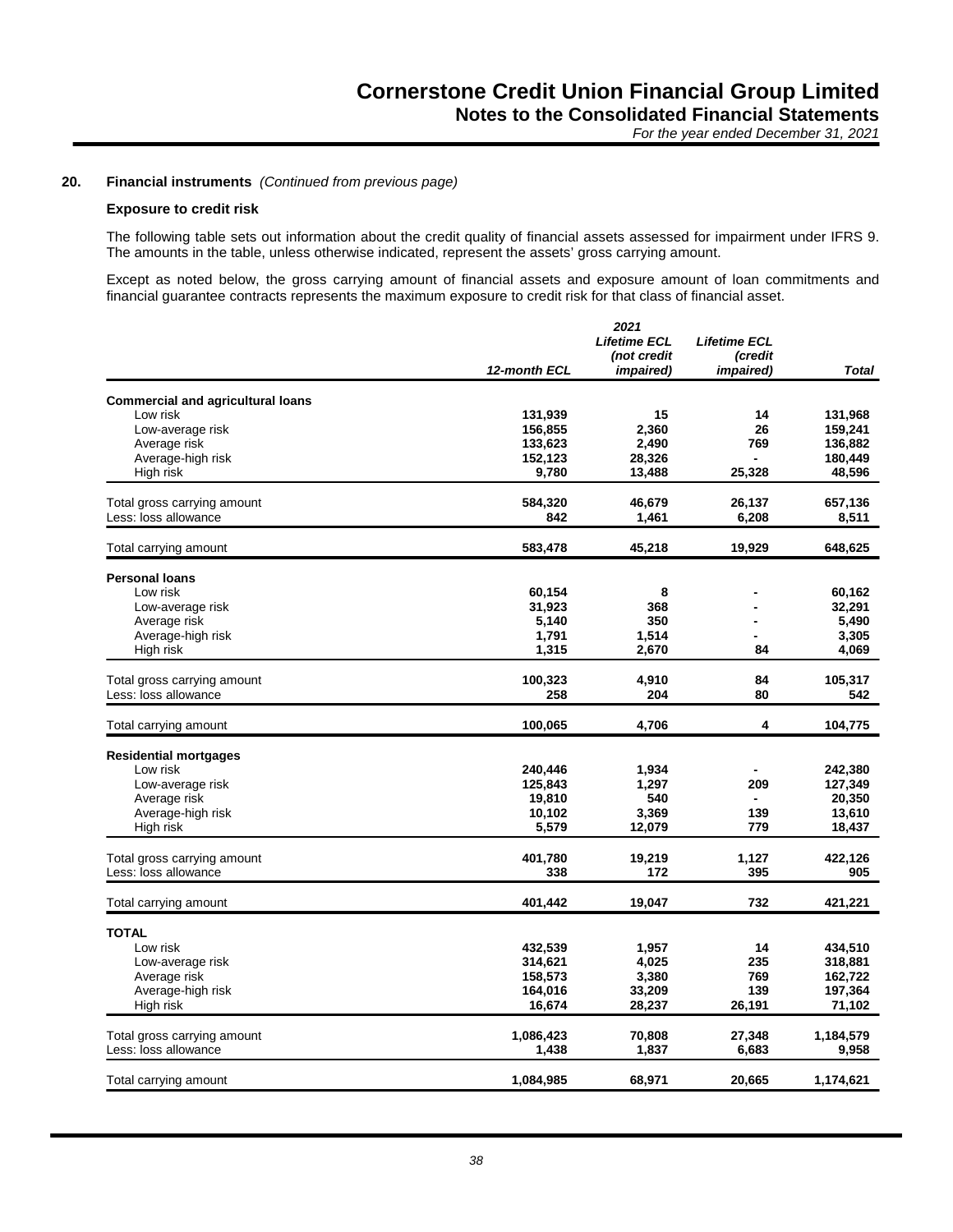#### **Exposure to credit risk**

The following table sets out information about the credit quality of financial assets assessed for impairment under IFRS 9. The amounts in the table, unless otherwise indicated, represent the assets' gross carrying amount.

Except as noted below, the gross carrying amount of financial assets and exposure amount of loan commitments and financial guarantee contracts represents the maximum exposure to credit risk for that class of financial asset.

|                                          |              | 2021<br><b>Lifetime ECL</b> | <b>Lifetime ECL</b> |           |
|------------------------------------------|--------------|-----------------------------|---------------------|-----------|
|                                          |              | (not credit                 | (credit             |           |
|                                          | 12-month ECL | <i>impaired</i> )           | <i>impaired</i> )   | Total     |
|                                          |              |                             |                     |           |
| <b>Commercial and agricultural loans</b> |              |                             |                     |           |
| Low risk                                 | 131,939      | 15                          | 14                  | 131,968   |
| Low-average risk                         | 156,855      | 2,360                       | 26                  | 159,241   |
| Average risk                             | 133,623      | 2,490                       | 769                 | 136,882   |
| Average-high risk                        | 152,123      | 28,326                      |                     | 180,449   |
| High risk                                | 9,780        | 13,488                      | 25,328              | 48,596    |
| Total gross carrying amount              | 584,320      | 46,679                      | 26,137              | 657,136   |
| Less: loss allowance                     | 842          | 1,461                       | 6,208               | 8,511     |
| Total carrying amount                    | 583,478      | 45,218                      | 19,929              | 648,625   |
|                                          |              |                             |                     |           |
| <b>Personal loans</b>                    |              |                             |                     |           |
| Low risk                                 | 60,154       | 8                           |                     | 60,162    |
| Low-average risk                         | 31,923       | 368                         |                     | 32,291    |
| Average risk                             | 5,140        | 350                         |                     | 5,490     |
| Average-high risk                        | 1,791        | 1,514                       |                     | 3,305     |
| High risk                                | 1,315        | 2,670                       | 84                  | 4,069     |
| Total gross carrying amount              | 100,323      | 4,910                       | 84                  | 105,317   |
| Less: loss allowance                     | 258          | 204                         | 80                  | 542       |
| Total carrying amount                    | 100,065      | 4,706                       | 4                   | 104,775   |
| <b>Residential mortgages</b>             |              |                             |                     |           |
| Low risk                                 | 240,446      | 1,934                       |                     | 242,380   |
| Low-average risk                         | 125,843      | 1,297                       | 209                 | 127,349   |
| Average risk                             | 19,810       | 540                         |                     | 20,350    |
| Average-high risk                        | 10,102       | 3,369                       | 139                 | 13,610    |
| High risk                                | 5,579        | 12,079                      | 779                 | 18,437    |
|                                          |              |                             |                     |           |
| Total gross carrying amount              | 401,780      | 19,219                      | 1,127               | 422,126   |
| Less: loss allowance                     | 338          | 172                         | 395                 | 905       |
| Total carrying amount                    | 401,442      | 19.047                      | 732                 | 421,221   |
| <b>TOTAL</b>                             |              |                             |                     |           |
| Low risk                                 | 432,539      | 1,957                       | 14                  | 434,510   |
| Low-average risk                         | 314,621      | 4,025                       | 235                 | 318,881   |
| Average risk                             | 158,573      | 3,380                       | 769                 | 162,722   |
| Average-high risk                        | 164,016      | 33,209                      | 139                 | 197,364   |
| High risk                                | 16,674       | 28,237                      | 26,191              | 71,102    |
|                                          |              |                             |                     |           |
| Total gross carrying amount              | 1,086,423    | 70,808                      | 27,348              | 1,184,579 |
| Less: loss allowance                     | 1,438        | 1,837                       | 6,683               | 9,958     |
| Total carrying amount                    | 1,084,985    | 68,971                      | 20,665              | 1,174,621 |
|                                          |              |                             |                     |           |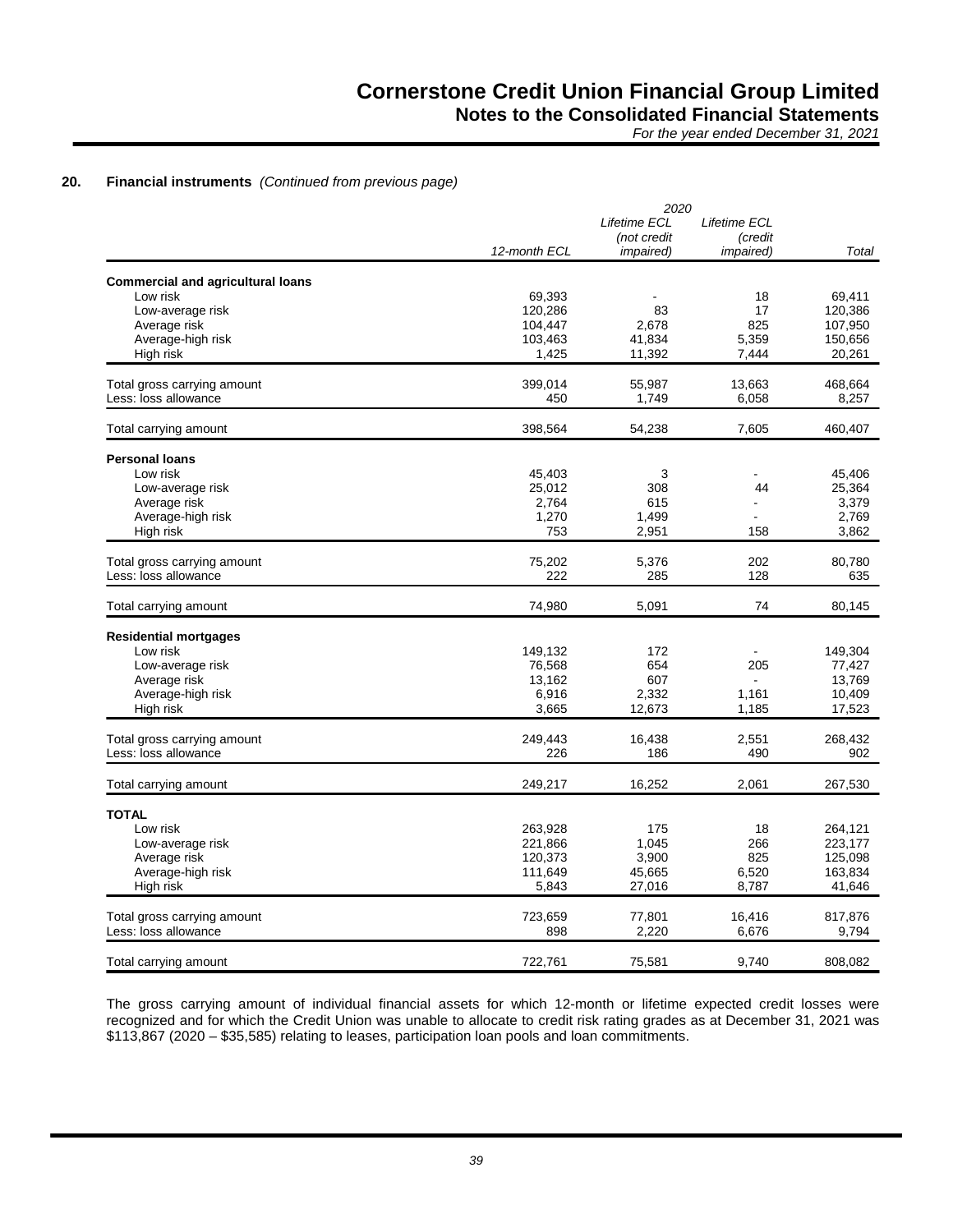#### **20. Financial instruments** *(Continued from previous page)*

|                                          |              | 2020              |                     |         |
|------------------------------------------|--------------|-------------------|---------------------|---------|
|                                          |              | Lifetime ECL      | <b>Lifetime ECL</b> |         |
|                                          |              | (not credit       | (credit             |         |
|                                          | 12-month ECL | <i>impaired</i> ) | <i>impaired</i> )   | Total   |
| <b>Commercial and agricultural loans</b> |              |                   |                     |         |
| Low risk                                 | 69,393       |                   | 18                  | 69,411  |
| Low-average risk                         | 120,286      | 83                | 17                  | 120,386 |
|                                          | 104,447      | 2,678             | 825                 | 107,950 |
| Average risk<br>Average-high risk        | 103,463      | 41,834            | 5,359               | 150,656 |
| High risk                                | 1,425        | 11,392            | 7,444               | 20,261  |
|                                          |              |                   |                     |         |
| Total gross carrying amount              | 399,014      | 55,987            | 13,663              | 468,664 |
| Less: loss allowance                     | 450          | 1,749             | 6,058               | 8,257   |
| Total carrying amount                    | 398,564      | 54,238            | 7,605               | 460,407 |
| <b>Personal loans</b>                    |              |                   |                     |         |
| Low risk                                 | 45,403       | 3                 |                     | 45,406  |
| Low-average risk                         | 25,012       | 308               | 44                  | 25,364  |
| Average risk                             | 2,764        | 615               |                     | 3,379   |
| Average-high risk                        | 1,270        | 1,499             |                     | 2,769   |
| High risk                                | 753          | 2,951             | 158                 | 3,862   |
|                                          |              |                   |                     |         |
| Total gross carrying amount              | 75,202       | 5,376             | 202                 | 80,780  |
| Less: loss allowance                     | 222          | 285               | 128                 | 635     |
| Total carrying amount                    | 74,980       | 5,091             | 74                  | 80,145  |
| <b>Residential mortgages</b>             |              |                   |                     |         |
| Low risk                                 | 149,132      | 172               |                     | 149,304 |
| Low-average risk                         | 76,568       | 654               | 205                 | 77,427  |
| Average risk                             | 13,162       | 607               |                     | 13,769  |
| Average-high risk                        | 6,916        | 2,332             | 1,161               | 10,409  |
| High risk                                | 3,665        | 12,673            | 1,185               | 17,523  |
|                                          |              |                   |                     |         |
| Total gross carrying amount              | 249,443      | 16,438            | 2,551               | 268,432 |
| Less: loss allowance                     | 226          | 186               | 490                 | 902     |
| Total carrying amount                    | 249,217      | 16,252            | 2,061               | 267,530 |
| <b>TOTAL</b>                             |              |                   |                     |         |
| Low risk                                 | 263,928      | 175               | 18                  | 264,121 |
| Low-average risk                         | 221,866      | 1,045             | 266                 | 223,177 |
| Average risk                             | 120,373      | 3,900             | 825                 | 125,098 |
| Average-high risk                        | 111,649      | 45,665            | 6,520               | 163,834 |
|                                          |              | 27,016            | 8,787               |         |
| High risk                                | 5,843        |                   |                     | 41,646  |
| Total gross carrying amount              | 723,659      | 77,801            | 16,416              | 817,876 |
| Less: loss allowance                     | 898          | 2,220             | 6,676               | 9,794   |
| Total carrying amount                    | 722,761      | 75,581            | 9.740               | 808,082 |
|                                          |              |                   |                     |         |

The gross carrying amount of individual financial assets for which 12-month or lifetime expected credit losses were recognized and for which the Credit Union was unable to allocate to credit risk rating grades as at December 31, 2021 was \$113,867 (2020 – \$35,585) relating to leases, participation loan pools and loan commitments.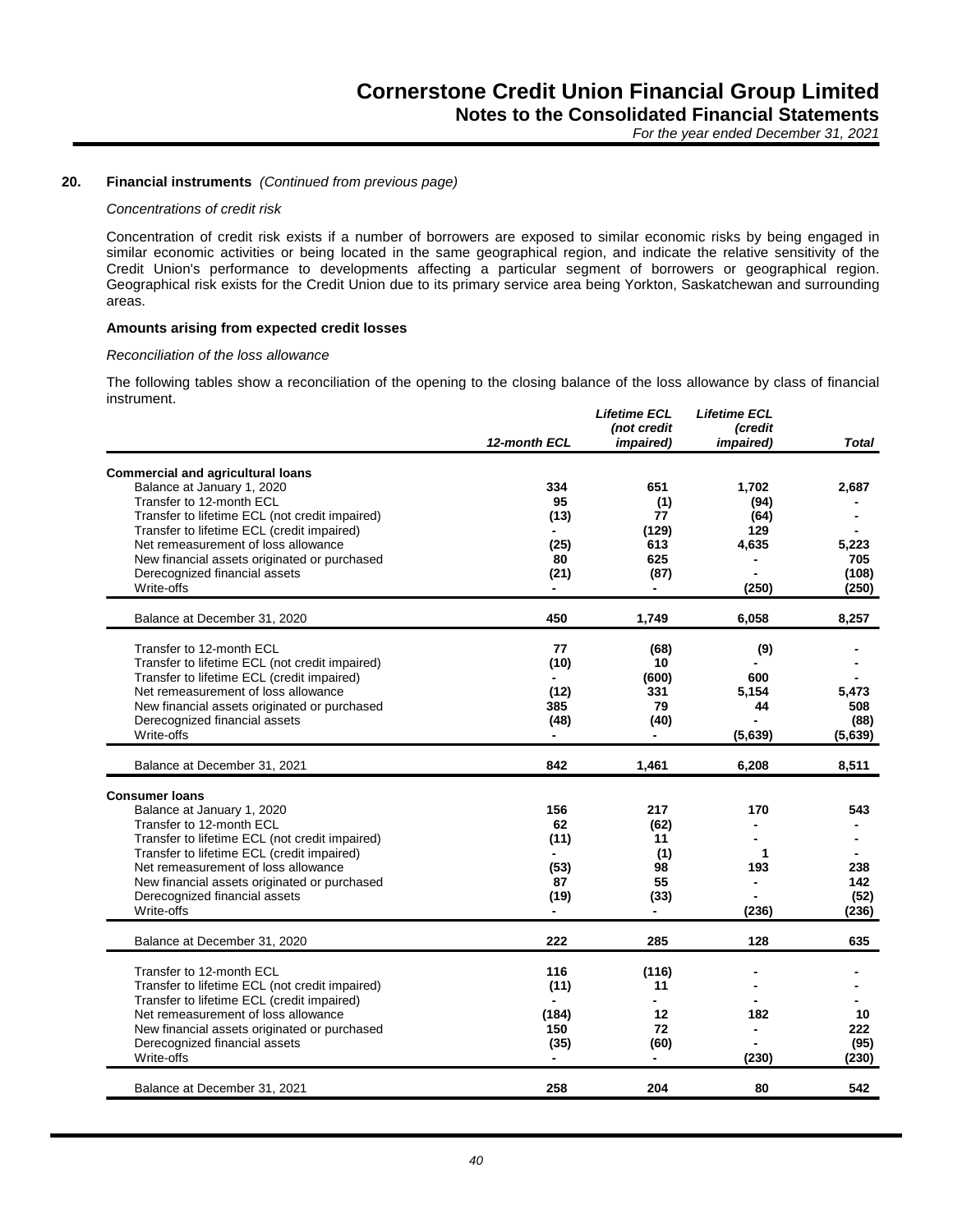#### *Concentrations of credit risk*

Concentration of credit risk exists if a number of borrowers are exposed to similar economic risks by being engaged in similar economic activities or being located in the same geographical region, and indicate the relative sensitivity of the Credit Union's performance to developments affecting a particular segment of borrowers or geographical region. Geographical risk exists for the Credit Union due to its primary service area being Yorkton, Saskatchewan and surrounding areas.

#### **Amounts arising from expected credit losses**

#### *Reconciliation of the loss allowance*

The following tables show a reconciliation of the opening to the closing balance of the loss allowance by class of financial instrument.

|                                                                                   |              | <b>Lifetime ECL</b>              | <b>Lifetime ECL</b>          |              |  |
|-----------------------------------------------------------------------------------|--------------|----------------------------------|------------------------------|--------------|--|
|                                                                                   | 12-month ECL | (not credit<br><i>impaired</i> ) | (credit<br><i>impaired</i> ) | <b>Total</b> |  |
|                                                                                   |              |                                  |                              |              |  |
| <b>Commercial and agricultural loans</b>                                          |              |                                  |                              |              |  |
| Balance at January 1, 2020                                                        | 334          | 651                              | 1,702                        | 2,687        |  |
| Transfer to 12-month ECL                                                          | 95           | (1)                              | (94)                         |              |  |
| Transfer to lifetime ECL (not credit impaired)                                    | (13)         | 77                               | (64)                         |              |  |
| Transfer to lifetime ECL (credit impaired)                                        |              | (129)                            | 129                          |              |  |
| Net remeasurement of loss allowance                                               | (25)         | 613                              | 4,635                        | 5,223        |  |
| New financial assets originated or purchased                                      | 80           | 625                              |                              | 705          |  |
| Derecognized financial assets                                                     | (21)         | (87)                             |                              | (108)        |  |
| Write-offs                                                                        |              |                                  | (250)                        | (250)        |  |
| Balance at December 31, 2020                                                      | 450          | 1,749                            | 6.058                        | 8.257        |  |
| Transfer to 12-month ECL                                                          | 77           |                                  |                              |              |  |
| Transfer to lifetime ECL (not credit impaired)                                    | (10)         | (68)<br>10                       | (9)                          |              |  |
|                                                                                   |              |                                  | 600                          |              |  |
| Transfer to lifetime ECL (credit impaired)<br>Net remeasurement of loss allowance |              | (600)<br>331                     |                              |              |  |
| New financial assets originated or purchased                                      | (12)<br>385  | 79                               | 5,154<br>44                  | 5,473<br>508 |  |
|                                                                                   |              |                                  |                              |              |  |
| Derecognized financial assets<br>Write-offs                                       | (48)         | (40)                             |                              | (88)         |  |
|                                                                                   |              |                                  | (5,639)                      | (5,639)      |  |
| Balance at December 31, 2021                                                      | 842          | 1.461                            | 6.208                        | 8.511        |  |
| <b>Consumer loans</b>                                                             |              |                                  |                              |              |  |
| Balance at January 1, 2020                                                        | 156          | 217                              | 170                          | 543          |  |
| Transfer to 12-month ECL                                                          | 62           | (62)                             |                              |              |  |
| Transfer to lifetime ECL (not credit impaired)                                    | (11)         | 11                               |                              |              |  |
| Transfer to lifetime ECL (credit impaired)                                        |              | (1)                              | 1                            |              |  |
| Net remeasurement of loss allowance                                               | (53)         | 98                               | 193                          | 238          |  |
| New financial assets originated or purchased                                      | 87           | 55                               |                              | 142          |  |
| Derecognized financial assets                                                     | (19)         | (33)                             |                              | (52)         |  |
| Write-offs                                                                        |              |                                  | (236)                        | (236)        |  |
|                                                                                   |              |                                  |                              |              |  |
| Balance at December 31, 2020                                                      | 222          | 285                              | 128                          | 635          |  |
| Transfer to 12-month ECL                                                          | 116          | (116)                            |                              |              |  |
| Transfer to lifetime ECL (not credit impaired)                                    | (11)         | 11                               |                              |              |  |
| Transfer to lifetime ECL (credit impaired)                                        |              | $\blacksquare$                   |                              |              |  |
| Net remeasurement of loss allowance                                               | (184)        | 12                               | 182                          | 10           |  |
| New financial assets originated or purchased                                      | 150          | 72                               |                              | 222          |  |
| Derecognized financial assets                                                     | (35)         | (60)                             |                              | (95)         |  |
| Write-offs                                                                        |              | $\overline{\phantom{0}}$         | (230)                        | (230)        |  |
| Balance at December 31, 2021                                                      | 258          | 204                              | 80                           | 542          |  |
|                                                                                   |              |                                  |                              |              |  |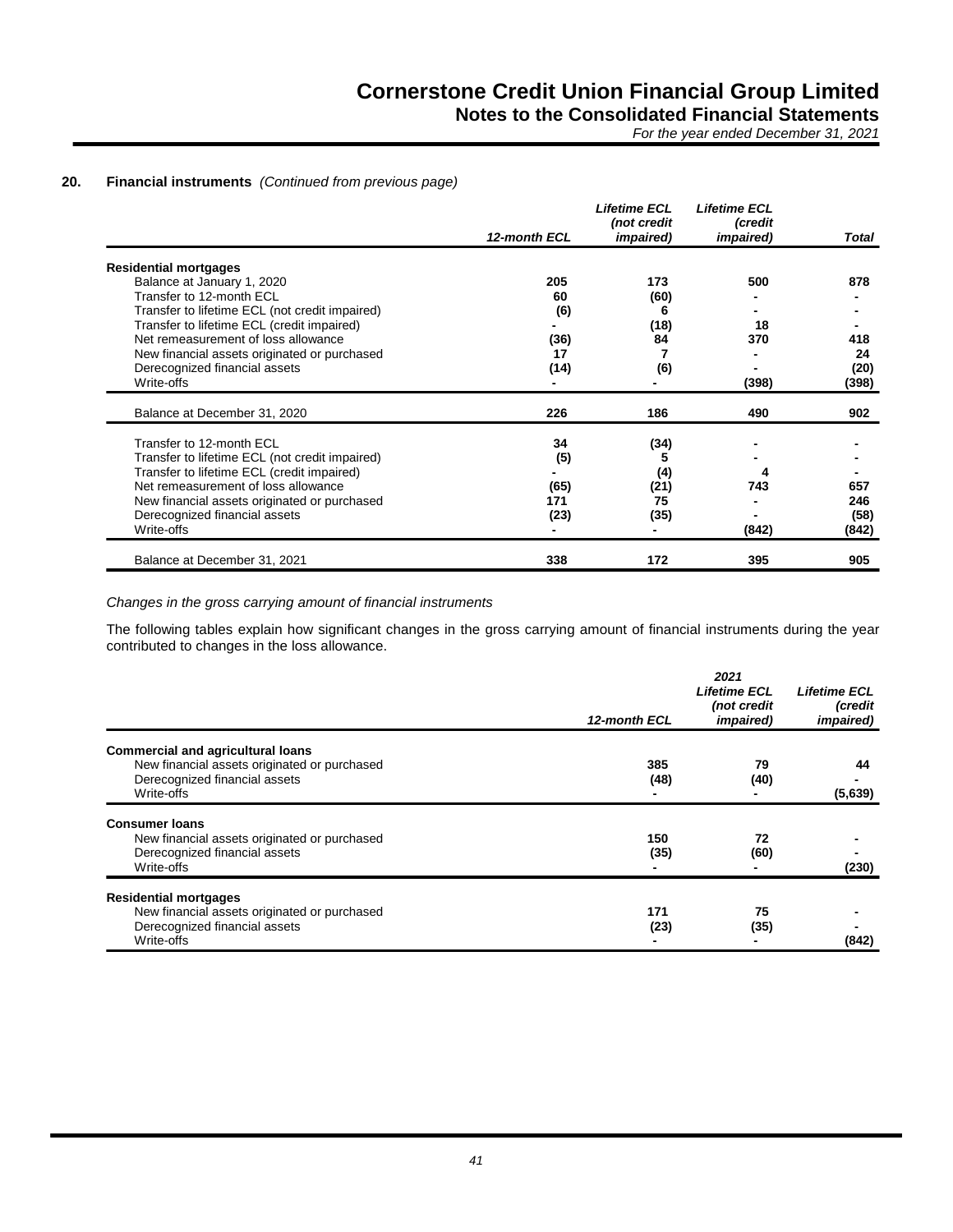*For the year ended December 31, 2021*

#### **20. Financial instruments** *(Continued from previous page)*

|                                                |              | <b>Lifetime ECL</b><br>(not credit | <b>Lifetime ECL</b><br>(credit |       |
|------------------------------------------------|--------------|------------------------------------|--------------------------------|-------|
|                                                | 12-month ECL | <i>impaired</i> )                  | <i>impaired</i> )              | Total |
| <b>Residential mortgages</b>                   |              |                                    |                                |       |
| Balance at January 1, 2020                     | 205          | 173                                | 500                            | 878   |
| Transfer to 12-month ECL                       | 60           | (60)                               |                                |       |
| Transfer to lifetime ECL (not credit impaired) | (6)          | 6                                  |                                |       |
| Transfer to lifetime ECL (credit impaired)     |              | (18)                               | 18                             |       |
| Net remeasurement of loss allowance            | (36)         | 84                                 | 370                            | 418   |
| New financial assets originated or purchased   | 17           |                                    |                                | 24    |
| Derecognized financial assets                  | (14)         | (6)                                |                                | (20)  |
| Write-offs                                     |              |                                    | (398)                          | (398) |
| Balance at December 31, 2020                   | 226          | 186                                | 490                            | 902   |
| Transfer to 12-month ECL                       | 34           | (34)                               |                                |       |
| Transfer to lifetime ECL (not credit impaired) | (5)          | 5                                  |                                |       |
| Transfer to lifetime ECL (credit impaired)     |              | (4)                                |                                |       |
| Net remeasurement of loss allowance            | (65)         | (21)                               | 743                            | 657   |
| New financial assets originated or purchased   | 171          | 75                                 |                                | 246   |
| Derecognized financial assets                  | (23)         | (35)                               |                                | (58)  |
| Write-offs                                     |              |                                    | (842)                          | (842) |
| Balance at December 31, 2021                   | 338          | 172                                | 395                            | 905   |

*Changes in the gross carrying amount of financial instruments*

The following tables explain how significant changes in the gross carrying amount of financial instruments during the year contributed to changes in the loss allowance.

|                                              | 12-month ECL | 2021<br><b>Lifetime ECL</b><br>(not credit<br><i>impaired</i> ) | <b>Lifetime ECL</b><br>(credit<br><i>impaired</i> ) |
|----------------------------------------------|--------------|-----------------------------------------------------------------|-----------------------------------------------------|
| <b>Commercial and agricultural loans</b>     |              |                                                                 |                                                     |
| New financial assets originated or purchased | 385          | 79                                                              | 44                                                  |
| Derecognized financial assets<br>Write-offs  | (48)         | (40)                                                            | (5,639)                                             |
| <b>Consumer loans</b>                        |              |                                                                 |                                                     |
| New financial assets originated or purchased | 150          | 72                                                              |                                                     |
| Derecognized financial assets                | (35)         | (60)                                                            |                                                     |
| Write-offs                                   |              |                                                                 | (230)                                               |
| <b>Residential mortgages</b>                 |              |                                                                 |                                                     |
| New financial assets originated or purchased | 171          | 75                                                              |                                                     |
| Derecognized financial assets                | (23)         | (35)                                                            |                                                     |
| Write-offs                                   |              |                                                                 | (842)                                               |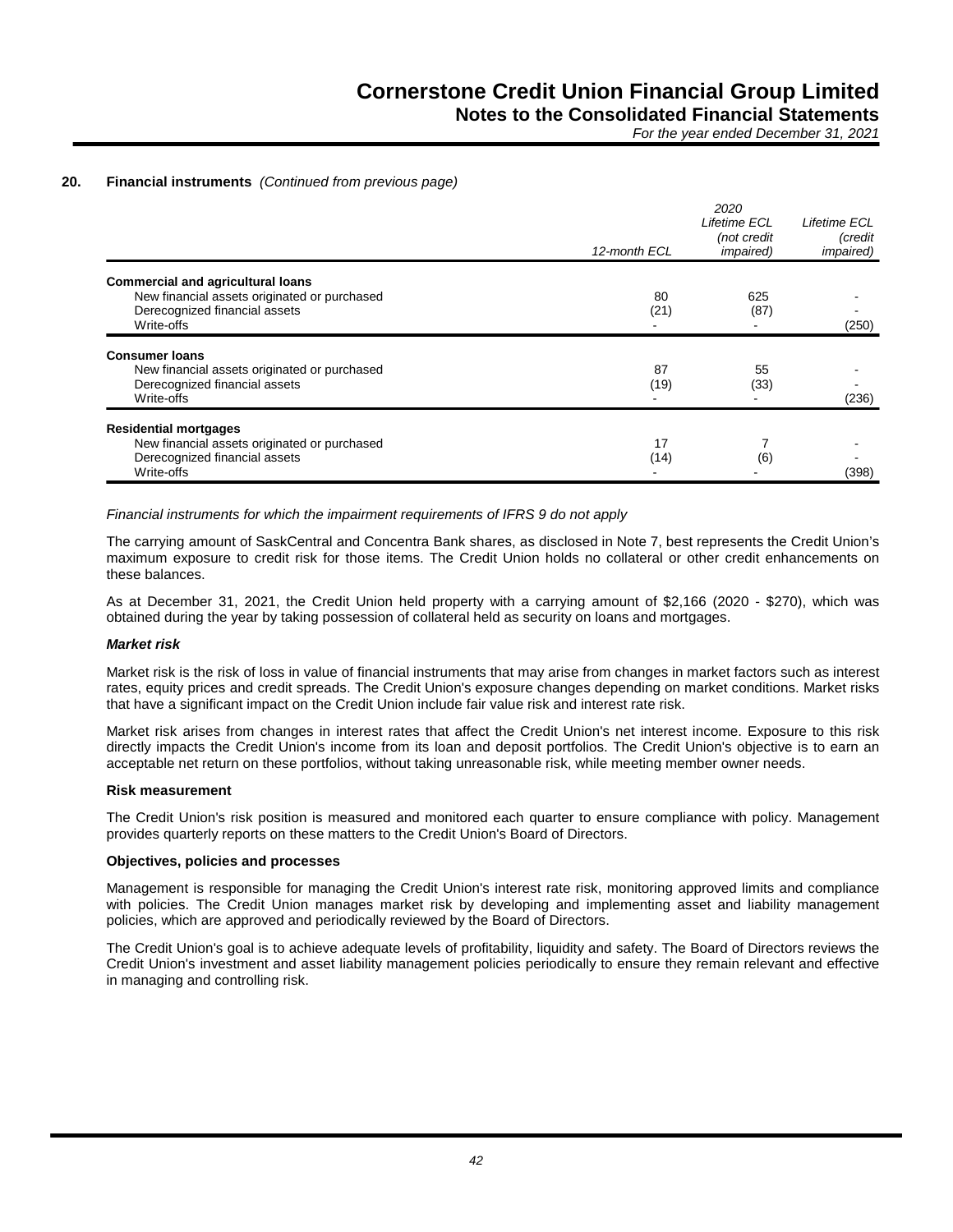#### **20. Financial instruments** *(Continued from previous page)*

|                                                                               | 12-month ECL | 2020<br>Lifetime ECL<br>(not credit<br><i>impaired</i> ) | Lifetime ECL<br>(credit<br><i>impaired</i> ) |
|-------------------------------------------------------------------------------|--------------|----------------------------------------------------------|----------------------------------------------|
| <b>Commercial and agricultural loans</b>                                      |              |                                                          |                                              |
| New financial assets originated or purchased<br>Derecognized financial assets | 80<br>(21)   | 625<br>(87)                                              |                                              |
| Write-offs                                                                    |              |                                                          | (250)                                        |
| <b>Consumer loans</b>                                                         |              |                                                          |                                              |
| New financial assets originated or purchased                                  | 87           | 55                                                       |                                              |
| Derecognized financial assets<br>Write-offs                                   | (19)         | (33)                                                     | (236)                                        |
| <b>Residential mortgages</b>                                                  |              |                                                          |                                              |
| New financial assets originated or purchased                                  | 17           |                                                          |                                              |
| Derecognized financial assets                                                 | (14)         | (6)                                                      |                                              |
| Write-offs                                                                    |              |                                                          | (398)                                        |

#### *Financial instruments for which the impairment requirements of IFRS 9 do not apply*

The carrying amount of SaskCentral and Concentra Bank shares, as disclosed in Note 7, best represents the Credit Union's maximum exposure to credit risk for those items. The Credit Union holds no collateral or other credit enhancements on these balances.

As at December 31, 2021, the Credit Union held property with a carrying amount of \$2,166 (2020 - \$270), which was obtained during the year by taking possession of collateral held as security on loans and mortgages.

#### *Market risk*

Market risk is the risk of loss in value of financial instruments that may arise from changes in market factors such as interest rates, equity prices and credit spreads. The Credit Union's exposure changes depending on market conditions. Market risks that have a significant impact on the Credit Union include fair value risk and interest rate risk.

Market risk arises from changes in interest rates that affect the Credit Union's net interest income. Exposure to this risk directly impacts the Credit Union's income from its loan and deposit portfolios. The Credit Union's objective is to earn an acceptable net return on these portfolios, without taking unreasonable risk, while meeting member owner needs.

#### **Risk measurement**

The Credit Union's risk position is measured and monitored each quarter to ensure compliance with policy. Management provides quarterly reports on these matters to the Credit Union's Board of Directors.

#### **Objectives, policies and processes**

Management is responsible for managing the Credit Union's interest rate risk, monitoring approved limits and compliance with policies. The Credit Union manages market risk by developing and implementing asset and liability management policies, which are approved and periodically reviewed by the Board of Directors.

The Credit Union's goal is to achieve adequate levels of profitability, liquidity and safety. The Board of Directors reviews the Credit Union's investment and asset liability management policies periodically to ensure they remain relevant and effective in managing and controlling risk.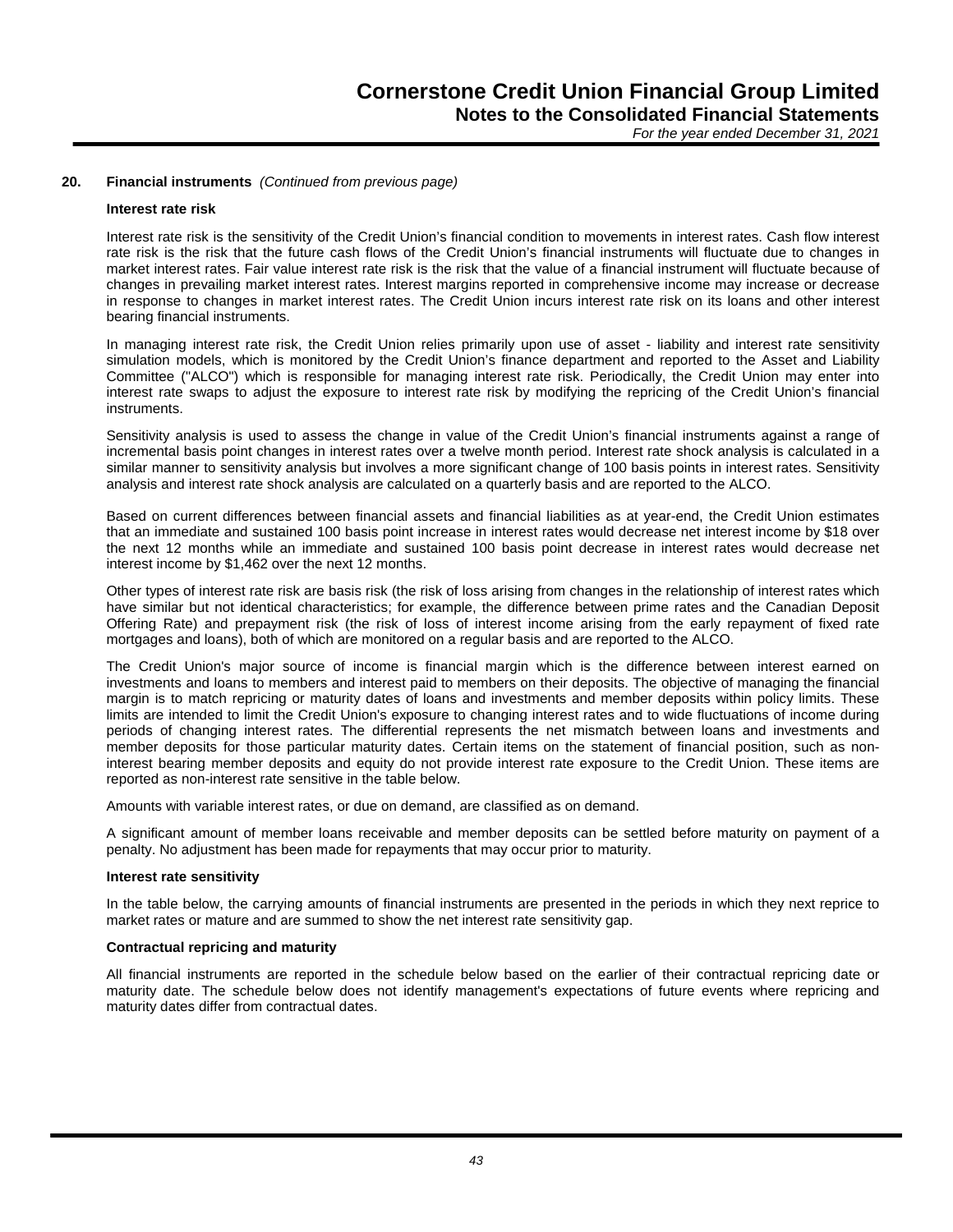#### **20. Financial instruments** *(Continued from previous page)*

#### **Interest rate risk**

Interest rate risk is the sensitivity of the Credit Union's financial condition to movements in interest rates. Cash flow interest rate risk is the risk that the future cash flows of the Credit Union's financial instruments will fluctuate due to changes in market interest rates. Fair value interest rate risk is the risk that the value of a financial instrument will fluctuate because of changes in prevailing market interest rates. Interest margins reported in comprehensive income may increase or decrease in response to changes in market interest rates. The Credit Union incurs interest rate risk on its loans and other interest bearing financial instruments.

In managing interest rate risk, the Credit Union relies primarily upon use of asset - liability and interest rate sensitivity simulation models, which is monitored by the Credit Union's finance department and reported to the Asset and Liability Committee ("ALCO") which is responsible for managing interest rate risk. Periodically, the Credit Union may enter into interest rate swaps to adjust the exposure to interest rate risk by modifying the repricing of the Credit Union's financial instruments.

Sensitivity analysis is used to assess the change in value of the Credit Union's financial instruments against a range of incremental basis point changes in interest rates over a twelve month period. Interest rate shock analysis is calculated in a similar manner to sensitivity analysis but involves a more significant change of 100 basis points in interest rates. Sensitivity analysis and interest rate shock analysis are calculated on a quarterly basis and are reported to the ALCO.

Based on current differences between financial assets and financial liabilities as at year-end, the Credit Union estimates that an immediate and sustained 100 basis point increase in interest rates would decrease net interest income by \$18 over the next 12 months while an immediate and sustained 100 basis point decrease in interest rates would decrease net interest income by \$1,462 over the next 12 months.

Other types of interest rate risk are basis risk (the risk of loss arising from changes in the relationship of interest rates which have similar but not identical characteristics; for example, the difference between prime rates and the Canadian Deposit Offering Rate) and prepayment risk (the risk of loss of interest income arising from the early repayment of fixed rate mortgages and loans), both of which are monitored on a regular basis and are reported to the ALCO.

The Credit Union's major source of income is financial margin which is the difference between interest earned on investments and loans to members and interest paid to members on their deposits. The objective of managing the financial margin is to match repricing or maturity dates of loans and investments and member deposits within policy limits. These limits are intended to limit the Credit Union's exposure to changing interest rates and to wide fluctuations of income during periods of changing interest rates. The differential represents the net mismatch between loans and investments and member deposits for those particular maturity dates. Certain items on the statement of financial position, such as noninterest bearing member deposits and equity do not provide interest rate exposure to the Credit Union. These items are reported as non-interest rate sensitive in the table below.

Amounts with variable interest rates, or due on demand, are classified as on demand.

A significant amount of member loans receivable and member deposits can be settled before maturity on payment of a penalty. No adjustment has been made for repayments that may occur prior to maturity.

#### **Interest rate sensitivity**

In the table below, the carrying amounts of financial instruments are presented in the periods in which they next reprice to market rates or mature and are summed to show the net interest rate sensitivity gap.

#### **Contractual repricing and maturity**

All financial instruments are reported in the schedule below based on the earlier of their contractual repricing date or maturity date. The schedule below does not identify management's expectations of future events where repricing and maturity dates differ from contractual dates.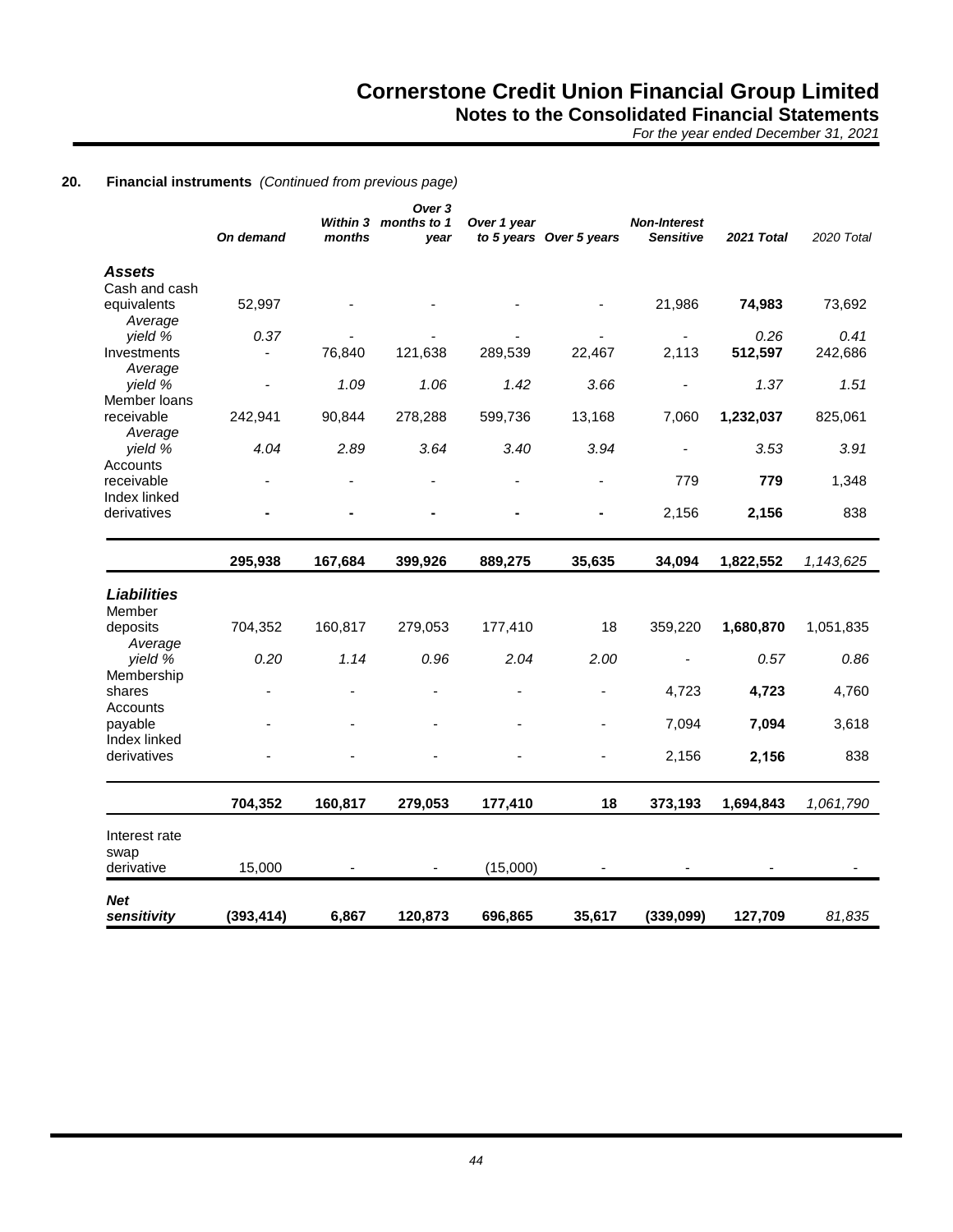*For the year ended December 31, 2021*

#### **20. Financial instruments** *(Continued from previous page)*

|                                         | On demand      | months  | Over <sub>3</sub><br>Within 3 months to 1<br>year | Over 1 year | to 5 years Over 5 years | <b>Non-Interest</b><br><b>Sensitive</b> | 2021 Total | 2020 Total |
|-----------------------------------------|----------------|---------|---------------------------------------------------|-------------|-------------------------|-----------------------------------------|------------|------------|
| <b>Assets</b>                           |                |         |                                                   |             |                         |                                         |            |            |
| Cash and cash<br>equivalents<br>Average | 52,997         |         |                                                   |             |                         | 21,986                                  | 74,983     | 73,692     |
| yield %                                 | 0.37           |         |                                                   |             |                         |                                         | 0.26       | 0.41       |
| Investments                             |                | 76,840  | 121,638                                           | 289,539     | 22,467                  | 2,113                                   | 512,597    | 242,686    |
| Average                                 |                |         |                                                   |             |                         |                                         |            |            |
| yield %                                 | $\blacksquare$ | 1.09    | 1.06                                              | 1.42        | 3.66                    |                                         | 1.37       | 1.51       |
| Member loans<br>receivable              | 242,941        | 90,844  | 278,288                                           | 599,736     | 13,168                  | 7,060                                   | 1,232,037  | 825,061    |
| Average                                 |                |         |                                                   |             |                         |                                         |            |            |
| vield %                                 | 4.04           | 2.89    | 3.64                                              | 3.40        | 3.94                    |                                         | 3.53       | 3.91       |
| Accounts                                |                |         |                                                   |             |                         |                                         |            |            |
| receivable                              |                |         |                                                   |             | $\blacksquare$          | 779                                     | 779        | 1,348      |
| Index linked                            |                |         |                                                   |             |                         |                                         |            |            |
| derivatives                             |                |         |                                                   |             |                         | 2,156                                   | 2,156      | 838        |
|                                         |                |         |                                                   |             |                         |                                         |            |            |
|                                         | 295,938        | 167,684 | 399,926                                           | 889,275     | 35,635                  | 34,094                                  | 1,822,552  | 1,143,625  |
| <b>Liabilities</b><br>Member            |                |         |                                                   |             |                         |                                         |            |            |
| deposits<br>Average                     | 704,352        | 160,817 | 279,053                                           | 177,410     | 18                      | 359,220                                 | 1,680,870  | 1,051,835  |
| yield %<br>Membership                   | 0.20           | 1.14    | 0.96                                              | 2.04        | 2.00                    |                                         | 0.57       | 0.86       |
| shares<br>Accounts                      |                |         |                                                   |             |                         | 4,723                                   | 4,723      | 4,760      |
| payable<br>Index linked                 |                |         |                                                   |             |                         | 7,094                                   | 7,094      | 3,618      |
| derivatives                             |                |         |                                                   |             |                         | 2,156                                   | 2,156      | 838        |
|                                         | 704,352        | 160,817 | 279,053                                           | 177,410     | 18                      | 373,193                                 | 1,694,843  | 1,061,790  |
| Interest rate                           |                |         |                                                   |             |                         |                                         |            |            |
| swap<br>derivative                      | 15,000         |         |                                                   | (15,000)    |                         |                                         |            |            |
| <b>Net</b><br>sensitivity               | (393, 414)     | 6,867   | 120,873                                           | 696,865     | 35,617                  | (339,099)                               | 127,709    | 81,835     |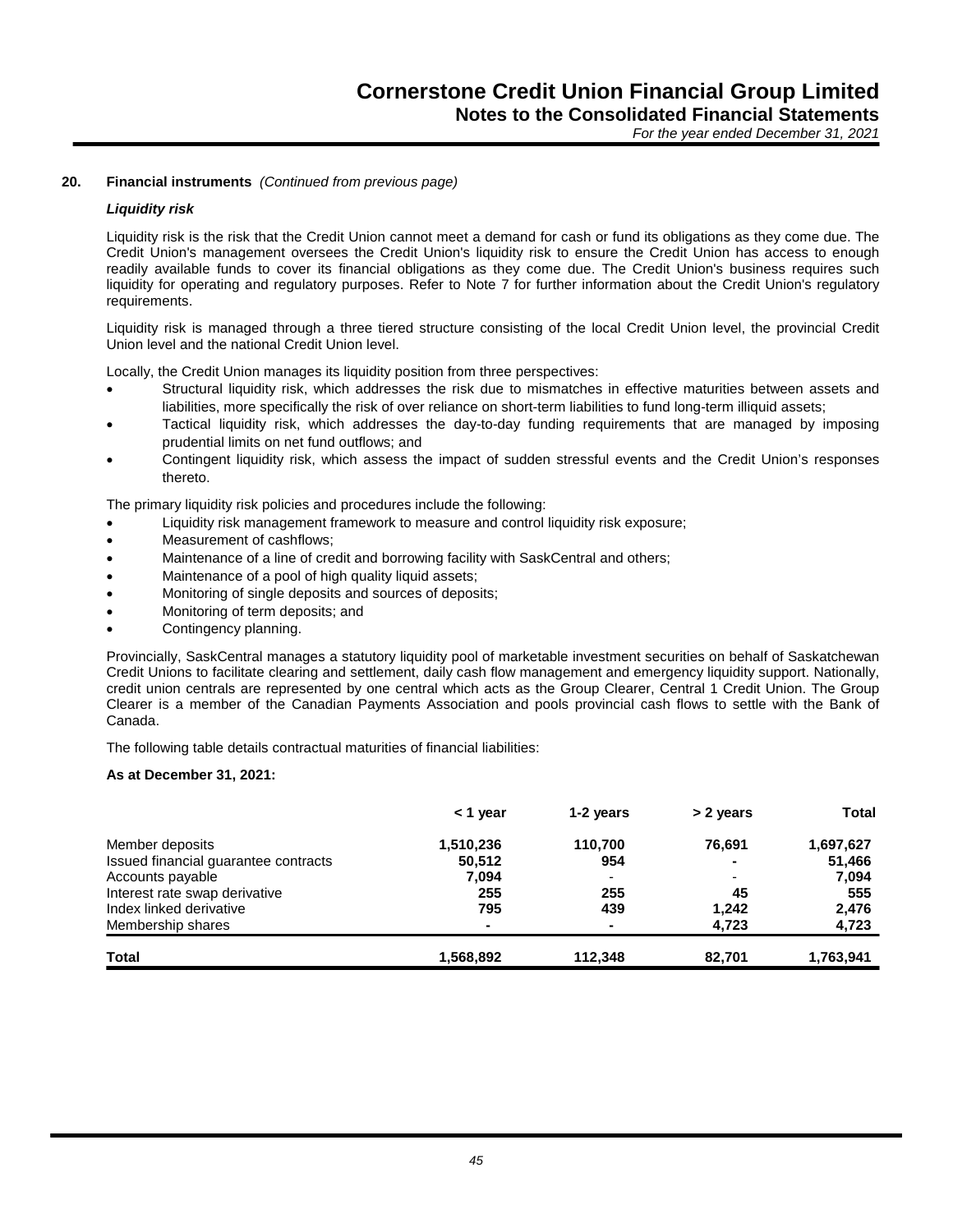#### **20. Financial instruments** *(Continued from previous page)*

#### *Liquidity risk*

Liquidity risk is the risk that the Credit Union cannot meet a demand for cash or fund its obligations as they come due. The Credit Union's management oversees the Credit Union's liquidity risk to ensure the Credit Union has access to enough readily available funds to cover its financial obligations as they come due. The Credit Union's business requires such liquidity for operating and regulatory purposes. Refer to Note 7 for further information about the Credit Union's regulatory requirements.

Liquidity risk is managed through a three tiered structure consisting of the local Credit Union level, the provincial Credit Union level and the national Credit Union level.

Locally, the Credit Union manages its liquidity position from three perspectives:

- Structural liquidity risk, which addresses the risk due to mismatches in effective maturities between assets and liabilities, more specifically the risk of over reliance on short-term liabilities to fund long-term illiquid assets;
- Tactical liquidity risk, which addresses the day-to-day funding requirements that are managed by imposing prudential limits on net fund outflows; and
- Contingent liquidity risk, which assess the impact of sudden stressful events and the Credit Union's responses thereto.

The primary liquidity risk policies and procedures include the following:

- Liquidity risk management framework to measure and control liquidity risk exposure;
- Measurement of cashflows;
- Maintenance of a line of credit and borrowing facility with SaskCentral and others;
- Maintenance of a pool of high quality liquid assets;
- Monitoring of single deposits and sources of deposits;
- Monitoring of term deposits; and
- Contingency planning.

Provincially, SaskCentral manages a statutory liquidity pool of marketable investment securities on behalf of Saskatchewan Credit Unions to facilitate clearing and settlement, daily cash flow management and emergency liquidity support. Nationally, credit union centrals are represented by one central which acts as the Group Clearer, Central 1 Credit Union. The Group Clearer is a member of the Canadian Payments Association and pools provincial cash flows to settle with the Bank of Canada.

The following table details contractual maturities of financial liabilities:

#### **As at December 31, 2021:**

|                                      | < 1 year  | 1-2 years | > 2 years                | <b>Total</b> |
|--------------------------------------|-----------|-----------|--------------------------|--------------|
| Member deposits                      | 1,510,236 | 110.700   | 76.691                   | 1,697,627    |
| Issued financial guarantee contracts | 50,512    | 954       | $\blacksquare$           | 51,466       |
| Accounts payable                     | 7,094     |           | $\overline{\phantom{0}}$ | 7,094        |
| Interest rate swap derivative        | 255       | 255       | 45                       | 555          |
| Index linked derivative              | 795       | 439       | 1.242                    | 2,476        |
| Membership shares                    |           |           | 4.723                    | 4,723        |
| <b>Total</b>                         | 1,568,892 | 112.348   | 82.701                   | 1,763,941    |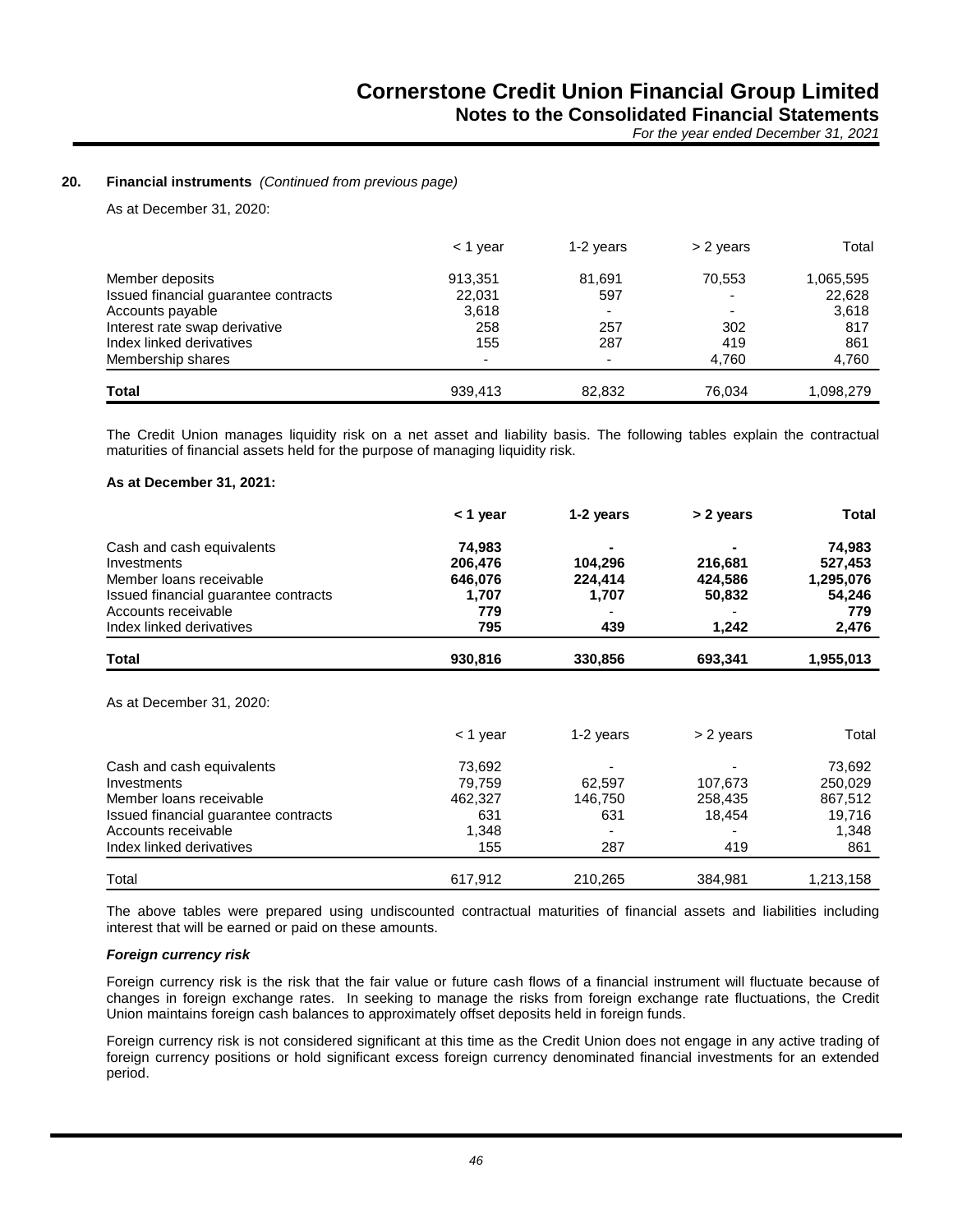#### **20. Financial instruments** *(Continued from previous page)*

As at December 31, 2020:

|                                      | $<$ 1 year | 1-2 years                | > 2 years                | Total     |
|--------------------------------------|------------|--------------------------|--------------------------|-----------|
| Member deposits                      | 913.351    | 81.691                   | 70,553                   | 1,065,595 |
| Issued financial guarantee contracts | 22,031     | 597                      | $\overline{\phantom{0}}$ | 22,628    |
| Accounts payable                     | 3,618      | $\overline{\phantom{a}}$ | $\overline{\phantom{0}}$ | 3,618     |
| Interest rate swap derivative        | 258        | 257                      | 302                      | 817       |
| Index linked derivatives             | 155        | 287                      | 419                      | 861       |
| Membership shares                    |            |                          | 4.760                    | 4,760     |
| Total                                | 939.413    | 82.832                   | 76.034                   | 1.098.279 |

The Credit Union manages liquidity risk on a net asset and liability basis. The following tables explain the contractual maturities of financial assets held for the purpose of managing liquidity risk.

#### **As at December 31, 2021:**

|                                      | < 1 year   | 1-2 years | > 2 years | Total     |
|--------------------------------------|------------|-----------|-----------|-----------|
| Cash and cash equivalents            | 74,983     |           |           | 74,983    |
| Investments                          | 206,476    | 104,296   | 216,681   | 527,453   |
| Member Ioans receivable              | 646,076    | 224,414   | 424,586   | 1,295,076 |
| Issued financial guarantee contracts | 1,707      | 1,707     | 50,832    | 54,246    |
| Accounts receivable                  | 779        |           |           | 779       |
| Index linked derivatives             | 795        | 439       | 1,242     | 2,476     |
| Total                                | 930,816    | 330,856   | 693,341   | 1,955,013 |
| As at December 31, 2020:             |            |           |           |           |
|                                      | $<$ 1 year | 1-2 years | > 2 years | Total     |
| Cash and cash equivalents            | 73,692     |           |           | 73,692    |
| Investments                          | 79,759     | 62,597    | 107,673   | 250,029   |
| Member loans receivable              | 462,327    | 146,750   | 258,435   | 867,512   |
| Issued financial guarantee contracts | 631        | 631       | 18,454    | 19,716    |
| Accounts receivable                  | 1,348      |           |           | 1,348     |
| Index linked derivatives             | 155        | 287       | 419       | 861       |

The above tables were prepared using undiscounted contractual maturities of financial assets and liabilities including interest that will be earned or paid on these amounts.

Total 617,912 210,265 384,981 1,213,158

#### *Foreign currency risk*

Foreign currency risk is the risk that the fair value or future cash flows of a financial instrument will fluctuate because of changes in foreign exchange rates. In seeking to manage the risks from foreign exchange rate fluctuations, the Credit Union maintains foreign cash balances to approximately offset deposits held in foreign funds.

Foreign currency risk is not considered significant at this time as the Credit Union does not engage in any active trading of foreign currency positions or hold significant excess foreign currency denominated financial investments for an extended period.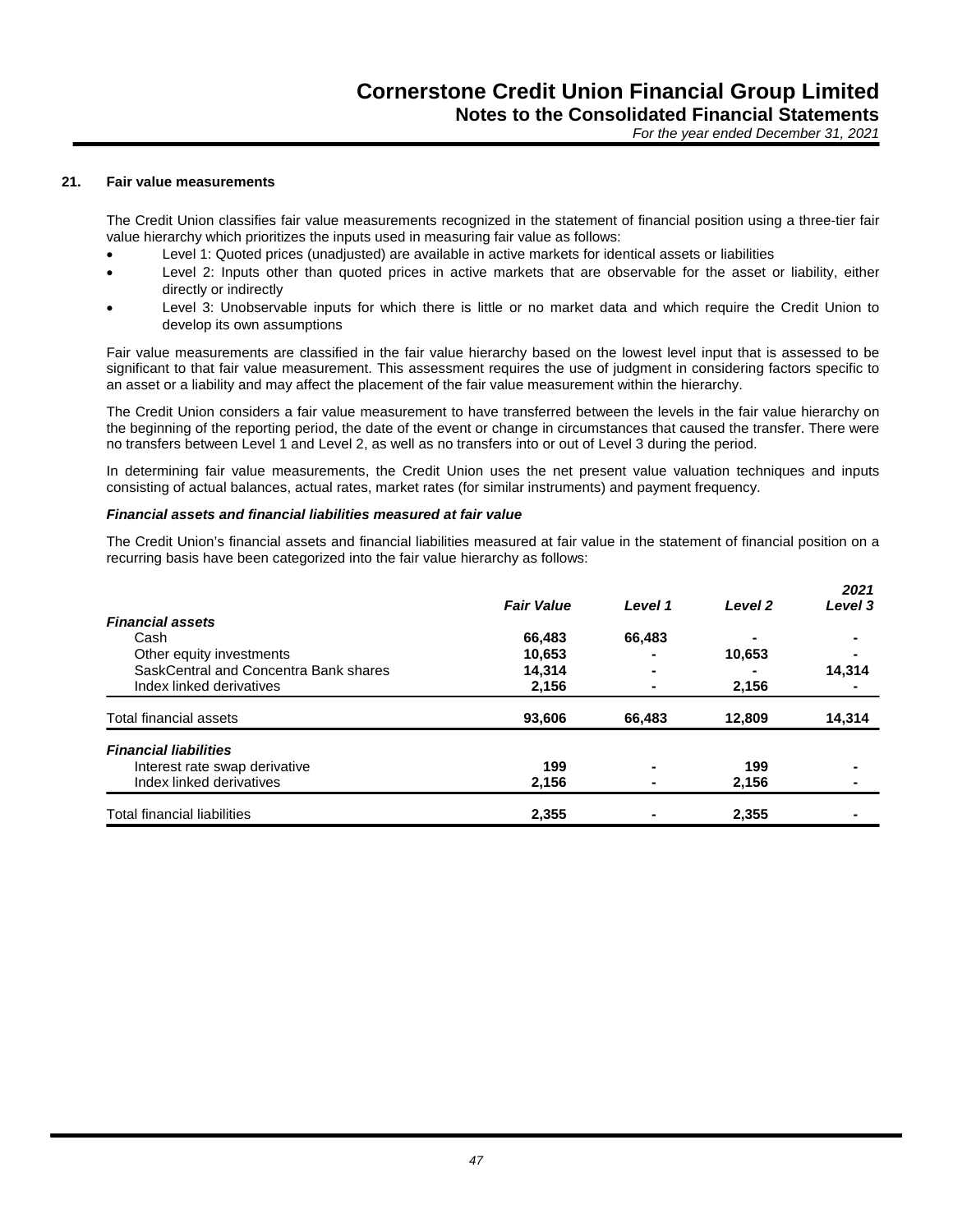#### **21. Fair value measurements**

The Credit Union classifies fair value measurements recognized in the statement of financial position using a three-tier fair value hierarchy which prioritizes the inputs used in measuring fair value as follows:

- Level 1: Quoted prices (unadjusted) are available in active markets for identical assets or liabilities
- Level 2: Inputs other than quoted prices in active markets that are observable for the asset or liability, either directly or indirectly
- Level 3: Unobservable inputs for which there is little or no market data and which require the Credit Union to develop its own assumptions

Fair value measurements are classified in the fair value hierarchy based on the lowest level input that is assessed to be significant to that fair value measurement. This assessment requires the use of judgment in considering factors specific to an asset or a liability and may affect the placement of the fair value measurement within the hierarchy.

The Credit Union considers a fair value measurement to have transferred between the levels in the fair value hierarchy on the beginning of the reporting period, the date of the event or change in circumstances that caused the transfer. There were no transfers between Level 1 and Level 2, as well as no transfers into or out of Level 3 during the period.

In determining fair value measurements, the Credit Union uses the net present value valuation techniques and inputs consisting of actual balances, actual rates, market rates (for similar instruments) and payment frequency.

#### *Financial assets and financial liabilities measured at fair value*

The Credit Union's financial assets and financial liabilities measured at fair value in the statement of financial position on a recurring basis have been categorized into the fair value hierarchy as follows:

|                                       |                   |                |                    | 2021    |
|---------------------------------------|-------------------|----------------|--------------------|---------|
|                                       | <b>Fair Value</b> | Level 1        | Level <sub>2</sub> | Level 3 |
| <b>Financial assets</b>               |                   |                |                    |         |
| Cash                                  | 66,483            | 66,483         |                    |         |
| Other equity investments              | 10,653            |                | 10,653             |         |
| SaskCentral and Concentra Bank shares | 14.314            | $\blacksquare$ |                    | 14,314  |
| Index linked derivatives              | 2,156             |                | 2,156              |         |
| Total financial assets                | 93,606            | 66,483         | 12,809             | 14,314  |
| <b>Financial liabilities</b>          |                   |                |                    |         |
| Interest rate swap derivative         | 199               |                | 199                |         |
| Index linked derivatives              | 2,156             |                | 2,156              |         |
| <b>Total financial liabilities</b>    | 2,355             |                | 2,355              |         |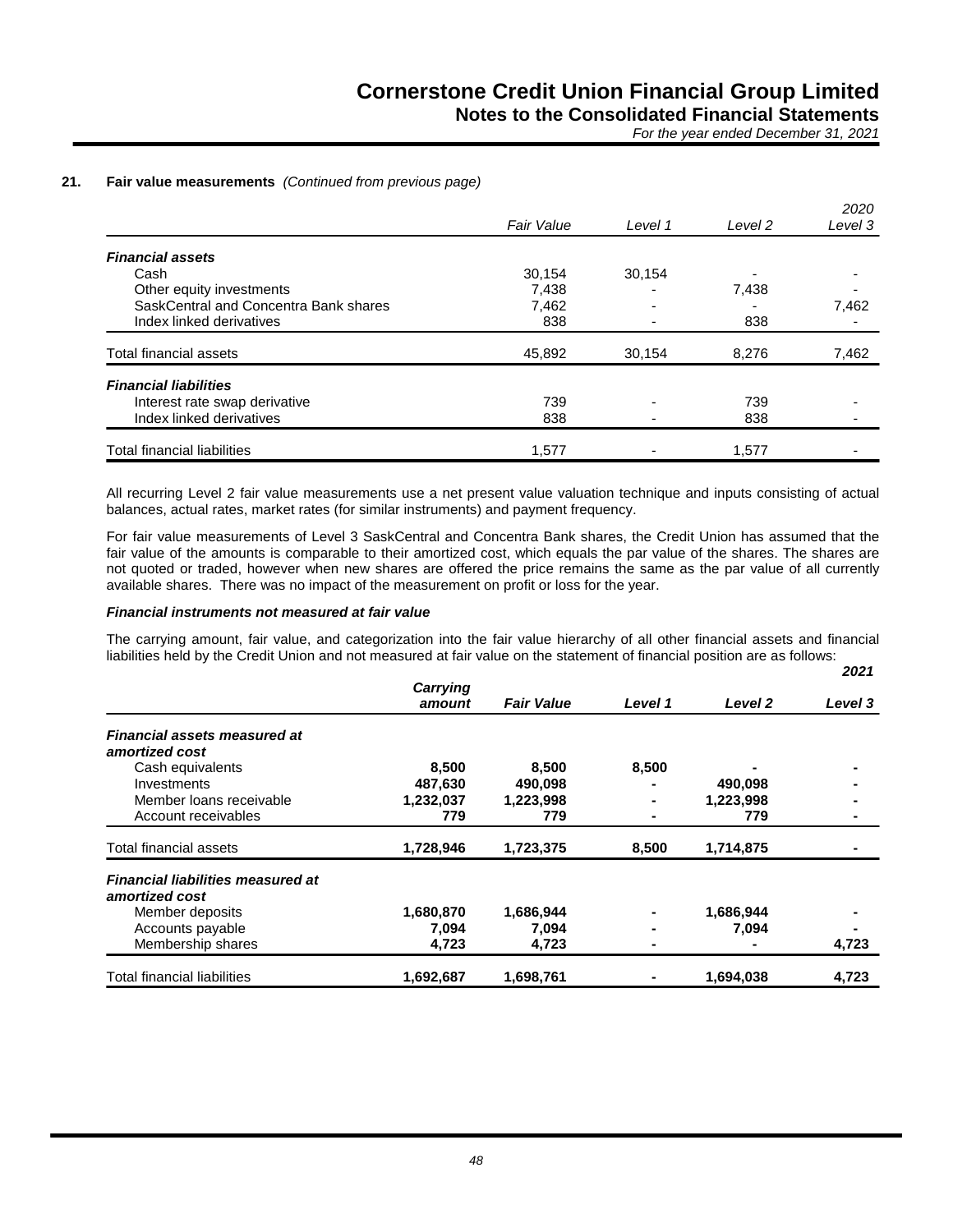*For the year ended December 31, 2021*

### **21. Fair value measurements** *(Continued from previous page)*

|                                       | <b>Fair Value</b> | Level 1 | Level 2 | 2020<br>Level 3 |
|---------------------------------------|-------------------|---------|---------|-----------------|
|                                       |                   |         |         |                 |
| <b>Financial assets</b>               |                   |         |         |                 |
| Cash                                  | 30,154            | 30.154  |         |                 |
| Other equity investments              | 7,438             |         | 7,438   |                 |
| SaskCentral and Concentra Bank shares | 7,462             | -       |         | 7,462           |
| Index linked derivatives              | 838               |         | 838     |                 |
| Total financial assets                | 45,892            | 30,154  | 8.276   | 7,462           |
| <b>Financial liabilities</b>          |                   |         |         |                 |
| Interest rate swap derivative         | 739               |         | 739     |                 |
| Index linked derivatives              | 838               |         | 838     |                 |
| <b>Total financial liabilities</b>    | 1.577             |         | 1.577   |                 |

All recurring Level 2 fair value measurements use a net present value valuation technique and inputs consisting of actual balances, actual rates, market rates (for similar instruments) and payment frequency.

For fair value measurements of Level 3 SaskCentral and Concentra Bank shares, the Credit Union has assumed that the fair value of the amounts is comparable to their amortized cost, which equals the par value of the shares. The shares are not quoted or traded, however when new shares are offered the price remains the same as the par value of all currently available shares. There was no impact of the measurement on profit or loss for the year.

### *Financial instruments not measured at fair value*

The carrying amount, fair value, and categorization into the fair value hierarchy of all other financial assets and financial liabilities held by the Credit Union and not measured at fair value on the statement of financial position are as follows: *2021*

|                                                            | Carrying  |                   |         |           | ---     |
|------------------------------------------------------------|-----------|-------------------|---------|-----------|---------|
|                                                            | amount    | <b>Fair Value</b> | Level 1 | Level 2   | Level 3 |
| Financial assets measured at<br>amortized cost             |           |                   |         |           |         |
| Cash equivalents                                           | 8,500     | 8,500             | 8,500   |           |         |
| Investments                                                | 487,630   | 490,098           |         | 490,098   |         |
| Member Ioans receivable                                    | 1,232,037 | 1,223,998         |         | 1,223,998 |         |
| Account receivables                                        | 779       | 779               |         | 779       |         |
| Total financial assets                                     | 1,728,946 | 1,723,375         | 8,500   | 1,714,875 |         |
| <b>Financial liabilities measured at</b><br>amortized cost |           |                   |         |           |         |
| Member deposits                                            | 1,680,870 | 1,686,944         |         | 1,686,944 |         |
| Accounts payable                                           | 7,094     | 7,094             |         | 7,094     |         |
| Membership shares                                          | 4,723     | 4,723             |         |           | 4,723   |
| <b>Total financial liabilities</b>                         | 1,692,687 | 1,698,761         |         | 1,694,038 | 4,723   |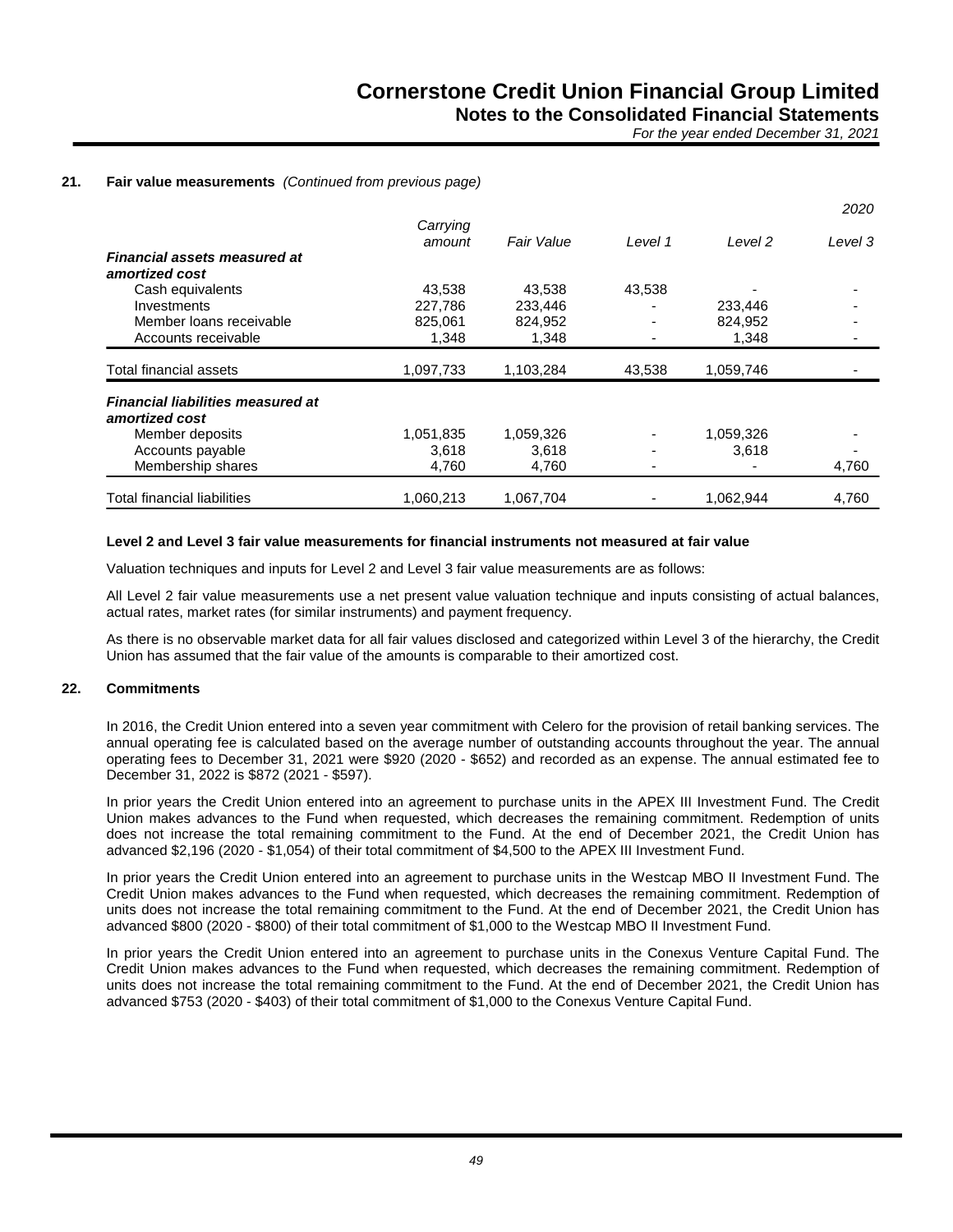#### **21. Fair value measurements** *(Continued from previous page)*

|                                                       |           |                   |         |           | 2020    |
|-------------------------------------------------------|-----------|-------------------|---------|-----------|---------|
|                                                       | Carrying  |                   |         |           |         |
|                                                       | amount    | <b>Fair Value</b> | Level 1 | Level 2   | Level 3 |
| <b>Financial assets measured at</b><br>amortized cost |           |                   |         |           |         |
| Cash equivalents                                      | 43,538    | 43,538            | 43,538  |           |         |
| Investments                                           | 227,786   | 233,446           |         | 233,446   |         |
| Member loans receivable                               | 825,061   | 824,952           |         | 824,952   |         |
| Accounts receivable                                   | 1,348     | 1,348             |         | 1,348     |         |
| Total financial assets                                | 1,097,733 | 1,103,284         | 43,538  | 1,059,746 |         |
| <b>Financial liabilities measured at</b>              |           |                   |         |           |         |
| amortized cost                                        |           |                   |         |           |         |
| Member deposits                                       | 1,051,835 | 1,059,326         |         | 1,059,326 |         |
| Accounts payable                                      | 3,618     | 3,618             |         | 3,618     |         |
| Membership shares                                     | 4,760     | 4,760             |         |           | 4,760   |
| Total financial liabilities                           | 1,060,213 | 1,067,704         |         | 1,062,944 | 4,760   |

#### **Level 2 and Level 3 fair value measurements for financial instruments not measured at fair value**

Valuation techniques and inputs for Level 2 and Level 3 fair value measurements are as follows:

All Level 2 fair value measurements use a net present value valuation technique and inputs consisting of actual balances, actual rates, market rates (for similar instruments) and payment frequency.

As there is no observable market data for all fair values disclosed and categorized within Level 3 of the hierarchy, the Credit Union has assumed that the fair value of the amounts is comparable to their amortized cost.

#### **22. Commitments**

In 2016, the Credit Union entered into a seven year commitment with Celero for the provision of retail banking services. The annual operating fee is calculated based on the average number of outstanding accounts throughout the year. The annual operating fees to December 31, 2021 were \$920 (2020 - \$652) and recorded as an expense. The annual estimated fee to December 31, 2022 is \$872 (2021 - \$597).

In prior years the Credit Union entered into an agreement to purchase units in the APEX III Investment Fund. The Credit Union makes advances to the Fund when requested, which decreases the remaining commitment. Redemption of units does not increase the total remaining commitment to the Fund. At the end of December 2021, the Credit Union has advanced \$2,196 (2020 - \$1,054) of their total commitment of \$4,500 to the APEX III Investment Fund.

In prior years the Credit Union entered into an agreement to purchase units in the Westcap MBO II Investment Fund. The Credit Union makes advances to the Fund when requested, which decreases the remaining commitment. Redemption of units does not increase the total remaining commitment to the Fund. At the end of December 2021, the Credit Union has advanced \$800 (2020 - \$800) of their total commitment of \$1,000 to the Westcap MBO II Investment Fund.

In prior years the Credit Union entered into an agreement to purchase units in the Conexus Venture Capital Fund. The Credit Union makes advances to the Fund when requested, which decreases the remaining commitment. Redemption of units does not increase the total remaining commitment to the Fund. At the end of December 2021, the Credit Union has advanced \$753 (2020 - \$403) of their total commitment of \$1,000 to the Conexus Venture Capital Fund.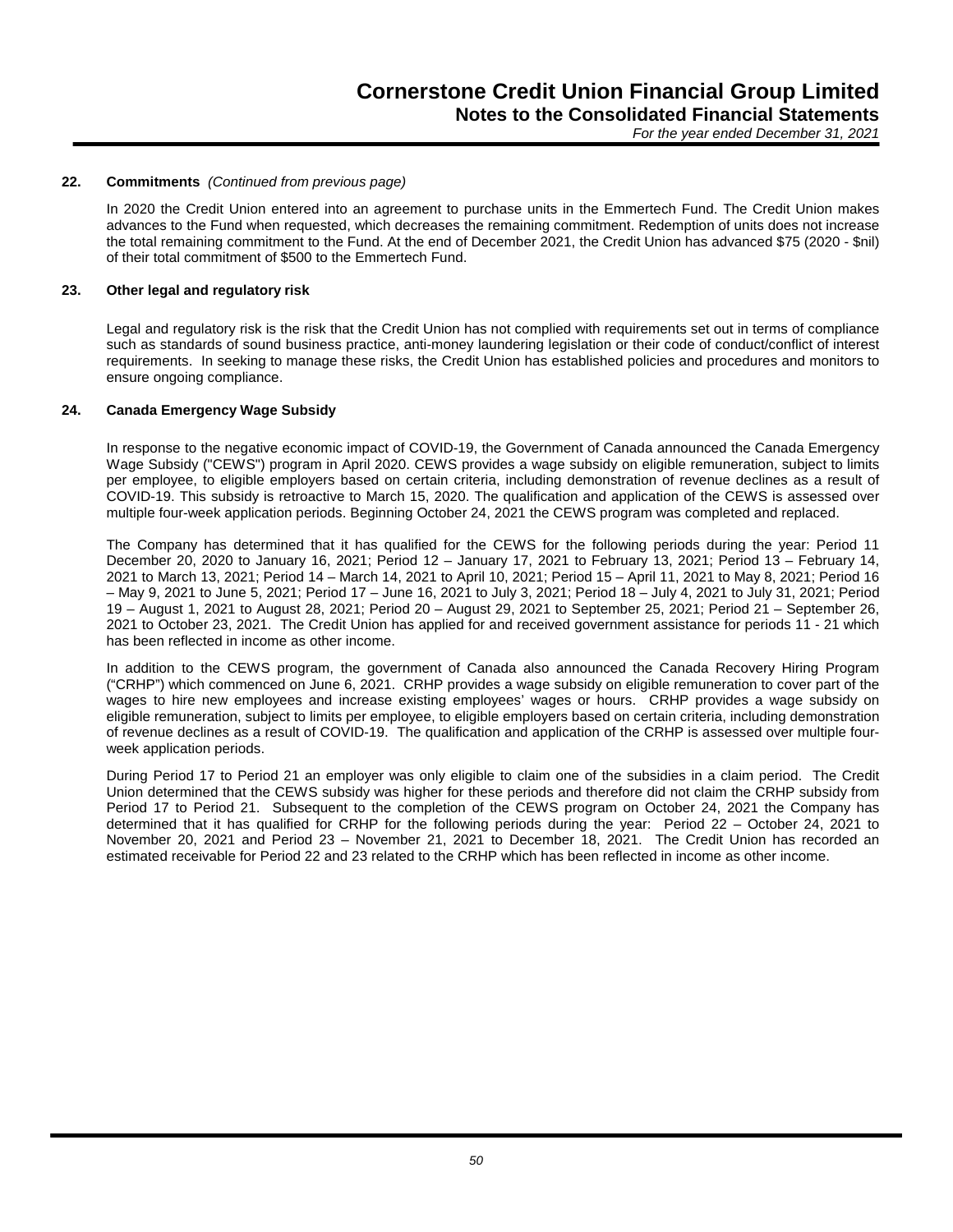#### **22. Commitments** *(Continued from previous page)*

In 2020 the Credit Union entered into an agreement to purchase units in the Emmertech Fund. The Credit Union makes advances to the Fund when requested, which decreases the remaining commitment. Redemption of units does not increase the total remaining commitment to the Fund. At the end of December 2021, the Credit Union has advanced \$75 (2020 - \$nil) of their total commitment of \$500 to the Emmertech Fund.

#### **23. Other legal and regulatory risk**

Legal and regulatory risk is the risk that the Credit Union has not complied with requirements set out in terms of compliance such as standards of sound business practice, anti-money laundering legislation or their code of conduct/conflict of interest requirements. In seeking to manage these risks, the Credit Union has established policies and procedures and monitors to ensure ongoing compliance.

#### **24. Canada Emergency Wage Subsidy**

In response to the negative economic impact of COVID-19, the Government of Canada announced the Canada Emergency Wage Subsidy ("CEWS") program in April 2020. CEWS provides a wage subsidy on eligible remuneration, subject to limits per employee, to eligible employers based on certain criteria, including demonstration of revenue declines as a result of COVID-19. This subsidy is retroactive to March 15, 2020. The qualification and application of the CEWS is assessed over multiple four-week application periods. Beginning October 24, 2021 the CEWS program was completed and replaced.

The Company has determined that it has qualified for the CEWS for the following periods during the year: Period 11 December 20, 2020 to January 16, 2021; Period 12 – January 17, 2021 to February 13, 2021; Period 13 – February 14, 2021 to March 13, 2021; Period 14 – March 14, 2021 to April 10, 2021; Period 15 – April 11, 2021 to May 8, 2021; Period 16 – May 9, 2021 to June 5, 2021; Period 17 – June 16, 2021 to July 3, 2021; Period 18 – July 4, 2021 to July 31, 2021; Period 19 – August 1, 2021 to August 28, 2021; Period 20 – August 29, 2021 to September 25, 2021; Period 21 – September 26, 2021 to October 23, 2021. The Credit Union has applied for and received government assistance for periods 11 - 21 which has been reflected in income as other income.

In addition to the CEWS program, the government of Canada also announced the Canada Recovery Hiring Program ("CRHP") which commenced on June 6, 2021. CRHP provides a wage subsidy on eligible remuneration to cover part of the wages to hire new employees and increase existing employees' wages or hours. CRHP provides a wage subsidy on eligible remuneration, subject to limits per employee, to eligible employers based on certain criteria, including demonstration of revenue declines as a result of COVID-19. The qualification and application of the CRHP is assessed over multiple fourweek application periods.

During Period 17 to Period 21 an employer was only eligible to claim one of the subsidies in a claim period. The Credit Union determined that the CEWS subsidy was higher for these periods and therefore did not claim the CRHP subsidy from Period 17 to Period 21. Subsequent to the completion of the CEWS program on October 24, 2021 the Company has determined that it has qualified for CRHP for the following periods during the year: Period 22 – October 24, 2021 to November 20, 2021 and Period 23 – November 21, 2021 to December 18, 2021. The Credit Union has recorded an estimated receivable for Period 22 and 23 related to the CRHP which has been reflected in income as other income.